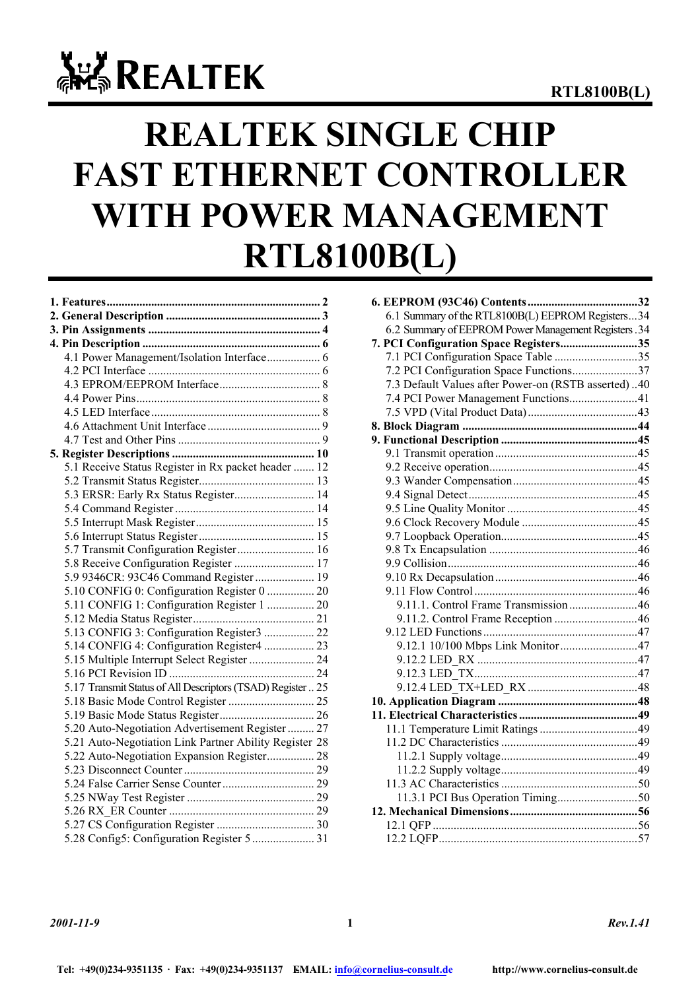# **ALL REALTEK**

# **REALTEK SINGLE CHIP FAST ETHERNET CONTROLLER WITH POWER MANAGEMENT RTL8100B(L)**

| 5.1 Receive Status Register in Rx packet header  12         |  |
|-------------------------------------------------------------|--|
|                                                             |  |
| 5.3 ERSR: Early Rx Status Register 14                       |  |
|                                                             |  |
|                                                             |  |
|                                                             |  |
| 5.7 Transmit Configuration Register 16                      |  |
| 5.8 Receive Configuration Register  17                      |  |
| 5.9 9346CR: 93C46 Command Register  19                      |  |
| 5.10 CONFIG 0: Configuration Register 0  20                 |  |
| 5.11 CONFIG 1: Configuration Register 1  20                 |  |
|                                                             |  |
| 5.13 CONFIG 3: Configuration Register3  22                  |  |
| 5.14 CONFIG 4: Configuration Register4  23                  |  |
|                                                             |  |
|                                                             |  |
| 5.17 Transmit Status of All Descriptors (TSAD) Register  25 |  |
|                                                             |  |
|                                                             |  |
| 5.20 Auto-Negotiation Advertisement Register  27            |  |
| 5.21 Auto-Negotiation Link Partner Ability Register 28      |  |
| 5.22 Auto-Negotiation Expansion Register 28                 |  |
|                                                             |  |
|                                                             |  |
|                                                             |  |
|                                                             |  |
|                                                             |  |
|                                                             |  |

| 6.1 Summary of the RTL8100B(L) EEPROM Registers34    |  |
|------------------------------------------------------|--|
| 6.2 Summary of EEPROM Power Management Registers .34 |  |
| 7. PCI Configuration Space Registers35               |  |
| 7.1 PCI Configuration Space Table 35                 |  |
| 7.2 PCI Configuration Space Functions37              |  |
| 7.3 Default Values after Power-on (RSTB asserted)40  |  |
| 7.4 PCI Power Management Functions41                 |  |
|                                                      |  |
|                                                      |  |
|                                                      |  |
|                                                      |  |
|                                                      |  |
|                                                      |  |
|                                                      |  |
|                                                      |  |
|                                                      |  |
|                                                      |  |
|                                                      |  |
|                                                      |  |
|                                                      |  |
|                                                      |  |
| 9.11.1. Control Frame Transmission46                 |  |
|                                                      |  |
|                                                      |  |
|                                                      |  |
|                                                      |  |
|                                                      |  |
|                                                      |  |
|                                                      |  |
|                                                      |  |
|                                                      |  |
|                                                      |  |
|                                                      |  |
|                                                      |  |
|                                                      |  |
|                                                      |  |
|                                                      |  |
|                                                      |  |
|                                                      |  |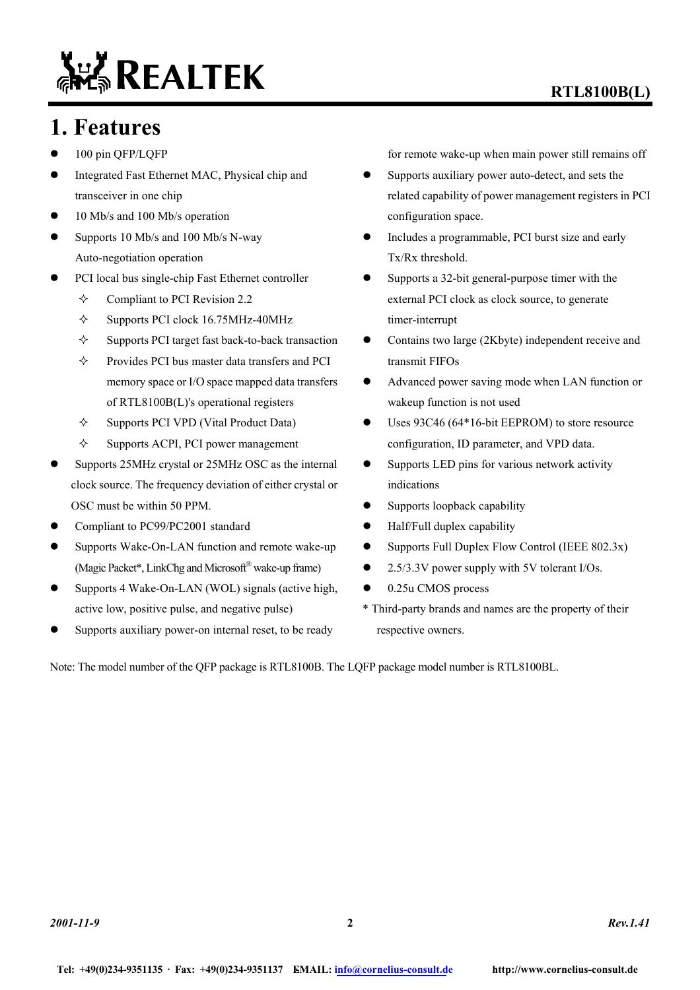# **ALL REALTEK**

### **RTL8100B(L)**

### **1. Features**

- 100 pin QFP/LQFP
- Integrated Fast Ethernet MAC, Physical chip and transceiver in one chip
- $\bullet$  10 Mb/s and 100 Mb/s operation
- $\bullet$  Supports 10 Mb/s and 100 Mb/s N-way Auto-negotiation operation
- PCI local bus single-chip Fast Ethernet controller
	- Compliant to PCI Revision 2.2
	- $\div$  Supports PCI clock 16.75MHz-40MHz
	- $\Diamond$  Supports PCI target fast back-to-back transaction
	- Provides PCI bus master data transfers and PCI memory space or I/O space mapped data transfers of RTL8100B(L)'s operational registers
	- $\Diamond$  Supports PCI VPD (Vital Product Data)
	- $\diamond$  Supports ACPI, PCI power management
- Supports 25MHz crystal or 25MHz OSC as the internal clock source. The frequency deviation of either crystal or OSC must be within 50 PPM.
- Compliant to PC99/PC2001 standard
- Supports Wake-On-LAN function and remote wake-up (Magic Packet\*, LinkChg and Microsoft® wake-up frame)
- $\bullet$  Supports 4 Wake-On-LAN (WOL) signals (active high, active low, positive pulse, and negative pulse)
- Supports auxiliary power-on internal reset, to be ready

for remote wake-up when main power still remains off

- Supports auxiliary power auto-detect, and sets the related capability of power management registers in PCI configuration space.
- Includes a programmable, PCI burst size and early Tx/Rx threshold.
- Supports a 32-bit general-purpose timer with the external PCI clock as clock source, to generate timer-interrupt
- Contains two large (2Kbyte) independent receive and transmit FIFOs
- Advanced power saving mode when LAN function or wakeup function is not used
- $\bullet$  Uses 93C46 (64\*16-bit EEPROM) to store resource configuration, ID parameter, and VPD data.
- $\bullet$  Supports LED pins for various network activity indications
- Supports loopback capability
- $\bullet$  Half/Full duplex capability
- $\bullet$  Supports Full Duplex Flow Control (IEEE 802.3x)
- 2.5/3.3V power supply with 5V tolerant I/Os.
- $\bullet$  0.25u CMOS process
- \* Third-party brands and names are the property of their respective owners.

Note: The model number of the QFP package is RTL8100B. The LQFP package model number is RTL8100BL.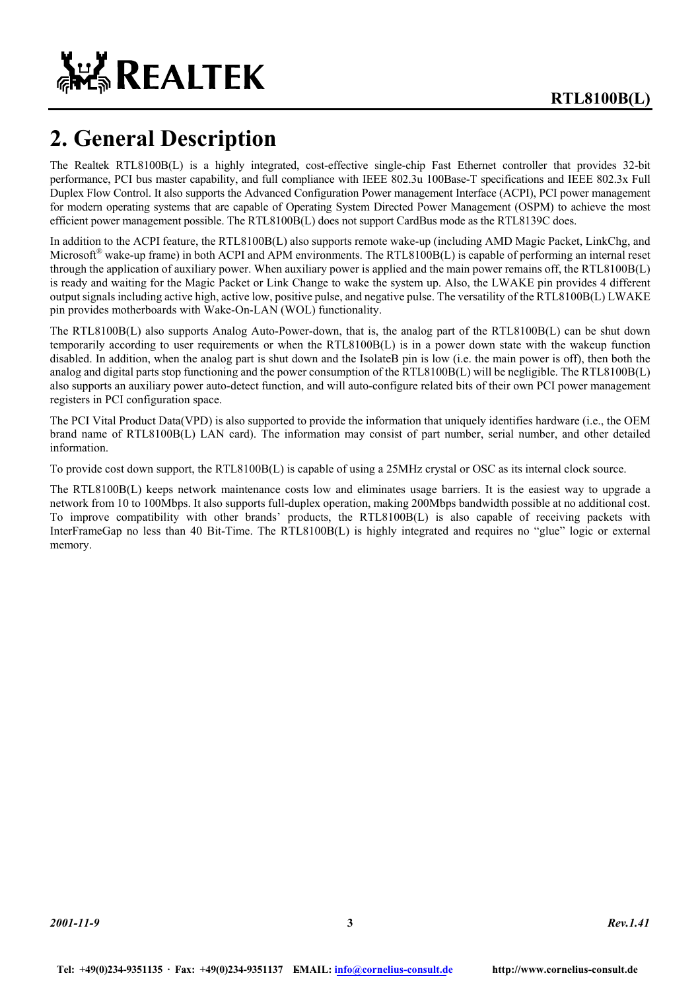

# **2. General Description**

The Realtek RTL8100B(L) is a highly integrated, cost-effective single-chip Fast Ethernet controller that provides 32-bit performance, PCI bus master capability, and full compliance with IEEE 802.3u 100Base-T specifications and IEEE 802.3x Full Duplex Flow Control. It also supports the Advanced Configuration Power management Interface (ACPI), PCI power management for modern operating systems that are capable of Operating System Directed Power Management (OSPM) to achieve the most efficient power management possible. The RTL8100B(L) does not support CardBus mode as the RTL8139C does.

In addition to the ACPI feature, the RTL8100B(L) also supports remote wake-up (including AMD Magic Packet, LinkChg, and Microsoft<sup>®</sup> wake-up frame) in both ACPI and APM environments. The RTL8100B(L) is capable of performing an internal reset through the application of auxiliary power. When auxiliary power is applied and the main power remains off, the RTL8100B(L) is ready and waiting for the Magic Packet or Link Change to wake the system up. Also, the LWAKE pin provides 4 different output signals including active high, active low, positive pulse, and negative pulse. The versatility of the RTL8100B(L) LWAKE pin provides motherboards with Wake-On-LAN (WOL) functionality.

The RTL8100B(L) also supports Analog Auto-Power-down, that is, the analog part of the RTL8100B(L) can be shut down temporarily according to user requirements or when the RTL8100B(L) is in a power down state with the wakeup function disabled. In addition, when the analog part is shut down and the IsolateB pin is low (i.e. the main power is off), then both the analog and digital parts stop functioning and the power consumption of the RTL8100B(L) will be negligible. The RTL8100B(L) also supports an auxiliary power auto-detect function, and will auto-configure related bits of their own PCI power management registers in PCI configuration space.

The PCI Vital Product Data(VPD) is also supported to provide the information that uniquely identifies hardware (i.e., the OEM brand name of RTL8100B(L) LAN card). The information may consist of part number, serial number, and other detailed information.

To provide cost down support, the RTL8100B(L) is capable of using a 25MHz crystal or OSC as its internal clock source.

The RTL8100B(L) keeps network maintenance costs low and eliminates usage barriers. It is the easiest way to upgrade a network from 10 to 100Mbps. It also supports full-duplex operation, making 200Mbps bandwidth possible at no additional cost. To improve compatibility with other brands' products, the RTL8100B(L) is also capable of receiving packets with InterFrameGap no less than 40 Bit-Time. The RTL8100B(L) is highly integrated and requires no "glue" logic or external memory.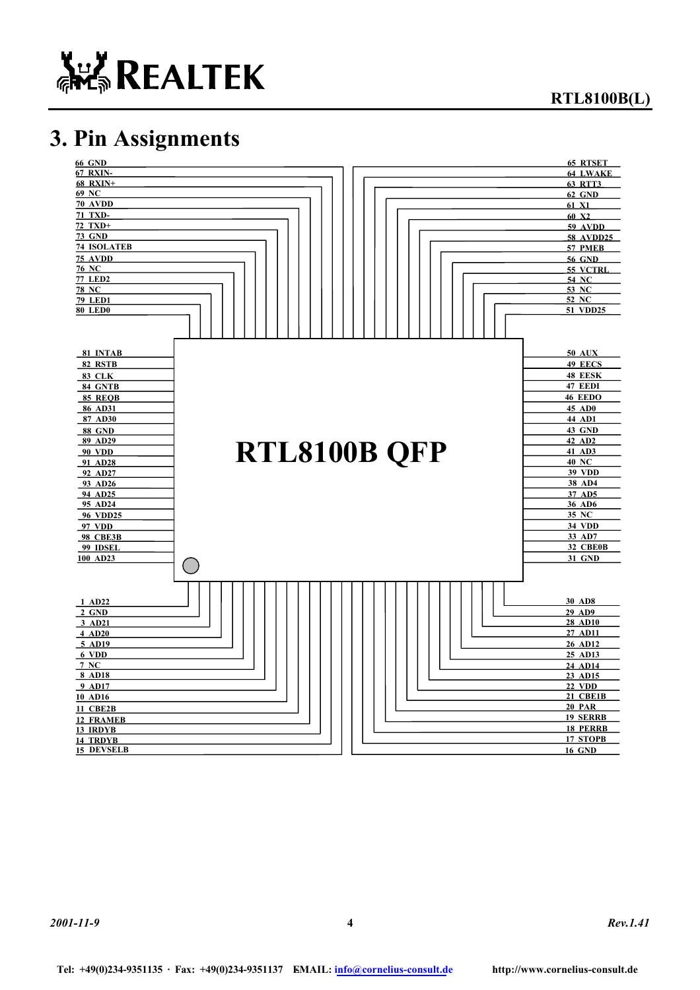

**RTL8100B(L)** 

# **3. Pin Assignments**

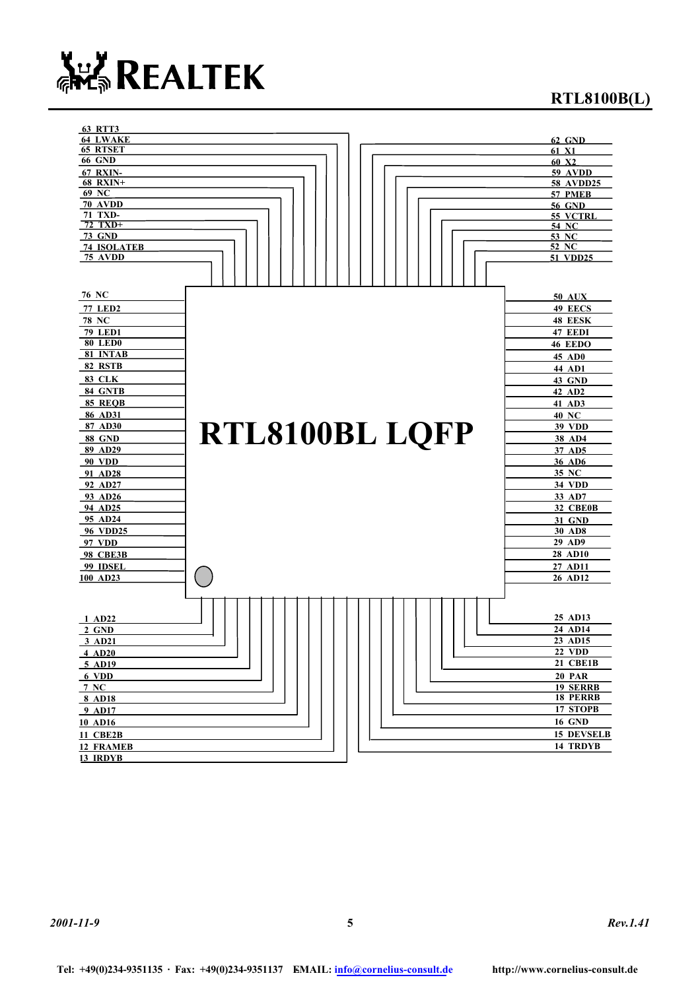

### **RTL8100B(L)**

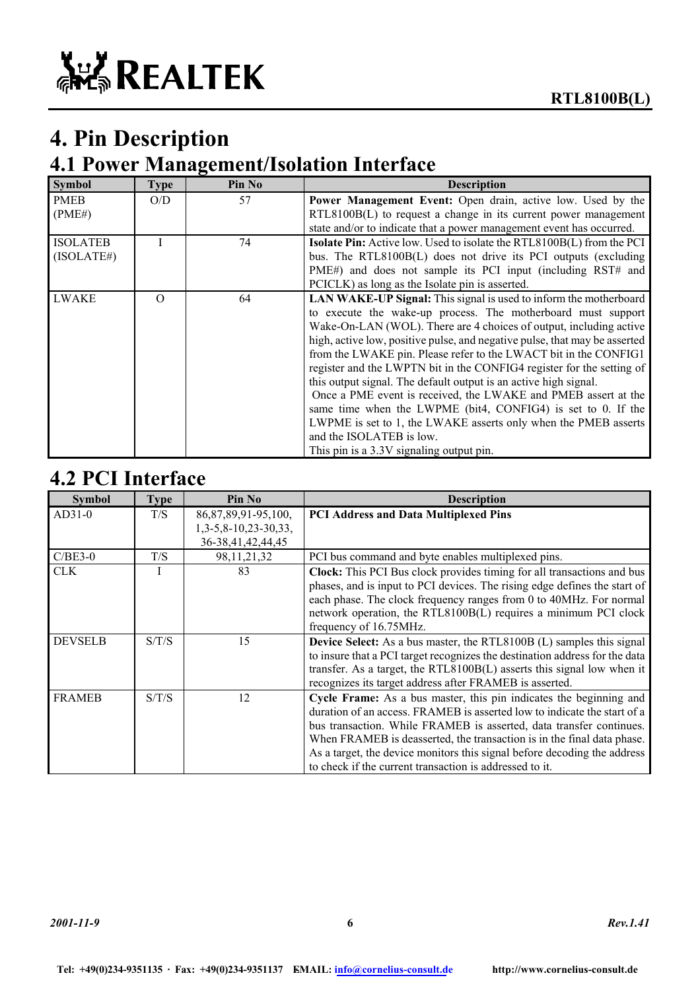# **4. Pin Description**

### **4.1 Power Management/Isolation Interface**

| <b>Symbol</b>                 | <b>Type</b> | Pin No | <b>Description</b>                                                                                                                                                                                                                                                                                                                                                                                                                                                                                                                                                                                                                                                                                                                                                                         |
|-------------------------------|-------------|--------|--------------------------------------------------------------------------------------------------------------------------------------------------------------------------------------------------------------------------------------------------------------------------------------------------------------------------------------------------------------------------------------------------------------------------------------------------------------------------------------------------------------------------------------------------------------------------------------------------------------------------------------------------------------------------------------------------------------------------------------------------------------------------------------------|
| <b>PMEB</b><br>(PME#)         | O/D         | 57     | <b>Power Management Event:</b> Open drain, active low. Used by the<br>RTL8100B(L) to request a change in its current power management<br>state and/or to indicate that a power management event has occurred.                                                                                                                                                                                                                                                                                                                                                                                                                                                                                                                                                                              |
| <b>ISOLATEB</b><br>(ISOLATE#) |             | 74     | <b>Isolate Pin:</b> Active low. Used to isolate the RTL8100B(L) from the PCI<br>bus. The RTL8100B(L) does not drive its PCI outputs (excluding<br>PME#) and does not sample its PCI input (including RST# and<br>PCICLK) as long as the Isolate pin is asserted.                                                                                                                                                                                                                                                                                                                                                                                                                                                                                                                           |
| LWAKE                         | $\Omega$    | 64     | <b>LAN WAKE-UP Signal:</b> This signal is used to inform the motherboard<br>to execute the wake-up process. The motherboard must support<br>Wake-On-LAN (WOL). There are 4 choices of output, including active<br>high, active low, positive pulse, and negative pulse, that may be asserted<br>from the LWAKE pin. Please refer to the LWACT bit in the CONFIG1<br>register and the LWPTN bit in the CONFIG4 register for the setting of<br>this output signal. The default output is an active high signal.<br>Once a PME event is received, the LWAKE and PMEB assert at the<br>same time when the LWPME (bit4, CONFIG4) is set to 0. If the<br>LWPME is set to 1, the LWAKE asserts only when the PMEB asserts<br>and the ISOLATEB is low.<br>This pin is a 3.3V signaling output pin. |

### **4.2 PCI Interface**

| <b>Symbol</b>  | <b>Type</b> | Pin No                                                                       | <b>Description</b>                                                                                                                                                                                                                                                                                                                                                                                                                     |
|----------------|-------------|------------------------------------------------------------------------------|----------------------------------------------------------------------------------------------------------------------------------------------------------------------------------------------------------------------------------------------------------------------------------------------------------------------------------------------------------------------------------------------------------------------------------------|
| $AD31-0$       | T/S         | 86, 87, 89, 91 - 95, 100,<br>$1,3-5,8-10,23-30,33,$<br>36-38, 41, 42, 44, 45 | <b>PCI Address and Data Multiplexed Pins</b>                                                                                                                                                                                                                                                                                                                                                                                           |
| $C/BE3-0$      | T/S         | 98, 11, 21, 32                                                               | PCI bus command and byte enables multiplexed pins.                                                                                                                                                                                                                                                                                                                                                                                     |
| <b>CLK</b>     |             | 83                                                                           | <b>Clock:</b> This PCI Bus clock provides timing for all transactions and bus<br>phases, and is input to PCI devices. The rising edge defines the start of<br>each phase. The clock frequency ranges from 0 to 40MHz. For normal<br>network operation, the RTL8100B(L) requires a minimum PCI clock<br>frequency of 16.75MHz.                                                                                                          |
| <b>DEVSELB</b> | S/T/S       | 15                                                                           | <b>Device Select:</b> As a bus master, the RTL8100B (L) samples this signal<br>to insure that a PCI target recognizes the destination address for the data<br>transfer. As a target, the RTL8100B(L) asserts this signal low when it<br>recognizes its target address after FRAMEB is asserted.                                                                                                                                        |
| <b>FRAMEB</b>  | S/T/S       | 12                                                                           | Cycle Frame: As a bus master, this pin indicates the beginning and<br>duration of an access. FRAMEB is asserted low to indicate the start of a<br>bus transaction. While FRAMEB is asserted, data transfer continues.<br>When FRAMEB is deasserted, the transaction is in the final data phase.<br>As a target, the device monitors this signal before decoding the address<br>to check if the current transaction is addressed to it. |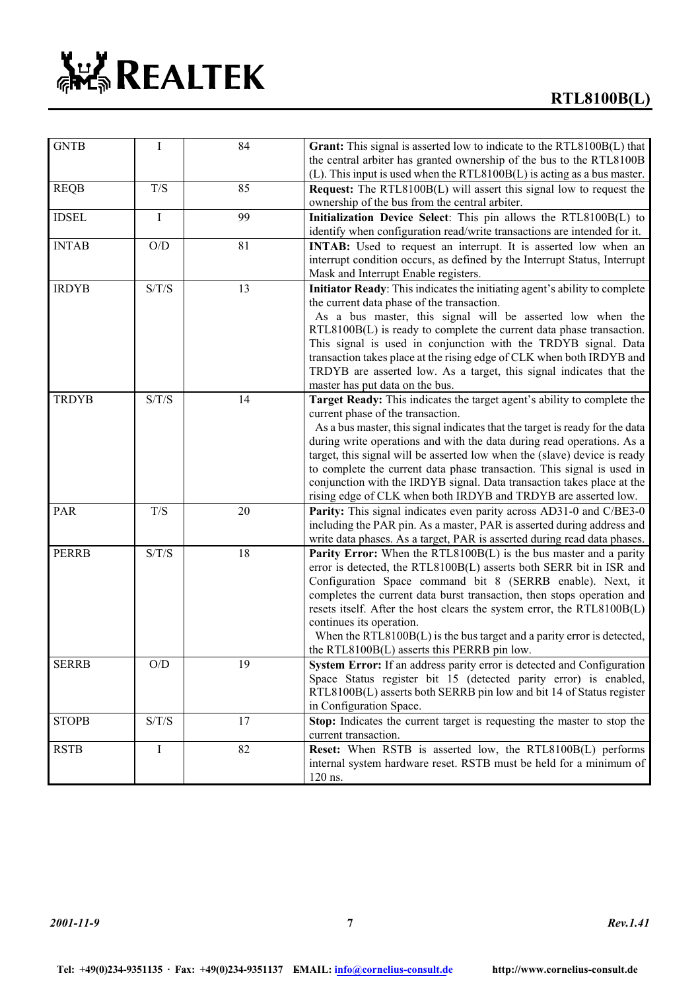| <b>GNTB</b>  | I                       | 84     | Grant: This signal is asserted low to indicate to the RTL8100B(L) that<br>the central arbiter has granted ownership of the bus to the RTL8100B                                                                                                                                                                                                                                                                                                                                                                                                                            |
|--------------|-------------------------|--------|---------------------------------------------------------------------------------------------------------------------------------------------------------------------------------------------------------------------------------------------------------------------------------------------------------------------------------------------------------------------------------------------------------------------------------------------------------------------------------------------------------------------------------------------------------------------------|
| <b>REQB</b>  | T/S                     | 85     | (L). This input is used when the RTL8100B(L) is acting as a bus master.<br><b>Request:</b> The RTL8100B(L) will assert this signal low to request the<br>ownership of the bus from the central arbiter.                                                                                                                                                                                                                                                                                                                                                                   |
| <b>IDSEL</b> | Ι                       | 99     | Initialization Device Select: This pin allows the RTL8100B(L) to<br>identify when configuration read/write transactions are intended for it.                                                                                                                                                                                                                                                                                                                                                                                                                              |
| <b>INTAB</b> | O/D                     | 81     | INTAB: Used to request an interrupt. It is asserted low when an<br>interrupt condition occurs, as defined by the Interrupt Status, Interrupt<br>Mask and Interrupt Enable registers.                                                                                                                                                                                                                                                                                                                                                                                      |
| <b>IRDYB</b> | S/T/S                   | 13     | Initiator Ready: This indicates the initiating agent's ability to complete<br>the current data phase of the transaction.<br>As a bus master, this signal will be asserted low when the<br>$RTL8100B(L)$ is ready to complete the current data phase transaction.<br>This signal is used in conjunction with the TRDYB signal. Data<br>transaction takes place at the rising edge of CLK when both IRDYB and<br>TRDYB are asserted low. As a target, this signal indicates that the<br>master has put data on the bus.                                                     |
| <b>TRDYB</b> | S/T/S                   | 14     | Target Ready: This indicates the target agent's ability to complete the<br>current phase of the transaction.<br>As a bus master, this signal indicates that the target is ready for the data<br>during write operations and with the data during read operations. As a<br>target, this signal will be asserted low when the (slave) device is ready<br>to complete the current data phase transaction. This signal is used in<br>conjunction with the IRDYB signal. Data transaction takes place at the<br>rising edge of CLK when both IRDYB and TRDYB are asserted low. |
| PAR          | T/S                     | $20\,$ | Parity: This signal indicates even parity across AD31-0 and C/BE3-0<br>including the PAR pin. As a master, PAR is asserted during address and<br>write data phases. As a target, PAR is asserted during read data phases.                                                                                                                                                                                                                                                                                                                                                 |
| <b>PERRB</b> | S/T/S                   | 18     | <b>Parity Error:</b> When the RTL8100B(L) is the bus master and a parity<br>error is detected, the RTL8100B(L) asserts both SERR bit in ISR and<br>Configuration Space command bit 8 (SERRB enable). Next, it<br>completes the current data burst transaction, then stops operation and<br>resets itself. After the host clears the system error, the RTL8100B(L)<br>continues its operation.<br>When the RTL8100B(L) is the bus target and a parity error is detected,<br>the RTL8100B(L) asserts this PERRB pin low.                                                    |
| <b>SERRB</b> | $\mathrm{O}/\mathrm{D}$ | 19     | System Error: If an address parity error is detected and Configuration<br>Space Status register bit 15 (detected parity error) is enabled,<br>RTL8100B(L) asserts both SERRB pin low and bit 14 of Status register<br>in Configuration Space.                                                                                                                                                                                                                                                                                                                             |
| <b>STOPB</b> | S/T/S                   | 17     | Stop: Indicates the current target is requesting the master to stop the<br>current transaction.                                                                                                                                                                                                                                                                                                                                                                                                                                                                           |
| <b>RSTB</b>  | $\bf{I}$                | 82     | Reset: When RSTB is asserted low, the RTL8100B(L) performs<br>internal system hardware reset. RSTB must be held for a minimum of<br>120 ns.                                                                                                                                                                                                                                                                                                                                                                                                                               |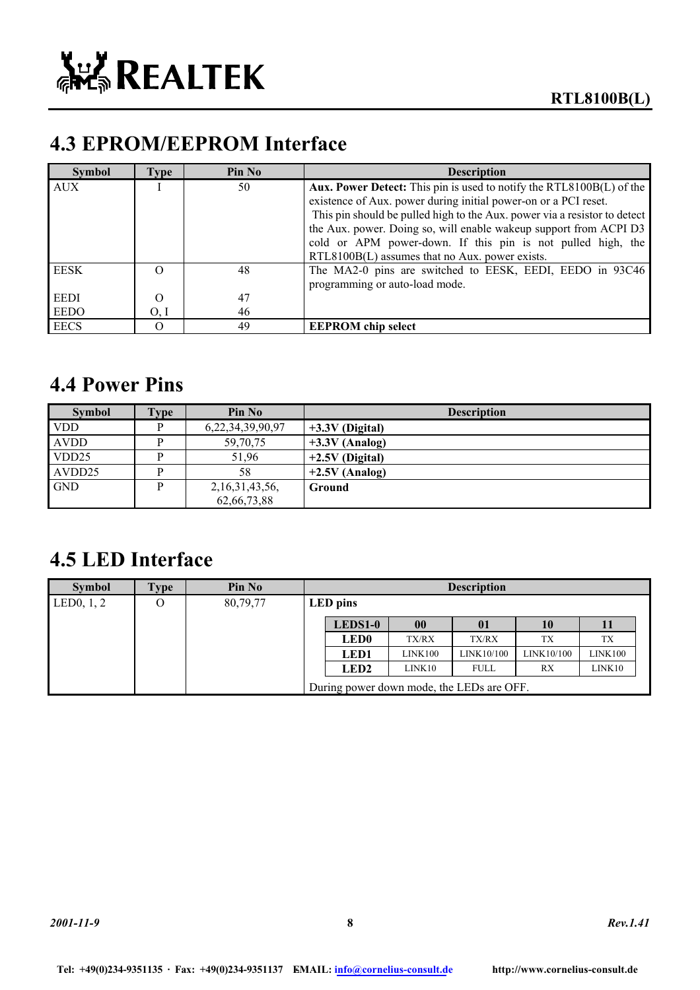# **4.3 EPROM/EEPROM Interface**

| <b>Symbol</b> | Type     | Pin No | <b>Description</b>                                                        |
|---------------|----------|--------|---------------------------------------------------------------------------|
| <b>AUX</b>    |          | 50     | Aux. Power Detect: This pin is used to notify the RTL8100B(L) of the      |
|               |          |        | existence of Aux. power during initial power-on or a PCI reset.           |
|               |          |        | This pin should be pulled high to the Aux. power via a resistor to detect |
|               |          |        | the Aux. power. Doing so, will enable wakeup support from ACPI D3         |
|               |          |        | cold or APM power-down. If this pin is not pulled high, the               |
|               |          |        | RTL8100B(L) assumes that no Aux. power exists.                            |
| EESK          |          | 48     | The MA2-0 pins are switched to EESK, EEDI, EEDO in 93C46                  |
|               |          |        | programming or auto-load mode.                                            |
| <b>EEDI</b>   | $\Omega$ | 47     |                                                                           |
| EEDO          | O, I     | 46     |                                                                           |
| <b>EECS</b>   |          | 49     | <b>EEPROM</b> chip select                                                 |

### **4.4 Power Pins**

| <b>Symbol</b>     | <b>ype</b> | Pin No             | <b>Description</b> |
|-------------------|------------|--------------------|--------------------|
| <b>VDD</b>        |            | 6,22,34,39,90,97   | $+3.3V$ (Digital)  |
| <b>AVDD</b>       |            | 59,70,75           | $+3.3V$ (Analog)   |
| VDD <sub>25</sub> |            | 51.96              | $+2.5V$ (Digital)  |
| AVDD25            |            | 58                 | $+2.5V$ (Analog)   |
| <b>GND</b>        |            | 2, 16, 31, 43, 56, | Ground             |
|                   |            | 62,66,73,88        |                    |

### **4.5 LED Interface**

| <b>Symbol</b>             | Fype | Pin No   |                                           |              | <b>Description</b> |            |         |
|---------------------------|------|----------|-------------------------------------------|--------------|--------------------|------------|---------|
| LED <sub>0</sub> , $1, 2$ | O    | 80,79,77 | LED pins                                  |              |                    |            |         |
|                           |      |          | LEDS1-0                                   | 00           | 01                 | 10         | 11      |
|                           |      |          | <b>LED0</b>                               | <b>TX/RX</b> | <b>TX/RX</b>       | TX         | TX      |
|                           |      |          | LED1                                      | LINK100      | LINK10/100         | LINK10/100 | LINK100 |
|                           |      |          | LED <sub>2</sub>                          | LINK10       | <b>FULL</b>        | RX         | LINK10  |
|                           |      |          | During power down mode, the LEDs are OFF. |              |                    |            |         |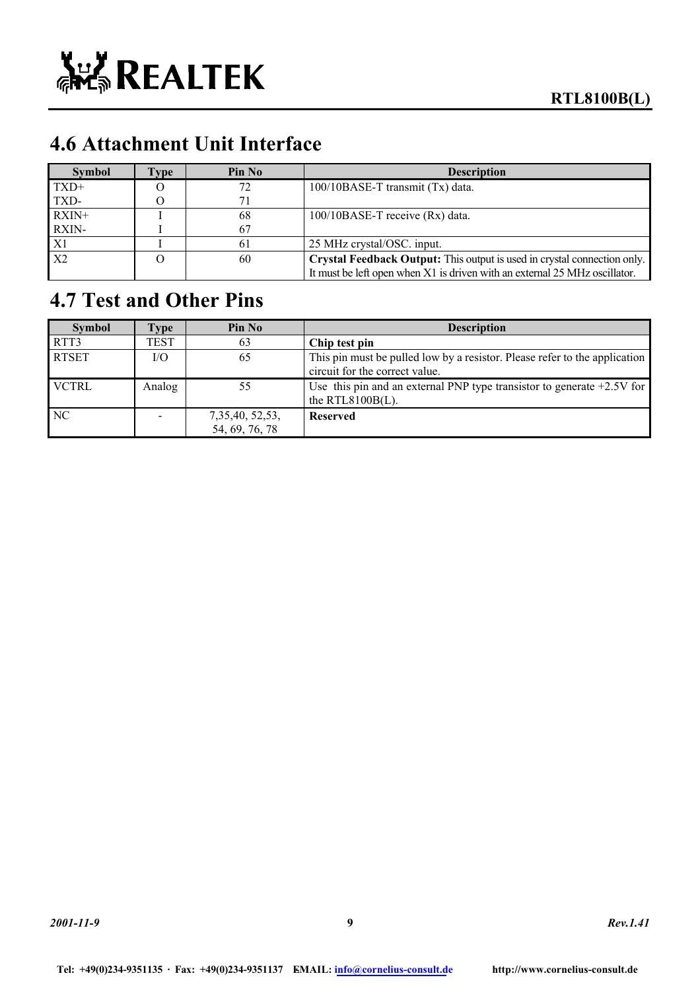

# **4.6 Attachment Unit Interface**

| <b>Symbol</b>  | l'vpe | Pin No | <b>Description</b>                                                         |
|----------------|-------|--------|----------------------------------------------------------------------------|
| $TXD+$         |       | 72     | 100/10BASE-T transmit (Tx) data.                                           |
| TXD-           |       | 71     |                                                                            |
| $RXIN+$        |       | 68     | $100/10BASE-T$ receive $(Rx)$ data.                                        |
| RXIN-          |       | 67     |                                                                            |
| X1             |       | 61     | 25 MHz crystal/OSC. input.                                                 |
| X <sub>2</sub> |       | 60     | Crystal Feedback Output: This output is used in crystal connection only.   |
|                |       |        | It must be left open when X1 is driven with an external 25 MHz oscillator. |

# **4.7 Test and Other Pins**

| <b>Symbol</b> | l'vpe  | Pin No                               | <b>Description</b>                                                                                           |
|---------------|--------|--------------------------------------|--------------------------------------------------------------------------------------------------------------|
| RTT3          | TEST   | 63                                   | Chip test pin                                                                                                |
| <b>RTSET</b>  | I/O    | 65                                   | This pin must be pulled low by a resistor. Please refer to the application<br>circuit for the correct value. |
| <b>VCTRL</b>  | Analog | 55                                   | Use this pin and an external PNP type transistor to generate $+2.5V$ for<br>the RTL8100B $(L)$ .             |
| NC.           |        | 7, 35, 40, 52, 53,<br>54, 69, 76, 78 | <b>Reserved</b>                                                                                              |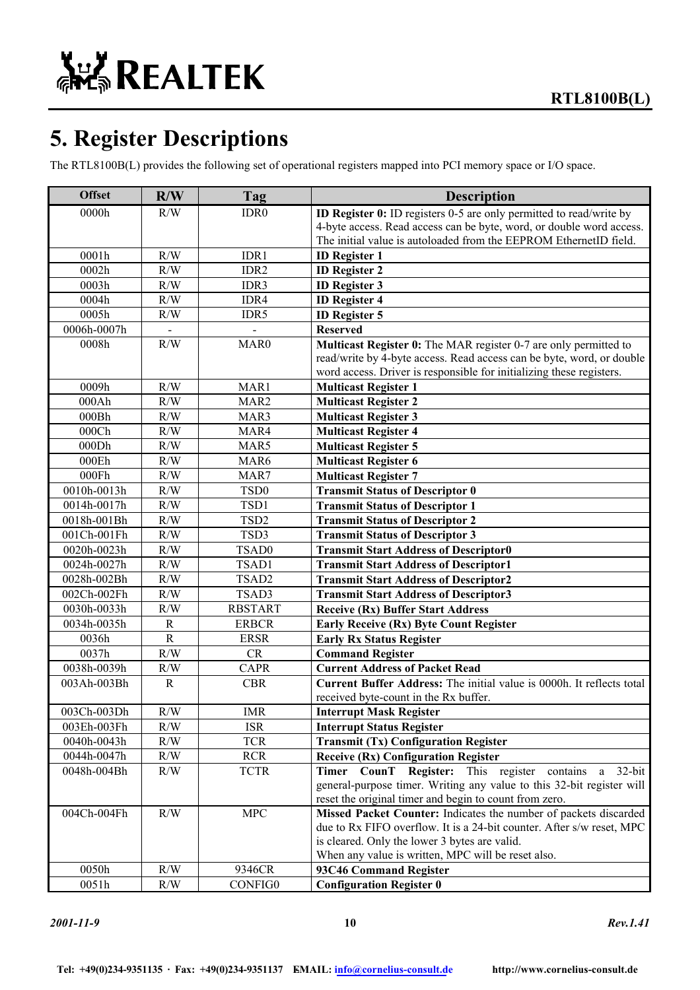# **5. Register Descriptions**

The RTL8100B(L) provides the following set of operational registers mapped into PCI memory space or I/O space.

| <b>Offset</b> | R/W          | Tag              | <b>Description</b>                                                    |
|---------------|--------------|------------------|-----------------------------------------------------------------------|
| 0000h         | R/W          | IDR <sub>0</sub> | ID Register 0: ID registers 0-5 are only permitted to read/write by   |
|               |              |                  | 4-byte access. Read access can be byte, word, or double word access.  |
|               |              |                  | The initial value is autoloaded from the EEPROM EthernetID field.     |
| 0001h         | R/W          | IDR1             | <b>ID</b> Register 1                                                  |
| 0002h         | R/W          | IDR2             | <b>ID Register 2</b>                                                  |
| 0003h         | R/W          | IDR3             | <b>ID</b> Register 3                                                  |
| 0004h         | R/W          | IDR4             | <b>ID Register 4</b>                                                  |
| 0005h         | R/W          | IDR5             | <b>ID Register 5</b>                                                  |
| 0006h-0007h   |              |                  | <b>Reserved</b>                                                       |
| 0008h         | R/W          | MAR <sub>0</sub> | Multicast Register 0: The MAR register 0-7 are only permitted to      |
|               |              |                  | read/write by 4-byte access. Read access can be byte, word, or double |
|               |              |                  | word access. Driver is responsible for initializing these registers.  |
| 0009h         | R/W          | MAR1             | <b>Multicast Register 1</b>                                           |
| 000Ah         | R/W          | MAR <sub>2</sub> | <b>Multicast Register 2</b>                                           |
| 000Bh         | R/W          | MAR3             | <b>Multicast Register 3</b>                                           |
| 000Ch         | R/W          | MAR4             | <b>Multicast Register 4</b>                                           |
| 000Dh         | R/W          | MAR5             | <b>Multicast Register 5</b>                                           |
| 000Eh         | R/W          | MAR6             | <b>Multicast Register 6</b>                                           |
| 000Fh         | R/W          | MAR7             | <b>Multicast Register 7</b>                                           |
| 0010h-0013h   | R/W          | TSD <sub>0</sub> | <b>Transmit Status of Descriptor 0</b>                                |
| 0014h-0017h   | R/W          | TSD1             | <b>Transmit Status of Descriptor 1</b>                                |
| 0018h-001Bh   | R/W          | TSD <sub>2</sub> | <b>Transmit Status of Descriptor 2</b>                                |
| 001Ch-001Fh   | R/W          | TSD3             | <b>Transmit Status of Descriptor 3</b>                                |
| 0020h-0023h   | R/W          | TSAD0            | <b>Transmit Start Address of Descriptor0</b>                          |
| 0024h-0027h   | R/W          | TSAD1            | <b>Transmit Start Address of Descriptor1</b>                          |
| 0028h-002Bh   | R/W          | TSAD2            | <b>Transmit Start Address of Descriptor2</b>                          |
| 002Ch-002Fh   | R/W          | TSAD3            | <b>Transmit Start Address of Descriptor3</b>                          |
| 0030h-0033h   | R/W          | <b>RBSTART</b>   | <b>Receive (Rx) Buffer Start Address</b>                              |
| 0034h-0035h   | $\mathbb{R}$ | <b>ERBCR</b>     | <b>Early Receive (Rx) Byte Count Register</b>                         |
| 0036h         | $\mathbf R$  | <b>ERSR</b>      | <b>Early Rx Status Register</b>                                       |
| 0037h         | R/W          | CR               | <b>Command Register</b>                                               |
| 0038h-0039h   | R/W          | <b>CAPR</b>      | <b>Current Address of Packet Read</b>                                 |
| 003Ah-003Bh   | $\mathbb{R}$ | <b>CBR</b>       | Current Buffer Address: The initial value is 0000h. It reflects total |
|               |              |                  | received byte-count in the Rx buffer.                                 |
| 003Ch-003Dh   | R/W          | <b>IMR</b>       | <b>Interrupt Mask Register</b>                                        |
| 003Eh-003Fh   | $\rm R/W$    | <b>ISR</b>       | <b>Interrupt Status Register</b>                                      |
| 0040h-0043h   | R/W          | <b>TCR</b>       | <b>Transmit (Tx) Configuration Register</b>                           |
| 0044h-0047h   | $\rm R/W$    | <b>RCR</b>       | <b>Receive (Rx) Configuration Register</b>                            |
| 0048h-004Bh   | R/W          | <b>TCTR</b>      | Timer CounT Register: This register contains<br>$32$ -bit<br>a        |
|               |              |                  | general-purpose timer. Writing any value to this 32-bit register will |
|               |              |                  | reset the original timer and begin to count from zero.                |
| 004Ch-004Fh   | R/W          | <b>MPC</b>       | Missed Packet Counter: Indicates the number of packets discarded      |
|               |              |                  | due to Rx FIFO overflow. It is a 24-bit counter. After s/w reset, MPC |
|               |              |                  | is cleared. Only the lower 3 bytes are valid.                         |
|               |              |                  | When any value is written, MPC will be reset also.                    |
| 0050h         | $\rm R/W$    | 9346CR           | 93C46 Command Register                                                |
| 0051h         | R/W          | CONFIG0          | <b>Configuration Register 0</b>                                       |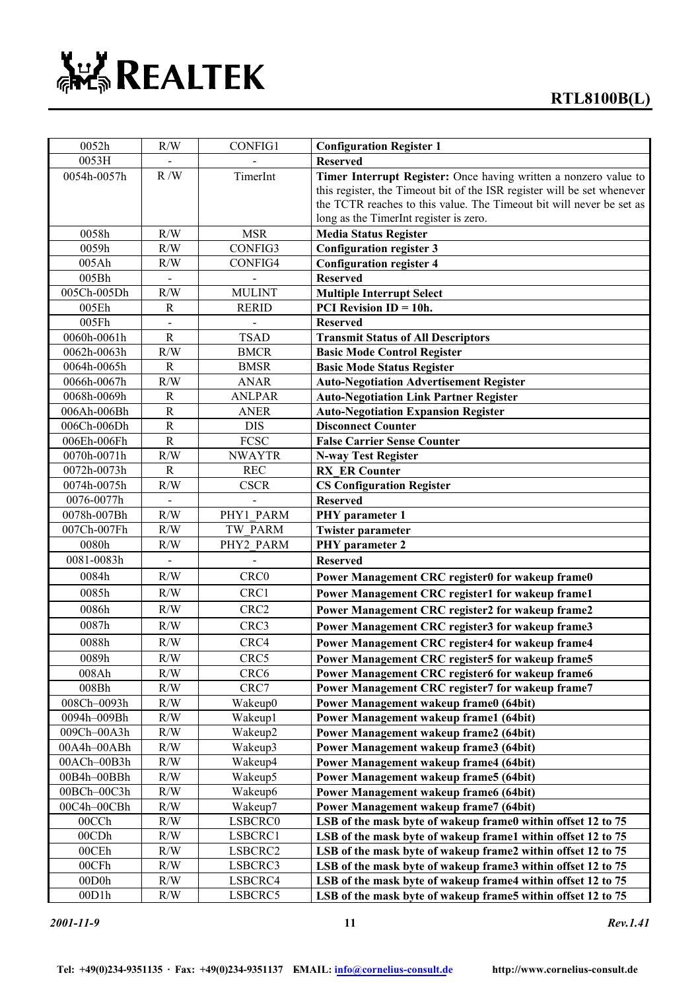| 0052h       | R/W            | <b>CONFIG1</b>   | <b>Configuration Register 1</b>                                                                                                                                                                                     |
|-------------|----------------|------------------|---------------------------------------------------------------------------------------------------------------------------------------------------------------------------------------------------------------------|
| 0053H       |                |                  | <b>Reserved</b>                                                                                                                                                                                                     |
| 0054h-0057h | R/W            | TimerInt         | Timer Interrupt Register: Once having written a nonzero value to<br>this register, the Timeout bit of the ISR register will be set whenever<br>the TCTR reaches to this value. The Timeout bit will never be set as |
|             |                |                  | long as the TimerInt register is zero.                                                                                                                                                                              |
| 0058h       | R/W            | <b>MSR</b>       | <b>Media Status Register</b>                                                                                                                                                                                        |
| 0059h       | R/W            | CONFIG3          | <b>Configuration register 3</b>                                                                                                                                                                                     |
| 005Ah       | R/W            | CONFIG4          | <b>Configuration register 4</b>                                                                                                                                                                                     |
| 005Bh       |                |                  | <b>Reserved</b>                                                                                                                                                                                                     |
| 005Ch-005Dh | R/W            | <b>MULINT</b>    | <b>Multiple Interrupt Select</b>                                                                                                                                                                                    |
| 005Eh       | $\mathbf R$    | <b>RERID</b>     | <b>PCI</b> Revision $ID = 10h$ .                                                                                                                                                                                    |
| 005Fh       |                |                  | <b>Reserved</b>                                                                                                                                                                                                     |
| 0060h-0061h | R              | <b>TSAD</b>      | <b>Transmit Status of All Descriptors</b>                                                                                                                                                                           |
| 0062h-0063h | R/W            | <b>BMCR</b>      | <b>Basic Mode Control Register</b>                                                                                                                                                                                  |
| 0064h-0065h | $\mathbf R$    | <b>BMSR</b>      | <b>Basic Mode Status Register</b>                                                                                                                                                                                   |
| 0066h-0067h | R/W            | <b>ANAR</b>      | <b>Auto-Negotiation Advertisement Register</b>                                                                                                                                                                      |
| 0068h-0069h | $\mathbf R$    | <b>ANLPAR</b>    | <b>Auto-Negotiation Link Partner Register</b>                                                                                                                                                                       |
| 006Ah-006Bh | ${\bf R}$      | <b>ANER</b>      | <b>Auto-Negotiation Expansion Register</b>                                                                                                                                                                          |
| 006Ch-006Dh | $\overline{R}$ | <b>DIS</b>       | <b>Disconnect Counter</b>                                                                                                                                                                                           |
| 006Eh-006Fh | $\overline{R}$ | FCSC             | <b>False Carrier Sense Counter</b>                                                                                                                                                                                  |
| 0070h-0071h | R/W            | <b>NWAYTR</b>    | <b>N-way Test Register</b>                                                                                                                                                                                          |
| 0072h-0073h | R              | <b>REC</b>       | <b>RX ER Counter</b>                                                                                                                                                                                                |
| 0074h-0075h | R/W            | <b>CSCR</b>      | <b>CS Configuration Register</b>                                                                                                                                                                                    |
| 0076-0077h  |                |                  | <b>Reserved</b>                                                                                                                                                                                                     |
| 0078h-007Bh | R/W            | PHY1 PARM        | PHY parameter 1                                                                                                                                                                                                     |
| 007Ch-007Fh | R/W            | TW PARM          | <b>Twister parameter</b>                                                                                                                                                                                            |
| 0080h       | R/W            | PHY2 PARM        | PHY parameter 2                                                                                                                                                                                                     |
| 0081-0083h  | $\blacksquare$ |                  | <b>Reserved</b>                                                                                                                                                                                                     |
| 0084h       | R/W            | CRC0             | Power Management CRC register0 for wakeup frame0                                                                                                                                                                    |
| 0085h       | R/W            | CRC1             | Power Management CRC register1 for wakeup frame1                                                                                                                                                                    |
| 0086h       | R/W            | CRC <sub>2</sub> | Power Management CRC register2 for wakeup frame2                                                                                                                                                                    |
| 0087h       | R/W            | CRC3             | Power Management CRC register3 for wakeup frame3                                                                                                                                                                    |
| 0088h       | R/W            | CRC4             | Power Management CRC register4 for wakeup frame4                                                                                                                                                                    |
| 0089h       | R/W            | CRC5             | Power Management CRC register5 for wakeup frame5                                                                                                                                                                    |
| 008Ah       | R/W            | CRC <sub>6</sub> | Power Management CRC register6 for wakeup frame6                                                                                                                                                                    |
| 008Bh       | R/W            | CRC7             | Power Management CRC register7 for wakeup frame7                                                                                                                                                                    |
| 008Ch-0093h | $\rm R/W$      | Wakeup0          | Power Management wakeup frame0 (64bit)                                                                                                                                                                              |
| 0094h-009Bh | R/W            | Wakeup1          | Power Management wakeup frame1 (64bit)                                                                                                                                                                              |
| 009Ch-00A3h | R/W            | Wakeup2          | Power Management wakeup frame2 (64bit)                                                                                                                                                                              |
| 00A4h-00ABh | R/W            | Wakeup3          | Power Management wakeup frame3 (64bit)                                                                                                                                                                              |
| 00ACh-00B3h | R/W            | Wakeup4          | Power Management wakeup frame4 (64bit)                                                                                                                                                                              |
| 00B4h-00BBh | R/W            | Wakeup5          | Power Management wakeup frame5 (64bit)                                                                                                                                                                              |
| 00BCh-00C3h | R/W            | Wakeup6          | Power Management wakeup frame6 (64bit)                                                                                                                                                                              |
| 00C4h-00CBh | R/W            | Wakeup7          | Power Management wakeup frame7 (64bit)                                                                                                                                                                              |
| 00CCh       | R/W            | LSBCRC0          | LSB of the mask byte of wakeup frame0 within offset 12 to 75                                                                                                                                                        |
| 00CDh       | R/W            | LSBCRC1          | LSB of the mask byte of wakeup frame1 within offset 12 to 75                                                                                                                                                        |
| 00CEh       | $\rm R/W$      | LSBCRC2          | LSB of the mask byte of wakeup frame2 within offset 12 to 75                                                                                                                                                        |
| 00CFh       | R/W            | LSBCRC3          | LSB of the mask byte of wakeup frame3 within offset 12 to 75                                                                                                                                                        |
| 00D0h       | R/W            | LSBCRC4          | LSB of the mask byte of wakeup frame4 within offset 12 to 75                                                                                                                                                        |
| 00D1h       | R/W            | LSBCRC5          | LSB of the mask byte of wakeup frame5 within offset 12 to 75                                                                                                                                                        |

*2001-11-9* **11** *Rev.1.41*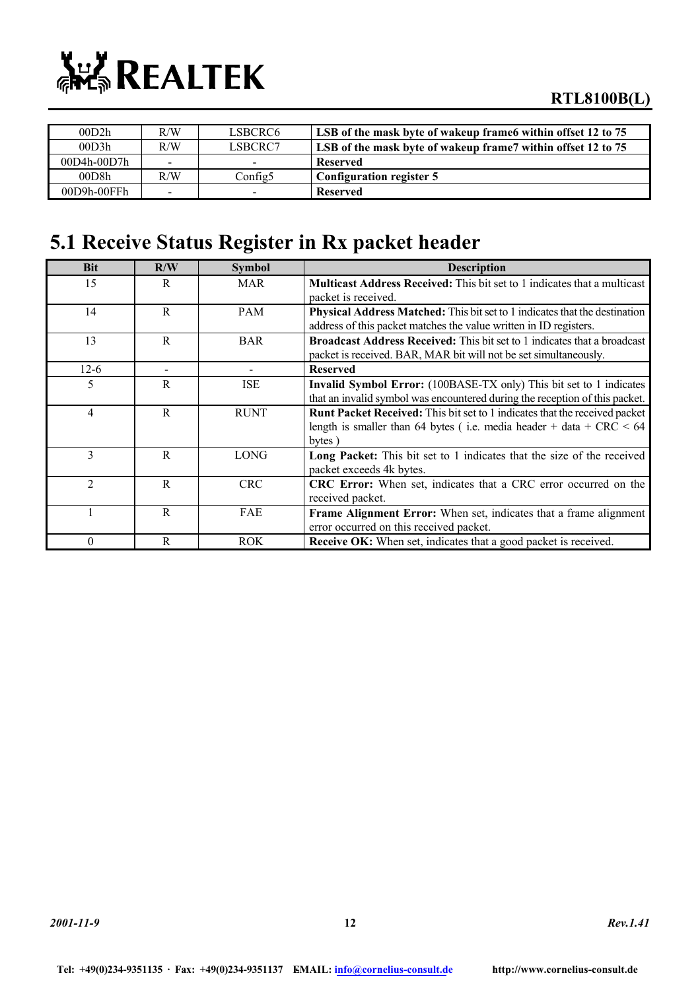

| 00D2h         | R/W                      | LSBCRC6-                 | LSB of the mask byte of wakeup frame within offset 12 to 75  |
|---------------|--------------------------|--------------------------|--------------------------------------------------------------|
| 00D3h         | R/W                      | LSBCRC7                  | LSB of the mask byte of wakeup frame7 within offset 12 to 75 |
| $00D4h-00D7h$ | $\overline{\phantom{0}}$ | $\overline{\phantom{0}}$ | <b>Reserved</b>                                              |
| 00D8h         | R/W                      | Config5                  | Configuration register 5                                     |
| 00D9h-00FFh   | $\overline{\phantom{0}}$ | -                        | <b>Reserved</b>                                              |

### **5.1 Receive Status Register in Rx packet header**

| <b>Bit</b>     | R/W                      | <b>Symbol</b>                | <b>Description</b>                                                                |
|----------------|--------------------------|------------------------------|-----------------------------------------------------------------------------------|
| 15             | R                        | <b>MAR</b>                   | <b>Multicast Address Received:</b> This bit set to 1 indicates that a multicast   |
|                |                          |                              | packet is received.                                                               |
| 14             | R                        | <b>PAM</b>                   | <b>Physical Address Matched:</b> This bit set to 1 indicates that the destination |
|                |                          |                              | address of this packet matches the value written in ID registers.                 |
| 13             | $\mathbf{R}$             | <b>BAR</b>                   | Broadcast Address Received: This bit set to 1 indicates that a broadcast          |
|                |                          |                              | packet is received. BAR, MAR bit will not be set simultaneously.                  |
| $12-6$         | $\overline{\phantom{a}}$ | $\qquad \qquad \blacksquare$ | <b>Reserved</b>                                                                   |
| 5              | R                        | <b>ISE</b>                   | Invalid Symbol Error: (100BASE-TX only) This bit set to 1 indicates               |
|                |                          |                              | that an invalid symbol was encountered during the reception of this packet.       |
| $\overline{4}$ | R                        | <b>RUNT</b>                  | <b>Runt Packet Received:</b> This bit set to 1 indicates that the received packet |
|                |                          |                              | length is smaller than 64 bytes (i.e. media header + data + $CRC < 64$            |
|                |                          |                              | bytes)                                                                            |
| 3              | R                        | <b>LONG</b>                  | Long Packet: This bit set to 1 indicates that the size of the received            |
|                |                          |                              | packet exceeds 4k bytes.                                                          |
| $\mathfrak{D}$ | R                        | <b>CRC</b>                   | CRC Error: When set, indicates that a CRC error occurred on the                   |
|                |                          |                              | received packet.                                                                  |
|                | R                        | <b>FAE</b>                   | <b>Frame Alignment Error:</b> When set, indicates that a frame alignment          |
|                |                          |                              | error occurred on this received packet.                                           |
| $\Omega$       | R                        | <b>ROK</b>                   | <b>Receive OK:</b> When set, indicates that a good packet is received.            |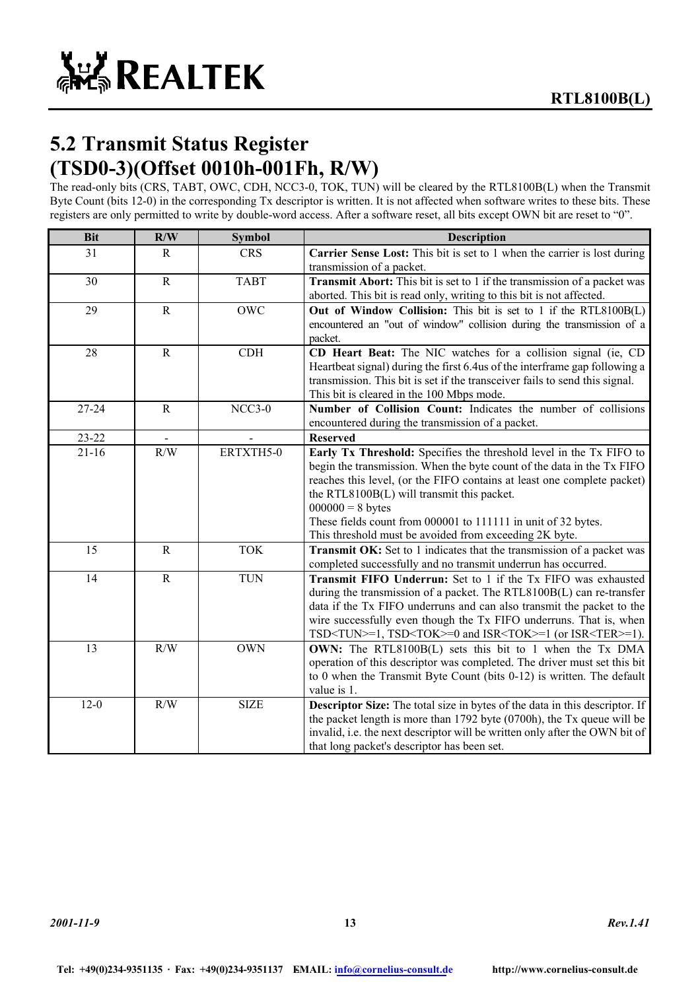### **5.2 Transmit Status Register (TSD0-3)(Offset 0010h-001Fh, R/W)**

The read-only bits (CRS, TABT, OWC, CDH, NCC3-0, TOK, TUN) will be cleared by the RTL8100B(L) when the Transmit Byte Count (bits 12-0) in the corresponding Tx descriptor is written. It is not affected when software writes to these bits. These registers are only permitted to write by double-word access. After a software reset, all bits except OWN bit are reset to "0".

| <b>Bit</b> | R/W          | <b>Symbol</b> | <b>Description</b>                                                                                                                                                                                                                                                                                                                                                                                                      |  |  |  |  |
|------------|--------------|---------------|-------------------------------------------------------------------------------------------------------------------------------------------------------------------------------------------------------------------------------------------------------------------------------------------------------------------------------------------------------------------------------------------------------------------------|--|--|--|--|
| 31         | $\mathbf{R}$ | <b>CRS</b>    | Carrier Sense Lost: This bit is set to 1 when the carrier is lost during<br>transmission of a packet.                                                                                                                                                                                                                                                                                                                   |  |  |  |  |
| 30         | $\mathbf R$  | <b>TABT</b>   | <b>Transmit Abort:</b> This bit is set to 1 if the transmission of a packet was<br>aborted. This bit is read only, writing to this bit is not affected.                                                                                                                                                                                                                                                                 |  |  |  |  |
| 29         | $\mathbf R$  | <b>OWC</b>    | Out of Window Collision: This bit is set to 1 if the RTL8100B(L)<br>encountered an "out of window" collision during the transmission of a<br>packet.                                                                                                                                                                                                                                                                    |  |  |  |  |
| 28         | $\mathbf R$  | CDH           | CD Heart Beat: The NIC watches for a collision signal (ie, CD<br>Heartbeat signal) during the first 6.4 us of the interframe gap following a<br>transmission. This bit is set if the transceiver fails to send this signal.<br>This bit is cleared in the 100 Mbps mode.                                                                                                                                                |  |  |  |  |
| 27-24      | $\mathbf R$  | $NCC3-0$      | Number of Collision Count: Indicates the number of collisions<br>encountered during the transmission of a packet.                                                                                                                                                                                                                                                                                                       |  |  |  |  |
| $23 - 22$  |              |               | <b>Reserved</b>                                                                                                                                                                                                                                                                                                                                                                                                         |  |  |  |  |
| $21 - 16$  | R/W          | ERTXTH5-0     | Early Tx Threshold: Specifies the threshold level in the Tx FIFO to<br>begin the transmission. When the byte count of the data in the Tx FIFO<br>reaches this level, (or the FIFO contains at least one complete packet)<br>the RTL8100B(L) will transmit this packet.<br>$000000 = 8$ bytes<br>These fields count from 000001 to 111111 in unit of 32 bytes.<br>This threshold must be avoided from exceeding 2K byte. |  |  |  |  |
| 15         | $\mathbf R$  | <b>TOK</b>    | Transmit OK: Set to 1 indicates that the transmission of a packet was<br>completed successfully and no transmit underrun has occurred.                                                                                                                                                                                                                                                                                  |  |  |  |  |
| 14         | $\mathbf R$  | <b>TUN</b>    | <b>Transmit FIFO Underrun:</b> Set to 1 if the Tx FIFO was exhausted<br>during the transmission of a packet. The RTL8100B(L) can re-transfer<br>data if the Tx FIFO underruns and can also transmit the packet to the<br>wire successfully even though the Tx FIFO underruns. That is, when<br>$TSD < TUN > = 1$ , $TSD < TOK > = 0$ and $ISR < TOK > = 1$ (or $ISR < TER > = 1$ ).                                     |  |  |  |  |
| 13         | R/W          | <b>OWN</b>    | OWN: The RTL8100B(L) sets this bit to 1 when the Tx DMA<br>operation of this descriptor was completed. The driver must set this bit<br>to 0 when the Transmit Byte Count (bits $0-12$ ) is written. The default<br>value is 1.                                                                                                                                                                                          |  |  |  |  |
| $12 - 0$   | R/W          | <b>SIZE</b>   | Descriptor Size: The total size in bytes of the data in this descriptor. If<br>the packet length is more than $1792$ byte $(0700h)$ , the Tx queue will be<br>invalid, i.e. the next descriptor will be written only after the OWN bit of<br>that long packet's descriptor has been set.                                                                                                                                |  |  |  |  |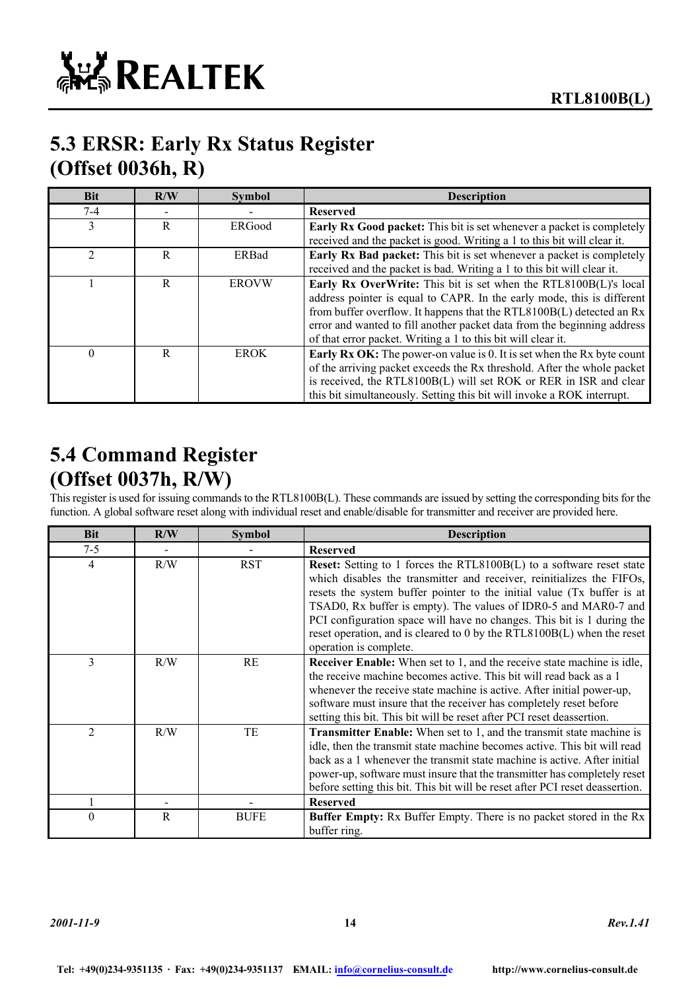

### **5.3 ERSR: Early Rx Status Register (Offset 0036h, R)**

| <b>Bit</b>   | R/W | <b>Symbol</b> | <b>Description</b>                                                           |
|--------------|-----|---------------|------------------------------------------------------------------------------|
| $7-4$        |     |               | <b>Reserved</b>                                                              |
| $\mathbf{3}$ | R   | ERGood        | <b>Early Rx Good packet:</b> This bit is set whenever a packet is completely |
|              |     |               | received and the packet is good. Writing a 1 to this bit will clear it.      |
| ∍            | R   | ERBad         | <b>Early Rx Bad packet:</b> This bit is set whenever a packet is completely  |
|              |     |               | received and the packet is bad. Writing a 1 to this bit will clear it.       |
|              | R   | <b>EROVW</b>  | Early Rx OverWrite: This bit is set when the RTL8100B(L)'s local             |
|              |     |               | address pointer is equal to CAPR. In the early mode, this is different       |
|              |     |               | from buffer overflow. It happens that the RTL8100B(L) detected an Rx         |
|              |     |               | error and wanted to fill another packet data from the beginning address      |
|              |     |               | of that error packet. Writing a 1 to this bit will clear it.                 |
| $\Omega$     | R   | <b>EROK</b>   | Early Rx OK: The power-on value is 0. It is set when the Rx byte count       |
|              |     |               | of the arriving packet exceeds the Rx threshold. After the whole packet      |
|              |     |               | is received, the RTL8100B(L) will set ROK or RER in ISR and clear            |
|              |     |               | this bit simultaneously. Setting this bit will invoke a ROK interrupt.       |

### **5.4 Command Register (Offset 0037h, R/W)**

This register is used for issuing commands to the RTL8100B(L). These commands are issued by setting the corresponding bits for the function. A global software reset along with individual reset and enable/disable for transmitter and receiver are provided here.

| <b>Bit</b>     | R/W | <b>Symbol</b> | <b>Description</b>                                                                                                                                                                                                                                                                                                                                                                                                                                                              |
|----------------|-----|---------------|---------------------------------------------------------------------------------------------------------------------------------------------------------------------------------------------------------------------------------------------------------------------------------------------------------------------------------------------------------------------------------------------------------------------------------------------------------------------------------|
| $7 - 5$        |     |               | <b>Reserved</b>                                                                                                                                                                                                                                                                                                                                                                                                                                                                 |
| $\overline{4}$ | R/W | <b>RST</b>    | <b>Reset:</b> Setting to 1 forces the RTL8100B(L) to a software reset state<br>which disables the transmitter and receiver, reinitializes the FIFOs,<br>resets the system buffer pointer to the initial value (Tx buffer is at<br>TSAD0, Rx buffer is empty). The values of IDR0-5 and MAR0-7 and<br>PCI configuration space will have no changes. This bit is 1 during the<br>reset operation, and is cleared to 0 by the RTL8100B(L) when the reset<br>operation is complete. |
| 3              | R/W | RE            | <b>Receiver Enable:</b> When set to 1, and the receive state machine is idle,<br>the receive machine becomes active. This bit will read back as a 1<br>whenever the receive state machine is active. After initial power-up,<br>software must insure that the receiver has completely reset before<br>setting this bit. This bit will be reset after PCI reset deassertion.                                                                                                     |
| $\mathfrak{D}$ | R/W | TE            | <b>Transmitter Enable:</b> When set to 1, and the transmit state machine is<br>idle, then the transmit state machine becomes active. This bit will read<br>back as a 1 whenever the transmit state machine is active. After initial<br>power-up, software must insure that the transmitter has completely reset<br>before setting this bit. This bit will be reset after PCI reset deassertion.                                                                                 |
|                |     |               | <b>Reserved</b>                                                                                                                                                                                                                                                                                                                                                                                                                                                                 |
| $\theta$       | R   | <b>BUFE</b>   | <b>Buffer Empty:</b> Rx Buffer Empty. There is no packet stored in the Rx<br>buffer ring.                                                                                                                                                                                                                                                                                                                                                                                       |

*2001-11-9* **14** *Rev.1.41*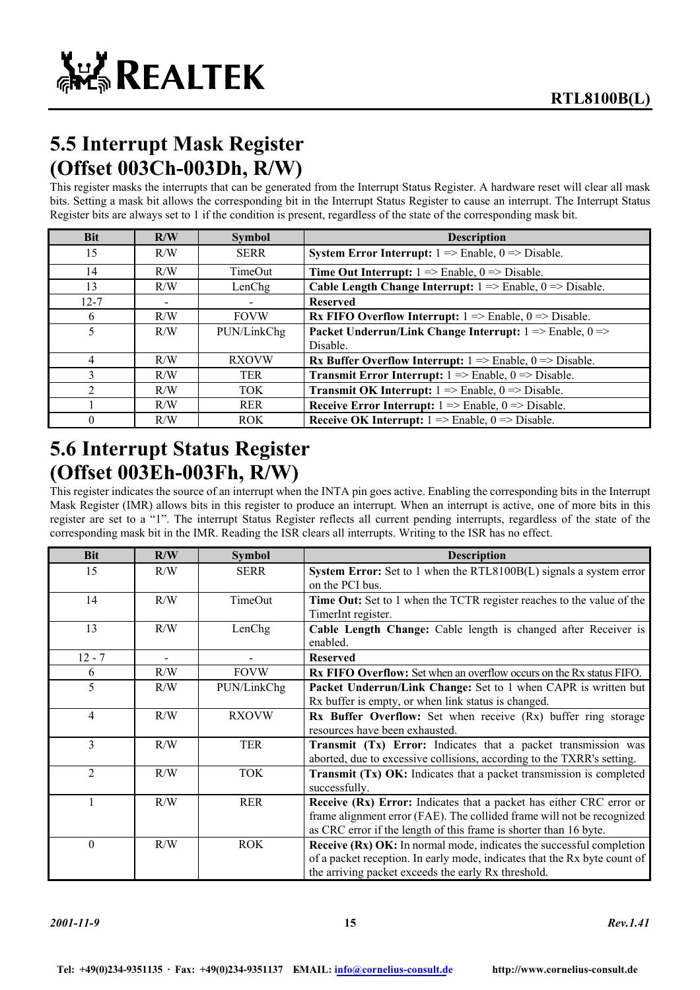# **5.5 Interrupt Mask Register (Offset 003Ch-003Dh, R/W)**

This register masks the interrupts that can be generated from the Interrupt Status Register. A hardware reset will clear all mask bits. Setting a mask bit allows the corresponding bit in the Interrupt Status Register to cause an interrupt. The Interrupt Status Register bits are always set to 1 if the condition is present, regardless of the state of the corresponding mask bit.

| <b>Bit</b>                  | R/W | <b>Symbol</b> | <b>Description</b>                                                                     |  |  |  |
|-----------------------------|-----|---------------|----------------------------------------------------------------------------------------|--|--|--|
| 15                          | R/W | <b>SERR</b>   | <b>System Error Interrupt:</b> $1 \Rightarrow$ Enable, $0 \Rightarrow$ Disable.        |  |  |  |
| 14                          | R/W | TimeOut       | <b>Time Out Interrupt:</b> $1 \Rightarrow$ Enable, $0 \Rightarrow$ Disable.            |  |  |  |
| 13                          | R/W | LenChg        | <b>Cable Length Change Interrupt:</b> $1 \Rightarrow$ Enable, $0 \Rightarrow$ Disable. |  |  |  |
| $12 - 7$                    |     |               | <b>Reserved</b>                                                                        |  |  |  |
| 6                           | R/W | <b>FOVW</b>   | <b>Rx FIFO Overflow Interrupt:</b> $1 \Rightarrow$ Enable, $0 \Rightarrow$ Disable.    |  |  |  |
| 5                           | R/W | PUN/LinkChg   | Packet Underrun/Link Change Interrupt: $1 \Rightarrow$ Enable, $0 \Rightarrow$         |  |  |  |
|                             |     |               | Disable.                                                                               |  |  |  |
| 4                           | R/W | <b>RXOVW</b>  | <b>Rx Buffer Overflow Interrupt:</b> $1 \Rightarrow$ Enable, $0 \Rightarrow$ Disable.  |  |  |  |
| 3                           | R/W | <b>TER</b>    | <b>Transmit Error Interrupt:</b> $1 \Rightarrow$ Enable, $0 \Rightarrow$ Disable.      |  |  |  |
| $\mathcal{D}_{\mathcal{A}}$ | R/W | <b>TOK</b>    | <b>Transmit OK Interrupt:</b> $1 \Rightarrow$ Enable, $0 \Rightarrow$ Disable.         |  |  |  |
|                             | R/W | <b>RER</b>    | <b>Receive Error Interrupt:</b> $1 \Rightarrow$ Enable, $0 \Rightarrow$ Disable.       |  |  |  |
| 0                           | R/W | <b>ROK</b>    | <b>Receive OK Interrupt:</b> $1 \Rightarrow$ Enable, $0 \Rightarrow$ Disable.          |  |  |  |

### **5.6 Interrupt Status Register (Offset 003Eh-003Fh, R/W)**

This register indicates the source of an interrupt when the INTA pin goes active. Enabling the corresponding bits in the Interrupt Mask Register (IMR) allows bits in this register to produce an interrupt. When an interrupt is active, one of more bits in this register are set to a "1". The interrupt Status Register reflects all current pending interrupts, regardless of the state of the corresponding mask bit in the IMR. Reading the ISR clears all interrupts. Writing to the ISR has no effect.

| <b>Bit</b>     | R/W            | <b>Symbol</b> | <b>Description</b>                                                                                                                                                                                                 |  |  |
|----------------|----------------|---------------|--------------------------------------------------------------------------------------------------------------------------------------------------------------------------------------------------------------------|--|--|
| 15             | R/W            | <b>SERR</b>   | System Error: Set to 1 when the RTL8100B(L) signals a system error<br>on the PCI bus.                                                                                                                              |  |  |
| 14             | R/W            | TimeOut       | <b>Time Out:</b> Set to 1 when the TCTR register reaches to the value of the<br>TimerInt register.                                                                                                                 |  |  |
| 13             | R/W            | LenChg        | Cable Length Change: Cable length is changed after Receiver is<br>enabled.                                                                                                                                         |  |  |
| $12 - 7$       | $\blacksquare$ |               | <b>Reserved</b>                                                                                                                                                                                                    |  |  |
| 6              | R/W            | <b>FOVW</b>   | <b>Rx FIFO Overflow:</b> Set when an overflow occurs on the Rx status FIFO.                                                                                                                                        |  |  |
| 5              | R/W            | PUN/LinkChg   | <b>Packet Underrun/Link Change:</b> Set to 1 when CAPR is written but<br>Rx buffer is empty, or when link status is changed.                                                                                       |  |  |
| 4              | R/W            | <b>RXOVW</b>  | <b>Rx Buffer Overflow:</b> Set when receive (Rx) buffer ring storage<br>resources have been exhausted.                                                                                                             |  |  |
| 3              | R/W            | <b>TER</b>    | Transmit (Tx) Error: Indicates that a packet transmission was<br>aborted, due to excessive collisions, according to the TXRR's setting.                                                                            |  |  |
| $\overline{2}$ | R/W            | <b>TOK</b>    | <b>Transmit (Tx) OK:</b> Indicates that a packet transmission is completed<br>successfully.                                                                                                                        |  |  |
|                | R/W            | <b>RER</b>    | Receive (Rx) Error: Indicates that a packet has either CRC error or<br>frame alignment error (FAE). The collided frame will not be recognized<br>as CRC error if the length of this frame is shorter than 16 byte. |  |  |
| $\theta$       | R/W            | <b>ROK</b>    | <b>Receive (Rx) OK:</b> In normal mode, indicates the successful completion<br>of a packet reception. In early mode, indicates that the Rx byte count of<br>the arriving packet exceeds the early Rx threshold.    |  |  |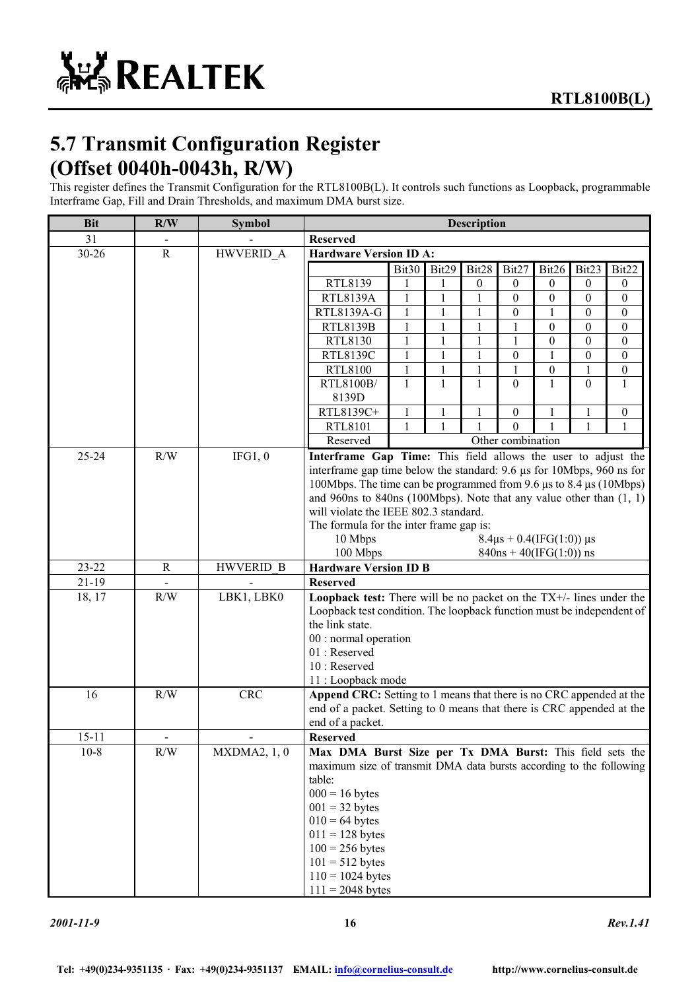# **5.7 Transmit Configuration Register (Offset 0040h-0043h, R/W)**

This register defines the Transmit Configuration for the RTL8100B(L). It controls such functions as Loopback, programmable Interframe Gap, Fill and Drain Thresholds, and maximum DMA burst size.

| <b>Bit</b> | R/W         | <b>Symbol</b>    | <b>Description</b>                                                                                                                     |              |              |                  |                   |                           |                  |                  |
|------------|-------------|------------------|----------------------------------------------------------------------------------------------------------------------------------------|--------------|--------------|------------------|-------------------|---------------------------|------------------|------------------|
| 31         |             |                  | <b>Reserved</b>                                                                                                                        |              |              |                  |                   |                           |                  |                  |
| 30-26      | ${\bf R}$   | HWVERID_A        | <b>Hardware Version ID A:</b>                                                                                                          |              |              |                  |                   |                           |                  |                  |
|            |             |                  |                                                                                                                                        | Bit30        | Bit29        | Bit28            | Bit27             | Bit26                     | Bit23            | Bit22            |
|            |             |                  | RTL8139                                                                                                                                | 1            | 1            | $\boldsymbol{0}$ | 0                 | $\boldsymbol{0}$          | $\boldsymbol{0}$ | 0                |
|            |             |                  | <b>RTL8139A</b>                                                                                                                        | 1            | 1            |                  | 0                 | $\mathbf{0}$              | $\boldsymbol{0}$ | 0                |
|            |             |                  | RTL8139A-G                                                                                                                             | 1            | 1            | 1                | 0                 | 1                         | $\boldsymbol{0}$ | 0                |
|            |             |                  | <b>RTL8139B</b>                                                                                                                        | 1            | 1            | 1                | 1                 | $\boldsymbol{0}$          | $\boldsymbol{0}$ | $\theta$         |
|            |             |                  | RTL8130                                                                                                                                | 1            | 1            | 1                | 1                 | $\boldsymbol{0}$          | $\boldsymbol{0}$ | $\boldsymbol{0}$ |
|            |             |                  | <b>RTL8139C</b>                                                                                                                        | 1            | 1            |                  | $\theta$          | 1                         | $\boldsymbol{0}$ | $\boldsymbol{0}$ |
|            |             |                  | RTL8100                                                                                                                                | 1            | 1            |                  | 1                 | $\boldsymbol{0}$          | 1                | 0                |
|            |             |                  | RTL8100B/                                                                                                                              | $\mathbf{1}$ | 1            | 1                | $\Omega$          | 1                         | $\Omega$         | 1                |
|            |             |                  | 8139D                                                                                                                                  |              |              |                  |                   |                           |                  |                  |
|            |             |                  | RTL8139C+                                                                                                                              | 1            | 1            | 1                | $\boldsymbol{0}$  | 1                         | 1                | $\boldsymbol{0}$ |
|            |             |                  | RTL8101                                                                                                                                | $\mathbf{1}$ | $\mathbf{1}$ | $\mathbf{1}$     | $\Omega$          |                           | $\mathbf{1}$     | 1                |
|            |             |                  | Reserved                                                                                                                               |              |              |                  | Other combination |                           |                  |                  |
| $25 - 24$  | R/W         | IFG1,0           | Interframe Gap Time: This field allows the user to adjust the<br>interframe gap time below the standard: 9.6 µs for 10Mbps, 960 ns for |              |              |                  |                   |                           |                  |                  |
|            |             |                  | 100Mbps. The time can be programmed from 9.6 µs to 8.4 µs (10Mbps)                                                                     |              |              |                  |                   |                           |                  |                  |
|            |             |                  | and 960ns to 840ns (100Mbps). Note that any value other than $(1, 1)$                                                                  |              |              |                  |                   |                           |                  |                  |
|            |             |                  | will violate the IEEE 802.3 standard.                                                                                                  |              |              |                  |                   |                           |                  |                  |
|            |             |                  | The formula for the inter frame gap is:                                                                                                |              |              |                  |                   |                           |                  |                  |
|            |             |                  | 10 Mbps<br>$8.4\mu s + 0.4(IFG(1:0)) \mu s$                                                                                            |              |              |                  |                   |                           |                  |                  |
|            |             |                  | 100 Mbps                                                                                                                               |              |              |                  |                   | $840ns + 40(IFG(1:0))$ ns |                  |                  |
| $23 - 22$  | $\mathbf R$ | <b>HWVERID B</b> | <b>Hardware Version ID B</b>                                                                                                           |              |              |                  |                   |                           |                  |                  |
| $21 - 19$  |             |                  | <b>Reserved</b>                                                                                                                        |              |              |                  |                   |                           |                  |                  |
| 18, 17     | R/W         | LBK1, LBK0       | Loopback test: There will be no packet on the $TX+/-$ lines under the                                                                  |              |              |                  |                   |                           |                  |                  |
|            |             |                  | Loopback test condition. The loopback function must be independent of                                                                  |              |              |                  |                   |                           |                  |                  |
|            |             |                  | the link state.                                                                                                                        |              |              |                  |                   |                           |                  |                  |
|            |             |                  | 00 : normal operation                                                                                                                  |              |              |                  |                   |                           |                  |                  |
|            |             |                  | 01: Reserved                                                                                                                           |              |              |                  |                   |                           |                  |                  |
|            |             |                  | 10 : Reserved                                                                                                                          |              |              |                  |                   |                           |                  |                  |
|            |             |                  | 11 : Loopback mode                                                                                                                     |              |              |                  |                   |                           |                  |                  |
| 16         | R/W         | <b>CRC</b>       | Append CRC: Setting to 1 means that there is no CRC appended at the                                                                    |              |              |                  |                   |                           |                  |                  |
|            |             |                  | end of a packet. Setting to 0 means that there is CRC appended at the                                                                  |              |              |                  |                   |                           |                  |                  |
|            |             |                  | end of a packet.                                                                                                                       |              |              |                  |                   |                           |                  |                  |
| $15 - 11$  |             |                  | <b>Reserved</b>                                                                                                                        |              |              |                  |                   |                           |                  |                  |
| $10 - 8$   | R/W         | MXDMA2, 1, 0     | Max DMA Burst Size per Tx DMA Burst: This field sets the                                                                               |              |              |                  |                   |                           |                  |                  |
|            |             |                  | maximum size of transmit DMA data bursts according to the following                                                                    |              |              |                  |                   |                           |                  |                  |
|            |             |                  | table:<br>$000 = 16$ bytes                                                                                                             |              |              |                  |                   |                           |                  |                  |
|            |             |                  | $001 = 32$ bytes                                                                                                                       |              |              |                  |                   |                           |                  |                  |
|            |             |                  |                                                                                                                                        |              |              |                  |                   |                           |                  |                  |
|            |             |                  | $010 = 64$ bytes<br>$011 = 128$ bytes                                                                                                  |              |              |                  |                   |                           |                  |                  |
|            |             |                  | $100 = 256$ bytes                                                                                                                      |              |              |                  |                   |                           |                  |                  |
|            |             |                  | $101 = 512$ bytes                                                                                                                      |              |              |                  |                   |                           |                  |                  |
|            |             |                  | $110 = 1024$ bytes                                                                                                                     |              |              |                  |                   |                           |                  |                  |
|            |             |                  | $111 = 2048$ bytes                                                                                                                     |              |              |                  |                   |                           |                  |                  |
|            |             |                  |                                                                                                                                        |              |              |                  |                   |                           |                  |                  |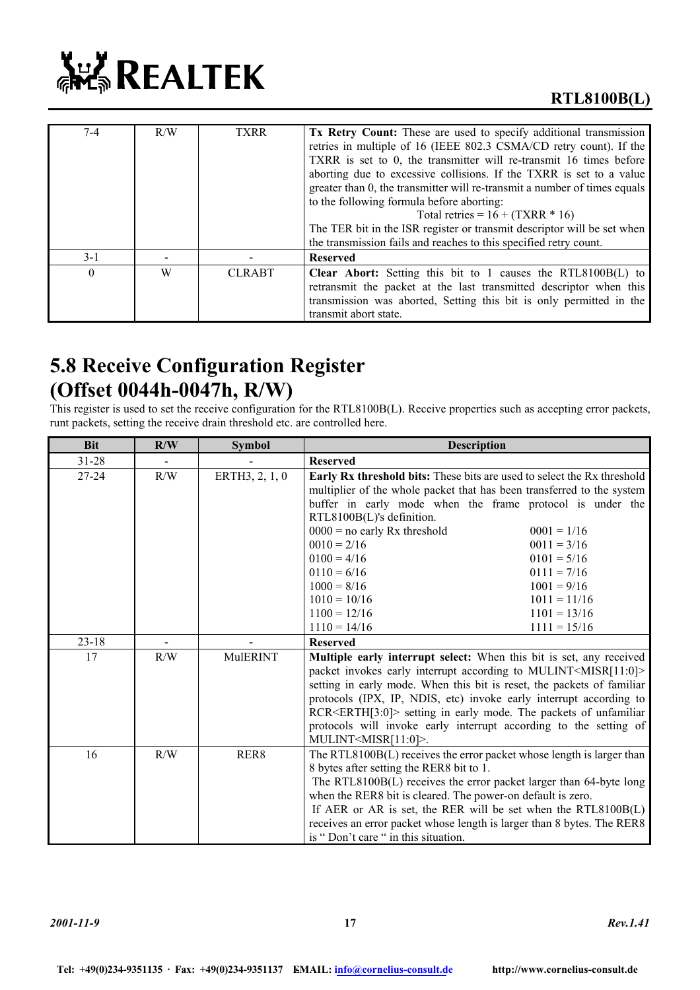

| $7-4$    | R/W | <b>TXRR</b>   | <b>Tx Retry Count:</b> These are used to specify additional transmission<br>retries in multiple of 16 (IEEE 802.3 CSMA/CD retry count). If the<br>TXRR is set to 0, the transmitter will re-transmit 16 times before<br>aborting due to excessive collisions. If the TXRR is set to a value<br>greater than 0, the transmitter will re-transmit a number of times equals<br>to the following formula before aborting:<br>Total retries = $16 + (TXRR * 16)$<br>The TER bit in the ISR register or transmit descriptor will be set when<br>the transmission fails and reaches to this specified retry count. |
|----------|-----|---------------|-------------------------------------------------------------------------------------------------------------------------------------------------------------------------------------------------------------------------------------------------------------------------------------------------------------------------------------------------------------------------------------------------------------------------------------------------------------------------------------------------------------------------------------------------------------------------------------------------------------|
| $3 - 1$  |     |               | <b>Reserved</b>                                                                                                                                                                                                                                                                                                                                                                                                                                                                                                                                                                                             |
| $\Omega$ | W   | <b>CLRABT</b> | <b>Clear Abort:</b> Setting this bit to 1 causes the RTL8100B(L) to<br>retransmit the packet at the last transmitted descriptor when this<br>transmission was aborted, Setting this bit is only permitted in the<br>transmit abort state.                                                                                                                                                                                                                                                                                                                                                                   |

### **5.8 Receive Configuration Register (Offset 0044h-0047h, R/W)**

This register is used to set the receive configuration for the RTL8100B(L). Receive properties such as accepting error packets, runt packets, setting the receive drain threshold etc. are controlled here.

| <b>Bit</b> | R/W | <b>Symbol</b>  | <b>Description</b>                                                                                                                                                                                                                                                                                                                                                                                                                                                                                             |  |  |  |  |
|------------|-----|----------------|----------------------------------------------------------------------------------------------------------------------------------------------------------------------------------------------------------------------------------------------------------------------------------------------------------------------------------------------------------------------------------------------------------------------------------------------------------------------------------------------------------------|--|--|--|--|
| $31 - 28$  |     |                | <b>Reserved</b>                                                                                                                                                                                                                                                                                                                                                                                                                                                                                                |  |  |  |  |
| $27 - 24$  | R/W | ERTH3, 2, 1, 0 | Early Rx threshold bits: These bits are used to select the Rx threshold<br>multiplier of the whole packet that has been transferred to the system<br>buffer in early mode when the frame protocol is under the<br>RTL8100B(L)'s definition.<br>$0000$ = no early Rx threshold<br>$0001 = 1/16$<br>$0010 = 2/16$<br>$0011 = 3/16$<br>$0100 = 4/16$<br>$0101 = 5/16$<br>$0110 = 6/16$<br>$0111 = 7/16$<br>$1000 = 8/16$<br>$1001 = 9/16$<br>$1010 = 10/16$<br>$1011 = 11/16$<br>$1100 = 12/16$<br>$1101 = 13/16$ |  |  |  |  |
| $23 - 18$  |     |                | $1110 = 14/16$<br>$1111 = 15/16$<br><b>Reserved</b>                                                                                                                                                                                                                                                                                                                                                                                                                                                            |  |  |  |  |
| 17         | R/W | MulERINT       | Multiple early interrupt select: When this bit is set, any received<br>packet invokes early interrupt according to MULINT <misr[11:0]><br/>setting in early mode. When this bit is reset, the packets of familiar<br/>protocols (IPX, IP, NDIS, etc) invoke early interrupt according to<br/>RCR<erth[3:0]> setting in early mode. The packets of unfamiliar<br/>protocols will invoke early interrupt according to the setting of<br/>MULINT<misr[11:0]>.</misr[11:0]></erth[3:0]></misr[11:0]>               |  |  |  |  |
| 16         | R/W | RER8           | The RTL8100B(L) receives the error packet whose length is larger than<br>8 bytes after setting the RER8 bit to 1.<br>The RTL8100B(L) receives the error packet larger than 64-byte long<br>when the RER8 bit is cleared. The power-on default is zero.<br>If AER or AR is set, the RER will be set when the RTL8100B(L)<br>receives an error packet whose length is larger than 8 bytes. The RER8<br>is "Don't care " in this situation.                                                                       |  |  |  |  |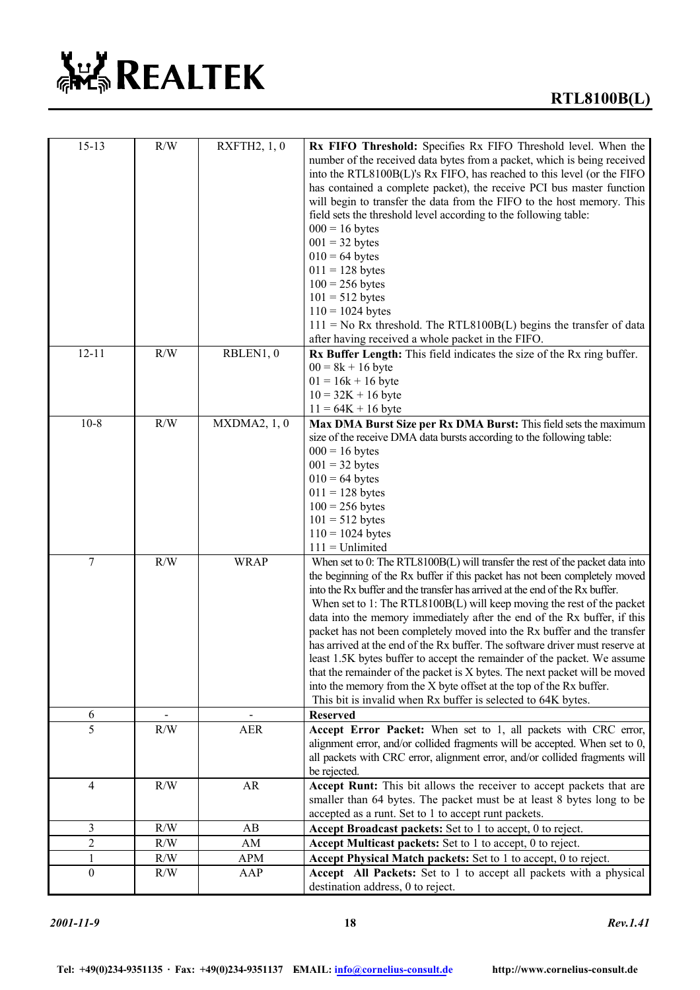

| $15 - 13$        | R/W | RXFTH2, 1, 0 | Rx FIFO Threshold: Specifies Rx FIFO Threshold level. When the<br>number of the received data bytes from a packet, which is being received<br>into the RTL8100B(L)'s Rx FIFO, has reached to this level (or the FIFO<br>has contained a complete packet), the receive PCI bus master function<br>will begin to transfer the data from the FIFO to the host memory. This<br>field sets the threshold level according to the following table:<br>$000 = 16$ bytes<br>$001 = 32$ bytes<br>$010 = 64$ bytes<br>$011 = 128$ bytes<br>$100 = 256$ bytes<br>$101 = 512$ bytes<br>$110 = 1024$ bytes<br>$111 = No Rx$ threshold. The RTL8100B(L) begins the transfer of data<br>after having received a whole packet in the FIFO.                                                                                                                                       |
|------------------|-----|--------------|-----------------------------------------------------------------------------------------------------------------------------------------------------------------------------------------------------------------------------------------------------------------------------------------------------------------------------------------------------------------------------------------------------------------------------------------------------------------------------------------------------------------------------------------------------------------------------------------------------------------------------------------------------------------------------------------------------------------------------------------------------------------------------------------------------------------------------------------------------------------|
| $12 - 11$        | R/W | RBLEN1, 0    | Rx Buffer Length: This field indicates the size of the Rx ring buffer.<br>$00 = 8k + 16$ byte<br>$01 = 16k + 16$ byte<br>$10 = 32K + 16$ byte<br>$11 = 64K + 16$ byte                                                                                                                                                                                                                                                                                                                                                                                                                                                                                                                                                                                                                                                                                           |
| $10-8$           | R/W | MXDMA2, 1, 0 | Max DMA Burst Size per Rx DMA Burst: This field sets the maximum<br>size of the receive DMA data bursts according to the following table:<br>$000 = 16$ bytes<br>$001 = 32$ bytes<br>$010 = 64$ bytes<br>$011 = 128$ bytes<br>$100 = 256$ bytes<br>$101 = 512$ bytes<br>$110 = 1024$ bytes<br>$111 =$ Unlimited                                                                                                                                                                                                                                                                                                                                                                                                                                                                                                                                                 |
| 7                | R/W | <b>WRAP</b>  | When set to 0: The RTL8100B(L) will transfer the rest of the packet data into<br>the beginning of the Rx buffer if this packet has not been completely moved<br>into the Rx buffer and the transfer has arrived at the end of the Rx buffer.<br>When set to 1: The RTL8100B(L) will keep moving the rest of the packet<br>data into the memory immediately after the end of the Rx buffer, if this<br>packet has not been completely moved into the Rx buffer and the transfer<br>has arrived at the end of the Rx buffer. The software driver must reserve at<br>least 1.5K bytes buffer to accept the remainder of the packet. We assume<br>that the remainder of the packet is X bytes. The next packet will be moved<br>into the memory from the X byte offset at the top of the Rx buffer.<br>This bit is invalid when Rx buffer is selected to 64K bytes. |
| 6                |     |              | <b>Reserved</b>                                                                                                                                                                                                                                                                                                                                                                                                                                                                                                                                                                                                                                                                                                                                                                                                                                                 |
| 5                | R/W | <b>AER</b>   | Accept Error Packet: When set to 1, all packets with CRC error,<br>alignment error, and/or collided fragments will be accepted. When set to 0,<br>all packets with CRC error, alignment error, and/or collided fragments will<br>be rejected.                                                                                                                                                                                                                                                                                                                                                                                                                                                                                                                                                                                                                   |
| $\overline{4}$   | R/W | AR           | Accept Runt: This bit allows the receiver to accept packets that are<br>smaller than 64 bytes. The packet must be at least 8 bytes long to be<br>accepted as a runt. Set to 1 to accept runt packets.                                                                                                                                                                                                                                                                                                                                                                                                                                                                                                                                                                                                                                                           |
| 3                | R/W | AB           | <b>Accept Broadcast packets:</b> Set to 1 to accept, 0 to reject.                                                                                                                                                                                                                                                                                                                                                                                                                                                                                                                                                                                                                                                                                                                                                                                               |
| $\overline{c}$   | R/W | AM           | Accept Multicast packets: Set to 1 to accept, 0 to reject.                                                                                                                                                                                                                                                                                                                                                                                                                                                                                                                                                                                                                                                                                                                                                                                                      |
| $\mathbf{1}$     | R/W | APM          | Accept Physical Match packets: Set to 1 to accept, 0 to reject.                                                                                                                                                                                                                                                                                                                                                                                                                                                                                                                                                                                                                                                                                                                                                                                                 |
| $\boldsymbol{0}$ | R/W | AAP          | Accept All Packets: Set to 1 to accept all packets with a physical<br>destination address, 0 to reject.                                                                                                                                                                                                                                                                                                                                                                                                                                                                                                                                                                                                                                                                                                                                                         |

*2001-11-9* **18** *Rev.1.41*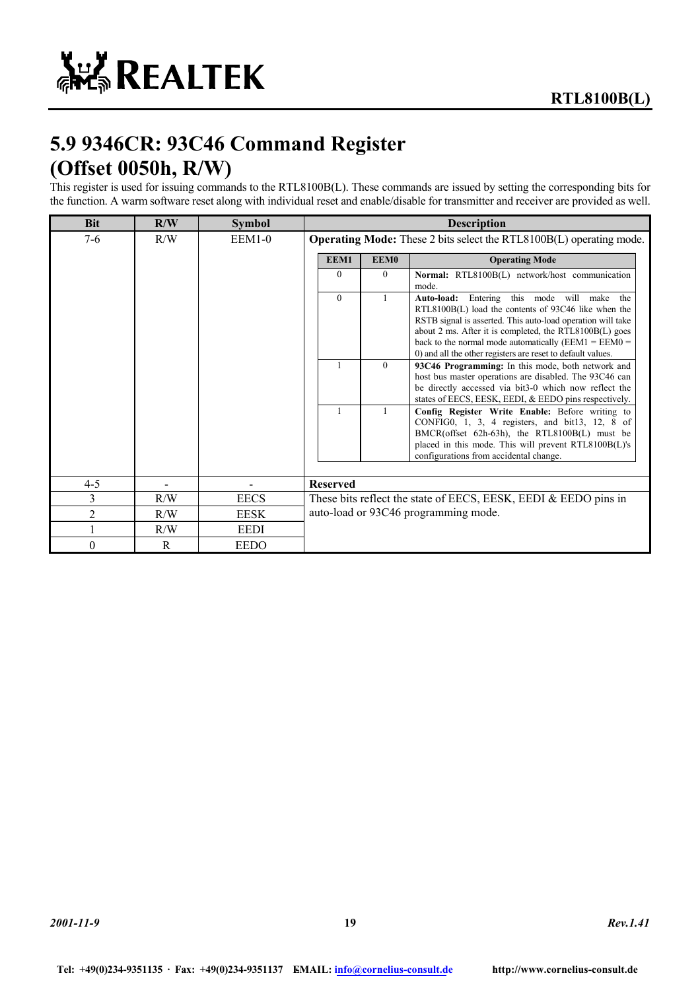# **5.9 9346CR: 93C46 Command Register (Offset 0050h, R/W)**

This register is used for issuing commands to the RTL8100B(L). These commands are issued by setting the corresponding bits for the function. A warm software reset along with individual reset and enable/disable for transmitter and receiver are provided as well.

| <b>Bit</b>     | R/W | <b>Symbol</b> | <b>Description</b>                                                         |              |                                                                                                                                                                                                                                                                                                                                                            |  |  |  |
|----------------|-----|---------------|----------------------------------------------------------------------------|--------------|------------------------------------------------------------------------------------------------------------------------------------------------------------------------------------------------------------------------------------------------------------------------------------------------------------------------------------------------------------|--|--|--|
| $7-6$          | R/W | $EEM1-0$      | <b>Operating Mode:</b> These 2 bits select the RTL8100B(L) operating mode. |              |                                                                                                                                                                                                                                                                                                                                                            |  |  |  |
|                |     |               | EEM1                                                                       | EEM0         | <b>Operating Mode</b>                                                                                                                                                                                                                                                                                                                                      |  |  |  |
|                |     |               | $\Omega$                                                                   | $\theta$     | Normal: RTL8100B(L) network/host communication<br>mode.                                                                                                                                                                                                                                                                                                    |  |  |  |
|                |     |               | $\Omega$                                                                   | 1            | Entering this mode will make the<br>Auto-load:<br>RTL8100B(L) load the contents of 93C46 like when the<br>RSTB signal is asserted. This auto-load operation will take<br>about 2 ms. After it is completed, the RTL8100B(L) goes<br>back to the normal mode automatically ( $EEM1 = EEM0 =$<br>0) and all the other registers are reset to default values. |  |  |  |
|                |     |               |                                                                            | $\theta$     | 93C46 Programming: In this mode, both network and<br>host bus master operations are disabled. The 93C46 can<br>be directly accessed via bit3-0 which now reflect the<br>states of EECS, EESK, EEDI, & EEDO pins respectively.                                                                                                                              |  |  |  |
|                |     |               |                                                                            | $\mathbf{1}$ | Config Register Write Enable: Before writing to<br>CONFIG0, 1, 3, 4 registers, and bit13, 12, 8 of<br>BMCR(offset 62h-63h), the RTL8100B(L) must be<br>placed in this mode. This will prevent RTL8100B(L)'s<br>configurations from accidental change.                                                                                                      |  |  |  |
| $4 - 5$        |     |               | <b>Reserved</b>                                                            |              |                                                                                                                                                                                                                                                                                                                                                            |  |  |  |
| 3              | R/W | <b>EECS</b>   |                                                                            |              | These bits reflect the state of EECS, EESK, EEDI & EEDO pins in                                                                                                                                                                                                                                                                                            |  |  |  |
| $\overline{2}$ | R/W | <b>EESK</b>   | auto-load or 93C46 programming mode.                                       |              |                                                                                                                                                                                                                                                                                                                                                            |  |  |  |
|                | R/W | <b>EEDI</b>   |                                                                            |              |                                                                                                                                                                                                                                                                                                                                                            |  |  |  |
| $\theta$       | R   | <b>EEDO</b>   |                                                                            |              |                                                                                                                                                                                                                                                                                                                                                            |  |  |  |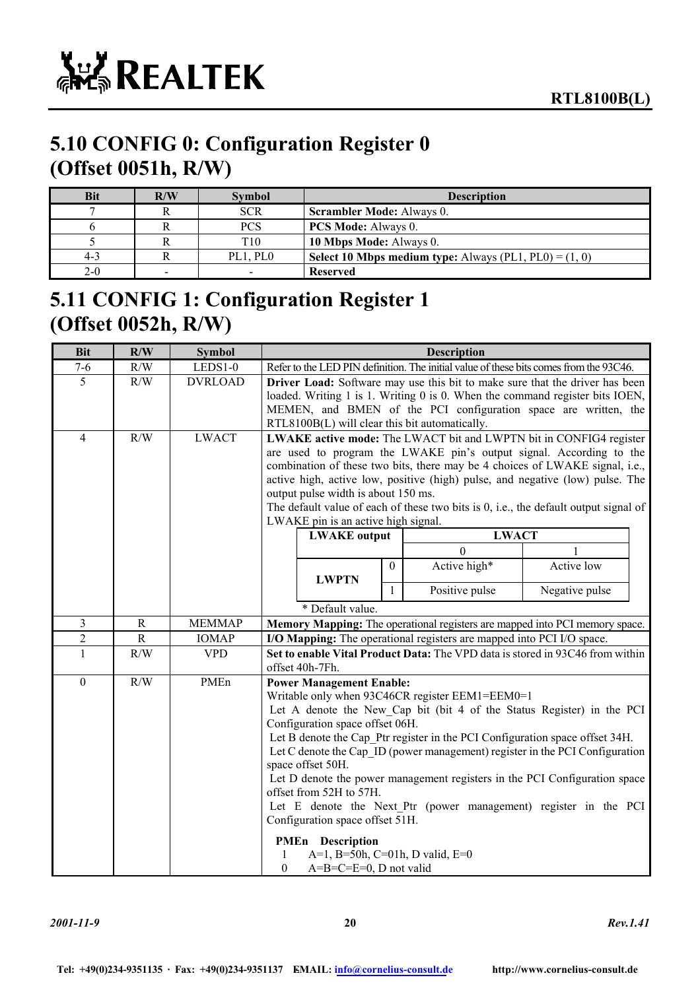

### **5.10 CONFIG 0: Configuration Register 0 (Offset 0051h, R/W)**

| <b>Bit</b> | R/W             | <b>Symbol</b>   | <b>Description</b>                                              |
|------------|-----------------|-----------------|-----------------------------------------------------------------|
|            |                 | <b>SCR</b>      | <b>Scrambler Mode:</b> Always 0.                                |
|            |                 | <b>PCS</b>      | <b>PCS Mode:</b> Always 0.                                      |
|            |                 | T <sub>10</sub> | 10 Mbps Mode: Always 0.                                         |
| $4 - 3$    |                 | PL1. PL0        | <b>Select 10 Mbps medium type:</b> Always (PL1, PL0) = $(1, 0)$ |
| $2-0$      | $\qquad \qquad$ |                 | <b>Reserved</b>                                                 |

### **5.11 CONFIG 1: Configuration Register 1 (Offset 0052h, R/W)**

| <b>Bit</b>       | R/W         | <b>Symbol</b>  | <b>Description</b>                                                                                                                                                                                                                                                                                                                                                                                                                                                                                                                                                                                                                                 |                           |                  |                                                                                        |                |  |
|------------------|-------------|----------------|----------------------------------------------------------------------------------------------------------------------------------------------------------------------------------------------------------------------------------------------------------------------------------------------------------------------------------------------------------------------------------------------------------------------------------------------------------------------------------------------------------------------------------------------------------------------------------------------------------------------------------------------------|---------------------------|------------------|----------------------------------------------------------------------------------------|----------------|--|
| $7 - 6$          | R/W         | LEDS1-0        |                                                                                                                                                                                                                                                                                                                                                                                                                                                                                                                                                                                                                                                    |                           |                  | Refer to the LED PIN definition. The initial value of these bits comes from the 93C46. |                |  |
| $\overline{5}$   | R/W         | <b>DVRLOAD</b> | Driver Load: Software may use this bit to make sure that the driver has been<br>loaded. Writing 1 is 1. Writing 0 is 0. When the command register bits IOEN,<br>MEMEN, and BMEN of the PCI configuration space are written, the<br>RTL8100B(L) will clear this bit automatically.                                                                                                                                                                                                                                                                                                                                                                  |                           |                  |                                                                                        |                |  |
| $\overline{4}$   | R/W         | <b>LWACT</b>   | LWAKE active mode: The LWACT bit and LWPTN bit in CONFIG4 register<br>are used to program the LWAKE pin's output signal. According to the<br>combination of these two bits, there may be 4 choices of LWAKE signal, i.e.,<br>active high, active low, positive (high) pulse, and negative (low) pulse. The<br>output pulse width is about 150 ms.<br>The default value of each of these two bits is 0, i.e., the default output signal of<br>LWAKE pin is an active high signal.                                                                                                                                                                   |                           |                  |                                                                                        |                |  |
|                  |             |                |                                                                                                                                                                                                                                                                                                                                                                                                                                                                                                                                                                                                                                                    | <b>LWAKE</b> output       |                  | <b>LWACT</b>                                                                           |                |  |
|                  |             |                |                                                                                                                                                                                                                                                                                                                                                                                                                                                                                                                                                                                                                                                    | <b>LWPTN</b>              | $\boldsymbol{0}$ | $\theta$<br>Active high*                                                               | Active low     |  |
|                  |             |                |                                                                                                                                                                                                                                                                                                                                                                                                                                                                                                                                                                                                                                                    |                           | $\mathbf{1}$     | Positive pulse                                                                         | Negative pulse |  |
|                  |             |                |                                                                                                                                                                                                                                                                                                                                                                                                                                                                                                                                                                                                                                                    | * Default value.          |                  |                                                                                        |                |  |
| 3                | R           | <b>MEMMAP</b>  |                                                                                                                                                                                                                                                                                                                                                                                                                                                                                                                                                                                                                                                    |                           |                  | Memory Mapping: The operational registers are mapped into PCI memory space.            |                |  |
| $\boldsymbol{2}$ | $\mathbf R$ | <b>IOMAP</b>   |                                                                                                                                                                                                                                                                                                                                                                                                                                                                                                                                                                                                                                                    |                           |                  | I/O Mapping: The operational registers are mapped into PCI I/O space.                  |                |  |
| $\mathbf{1}$     | R/W         | <b>VPD</b>     |                                                                                                                                                                                                                                                                                                                                                                                                                                                                                                                                                                                                                                                    |                           |                  | Set to enable Vital Product Data: The VPD data is stored in 93C46 from within          |                |  |
| $\boldsymbol{0}$ | R/W         | PMEn           | offset 40h-7Fh.<br><b>Power Management Enable:</b><br>Writable only when 93C46CR register EEM1=EEM0=1<br>Let A denote the New Cap bit (bit 4 of the Status Register) in the PCI<br>Configuration space offset 06H.<br>Let B denote the Cap Ptr register in the PCI Configuration space offset 34H.<br>Let C denote the Cap ID (power management) register in the PCI Configuration<br>space offset 50H.<br>Let D denote the power management registers in the PCI Configuration space<br>offset from 52H to 57H.<br>Let E denote the Next Ptr (power management) register in the PCI<br>Configuration space offset 51H.<br><b>PMEn</b> Description |                           |                  |                                                                                        |                |  |
|                  |             |                | $\boldsymbol{0}$                                                                                                                                                                                                                                                                                                                                                                                                                                                                                                                                                                                                                                   | $A=B=C=E=0$ , D not valid |                  | A=1, B=50h, C=01h, D valid, E=0                                                        |                |  |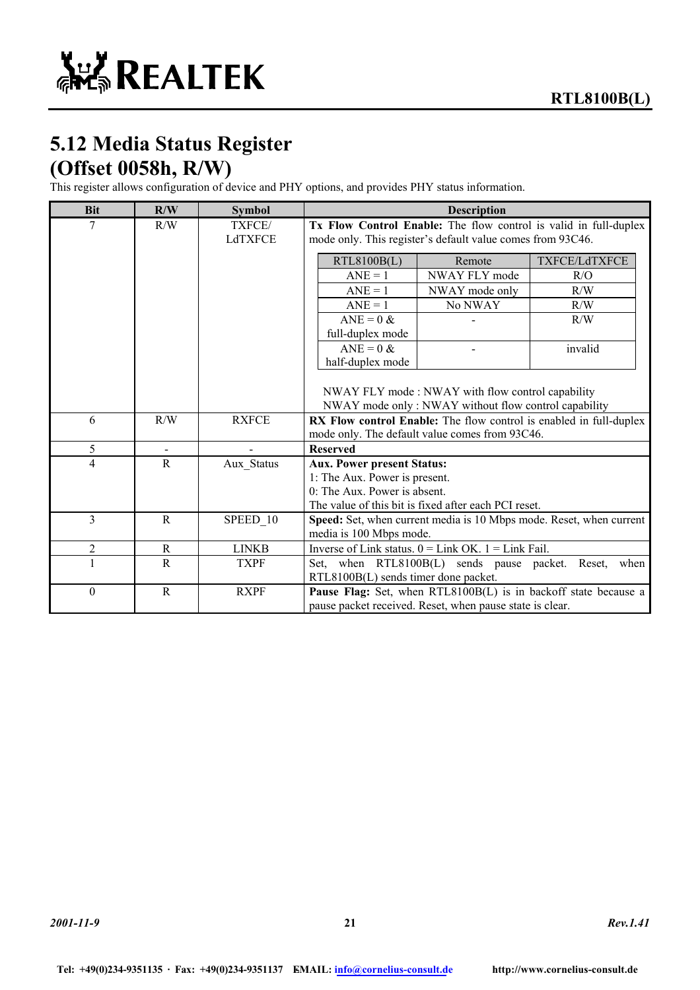# **5.12 Media Status Register (Offset 0058h, R/W)**

This register allows configuration of device and PHY options, and provides PHY status information.

| R/W | <b>Symbol</b>                                                    | <b>Description</b>                                                                              |                                                                  |                                                                                                                                                                                                                                                                                                                                                                                                                                                                                                                                                                                                                                               |  |
|-----|------------------------------------------------------------------|-------------------------------------------------------------------------------------------------|------------------------------------------------------------------|-----------------------------------------------------------------------------------------------------------------------------------------------------------------------------------------------------------------------------------------------------------------------------------------------------------------------------------------------------------------------------------------------------------------------------------------------------------------------------------------------------------------------------------------------------------------------------------------------------------------------------------------------|--|
| R/W | TXFCE/                                                           |                                                                                                 | Tx Flow Control Enable: The flow control is valid in full-duplex |                                                                                                                                                                                                                                                                                                                                                                                                                                                                                                                                                                                                                                               |  |
|     |                                                                  |                                                                                                 | mode only. This register's default value comes from 93C46.       |                                                                                                                                                                                                                                                                                                                                                                                                                                                                                                                                                                                                                                               |  |
|     |                                                                  | RTL8100B(L)                                                                                     | Remote                                                           | TXFCE/LdTXFCE                                                                                                                                                                                                                                                                                                                                                                                                                                                                                                                                                                                                                                 |  |
|     |                                                                  | $ANE = 1$                                                                                       | NWAY FLY mode                                                    | R/O                                                                                                                                                                                                                                                                                                                                                                                                                                                                                                                                                                                                                                           |  |
|     |                                                                  | $ANE = 1$                                                                                       | NWAY mode only                                                   | R/W                                                                                                                                                                                                                                                                                                                                                                                                                                                                                                                                                                                                                                           |  |
|     |                                                                  | $ANE = 1$                                                                                       | No NWAY                                                          | R/W                                                                                                                                                                                                                                                                                                                                                                                                                                                                                                                                                                                                                                           |  |
|     |                                                                  | $ANE = 0$ &                                                                                     |                                                                  | R/W                                                                                                                                                                                                                                                                                                                                                                                                                                                                                                                                                                                                                                           |  |
|     |                                                                  | full-duplex mode                                                                                |                                                                  |                                                                                                                                                                                                                                                                                                                                                                                                                                                                                                                                                                                                                                               |  |
|     |                                                                  | $ANE = 0$ &                                                                                     |                                                                  | invalid                                                                                                                                                                                                                                                                                                                                                                                                                                                                                                                                                                                                                                       |  |
|     |                                                                  |                                                                                                 |                                                                  |                                                                                                                                                                                                                                                                                                                                                                                                                                                                                                                                                                                                                                               |  |
|     |                                                                  |                                                                                                 |                                                                  |                                                                                                                                                                                                                                                                                                                                                                                                                                                                                                                                                                                                                                               |  |
|     |                                                                  |                                                                                                 |                                                                  |                                                                                                                                                                                                                                                                                                                                                                                                                                                                                                                                                                                                                                               |  |
|     |                                                                  |                                                                                                 |                                                                  |                                                                                                                                                                                                                                                                                                                                                                                                                                                                                                                                                                                                                                               |  |
|     |                                                                  | RX Flow control Enable: The flow control is enabled in full-duplex                              |                                                                  |                                                                                                                                                                                                                                                                                                                                                                                                                                                                                                                                                                                                                                               |  |
|     |                                                                  |                                                                                                 |                                                                  |                                                                                                                                                                                                                                                                                                                                                                                                                                                                                                                                                                                                                                               |  |
|     |                                                                  |                                                                                                 |                                                                  |                                                                                                                                                                                                                                                                                                                                                                                                                                                                                                                                                                                                                                               |  |
|     |                                                                  |                                                                                                 |                                                                  |                                                                                                                                                                                                                                                                                                                                                                                                                                                                                                                                                                                                                                               |  |
|     |                                                                  |                                                                                                 |                                                                  |                                                                                                                                                                                                                                                                                                                                                                                                                                                                                                                                                                                                                                               |  |
|     |                                                                  |                                                                                                 |                                                                  |                                                                                                                                                                                                                                                                                                                                                                                                                                                                                                                                                                                                                                               |  |
|     |                                                                  |                                                                                                 |                                                                  |                                                                                                                                                                                                                                                                                                                                                                                                                                                                                                                                                                                                                                               |  |
|     |                                                                  |                                                                                                 |                                                                  |                                                                                                                                                                                                                                                                                                                                                                                                                                                                                                                                                                                                                                               |  |
|     |                                                                  |                                                                                                 |                                                                  |                                                                                                                                                                                                                                                                                                                                                                                                                                                                                                                                                                                                                                               |  |
|     |                                                                  |                                                                                                 |                                                                  | when                                                                                                                                                                                                                                                                                                                                                                                                                                                                                                                                                                                                                                          |  |
|     |                                                                  |                                                                                                 |                                                                  |                                                                                                                                                                                                                                                                                                                                                                                                                                                                                                                                                                                                                                               |  |
| R   |                                                                  |                                                                                                 | Pause Flag: Set, when RTL8100B(L) is in backoff state because a  |                                                                                                                                                                                                                                                                                                                                                                                                                                                                                                                                                                                                                                               |  |
|     |                                                                  |                                                                                                 |                                                                  |                                                                                                                                                                                                                                                                                                                                                                                                                                                                                                                                                                                                                                               |  |
|     | R/W<br>$\mathbf R$<br>$\mathbf R$<br>$\mathbf R$<br>$\mathsf{R}$ | LdTXFCE<br><b>RXFCE</b><br>Aux Status<br>SPEED 10<br><b>LINKB</b><br><b>TXPF</b><br><b>RXPF</b> | half-duplex mode<br><b>Reserved</b>                              | NWAY FLY mode: NWAY with flow control capability<br>NWAY mode only: NWAY without flow control capability<br>mode only. The default value comes from 93C46.<br><b>Aux. Power present Status:</b><br>1: The Aux. Power is present.<br>0: The Aux. Power is absent.<br>The value of this bit is fixed after each PCI reset.<br>Speed: Set, when current media is 10 Mbps mode. Reset, when current<br>media is 100 Mbps mode.<br>Inverse of Link status. $0 =$ Link OK. $1 =$ Link Fail.<br>Set, when RTL8100B(L) sends pause packet. Reset,<br>RTL8100B(L) sends timer done packet.<br>pause packet received. Reset, when pause state is clear. |  |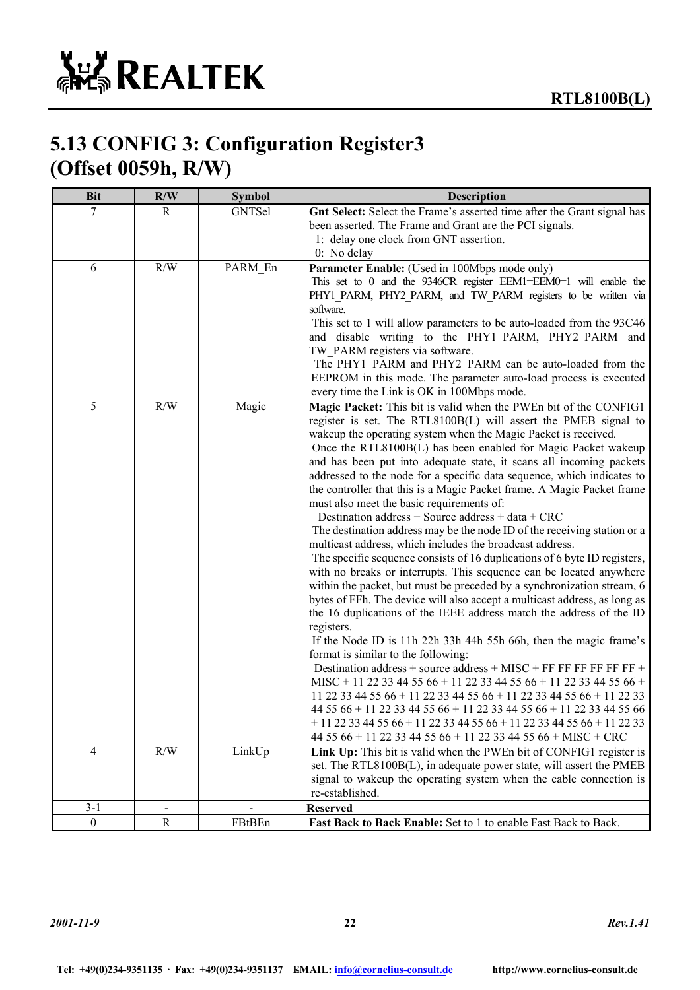### **5.13 CONFIG 3: Configuration Register3 (Offset 0059h, R/W)**

| <b>Bit</b>       | R/W            | <b>Symbol</b> | <b>Description</b>                                                                                                                                                                                                                                                                                                                                                                                                                                                                                                                                                                                                                                                                                                                                                                                                                                                                                                                                                                                                                                                                                                                                                                                                                                                                                                                                                                                                                                                                                                                                                                                                                                                                             |
|------------------|----------------|---------------|------------------------------------------------------------------------------------------------------------------------------------------------------------------------------------------------------------------------------------------------------------------------------------------------------------------------------------------------------------------------------------------------------------------------------------------------------------------------------------------------------------------------------------------------------------------------------------------------------------------------------------------------------------------------------------------------------------------------------------------------------------------------------------------------------------------------------------------------------------------------------------------------------------------------------------------------------------------------------------------------------------------------------------------------------------------------------------------------------------------------------------------------------------------------------------------------------------------------------------------------------------------------------------------------------------------------------------------------------------------------------------------------------------------------------------------------------------------------------------------------------------------------------------------------------------------------------------------------------------------------------------------------------------------------------------------------|
| 7                | R              | GNTSel        | Gnt Select: Select the Frame's asserted time after the Grant signal has<br>been asserted. The Frame and Grant are the PCI signals.<br>1: delay one clock from GNT assertion.<br>0: No delay                                                                                                                                                                                                                                                                                                                                                                                                                                                                                                                                                                                                                                                                                                                                                                                                                                                                                                                                                                                                                                                                                                                                                                                                                                                                                                                                                                                                                                                                                                    |
| 6                | R/W            | PARM_En       | Parameter Enable: (Used in 100Mbps mode only)<br>This set to 0 and the 9346CR register EEM1=EEM0=1 will enable the<br>PHY1 PARM, PHY2 PARM, and TW PARM registers to be written via<br>software.<br>This set to 1 will allow parameters to be auto-loaded from the 93C46<br>and disable writing to the PHY1_PARM, PHY2_PARM and<br>TW PARM registers via software.<br>The PHY1_PARM and PHY2_PARM can be auto-loaded from the<br>EEPROM in this mode. The parameter auto-load process is executed<br>every time the Link is OK in 100Mbps mode.                                                                                                                                                                                                                                                                                                                                                                                                                                                                                                                                                                                                                                                                                                                                                                                                                                                                                                                                                                                                                                                                                                                                                |
| 5                | R/W            | Magic         | Magic Packet: This bit is valid when the PWEn bit of the CONFIG1<br>register is set. The RTL8100B(L) will assert the PMEB signal to<br>wakeup the operating system when the Magic Packet is received.<br>Once the RTL8100B(L) has been enabled for Magic Packet wakeup<br>and has been put into adequate state, it scans all incoming packets<br>addressed to the node for a specific data sequence, which indicates to<br>the controller that this is a Magic Packet frame. A Magic Packet frame<br>must also meet the basic requirements of:<br>Destination address + Source address + data + CRC<br>The destination address may be the node ID of the receiving station or a<br>multicast address, which includes the broadcast address.<br>The specific sequence consists of 16 duplications of 6 byte ID registers,<br>with no breaks or interrupts. This sequence can be located anywhere<br>within the packet, but must be preceded by a synchronization stream, 6<br>bytes of FFh. The device will also accept a multicast address, as long as<br>the 16 duplications of the IEEE address match the address of the ID<br>registers.<br>If the Node ID is 11h 22h 33h 44h 55h 66h, then the magic frame's<br>format is similar to the following:<br>Destination address + source address + MISC + FF FF FF FF FF FF +<br>MISC + 11 22 33 44 55 66 + 11 22 33 44 55 66 + 11 22 33 44 55 66 +<br>11 22 33 44 55 66 + 11 22 33 44 55 66 + 11 22 33 44 55 66 + 11 22 33<br>44 55 66 + 11 22 33 44 55 66 + 11 22 33 44 55 66 + 11 22 33 44 55 66<br>$+11$ 22 33 44 55 66 + 11 22 33 44 55 66 + 11 22 33 44 55 66 + 11 22 33<br>44 55 66 + 11 22 33 44 55 66 + 11 22 33 44 55 66 + MISC + CRC |
| $\overline{4}$   | $\rm R/W$      | LinkUp        | Link Up: This bit is valid when the PWEn bit of CONFIG1 register is<br>set. The RTL8100B(L), in adequate power state, will assert the PMEB<br>signal to wakeup the operating system when the cable connection is<br>re-established.                                                                                                                                                                                                                                                                                                                                                                                                                                                                                                                                                                                                                                                                                                                                                                                                                                                                                                                                                                                                                                                                                                                                                                                                                                                                                                                                                                                                                                                            |
| $3 - 1$          |                |               | <b>Reserved</b>                                                                                                                                                                                                                                                                                                                                                                                                                                                                                                                                                                                                                                                                                                                                                                                                                                                                                                                                                                                                                                                                                                                                                                                                                                                                                                                                                                                                                                                                                                                                                                                                                                                                                |
| $\boldsymbol{0}$ | $\overline{R}$ | FBtBEn        | Fast Back to Back Enable: Set to 1 to enable Fast Back to Back.                                                                                                                                                                                                                                                                                                                                                                                                                                                                                                                                                                                                                                                                                                                                                                                                                                                                                                                                                                                                                                                                                                                                                                                                                                                                                                                                                                                                                                                                                                                                                                                                                                |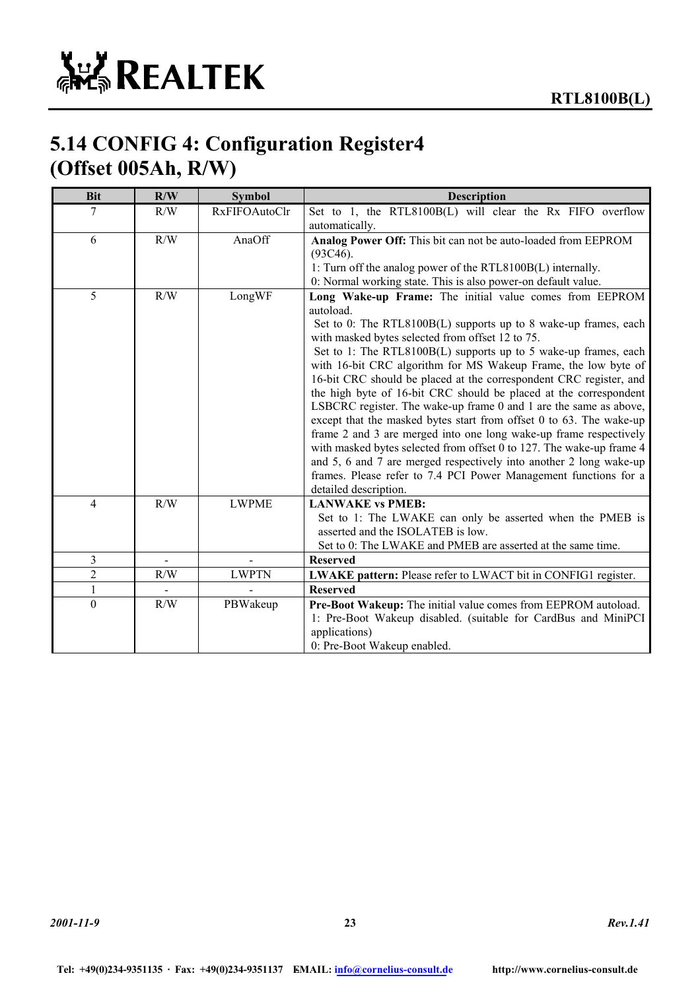### **5.14 CONFIG 4: Configuration Register4 (Offset 005Ah, R/W)**

| <b>Bit</b>     | R/W          | <b>Symbol</b>        | <b>Description</b>                                                                                                                                                                                                                                                                                                                                                                                                                                                                                                                                                                                                      |
|----------------|--------------|----------------------|-------------------------------------------------------------------------------------------------------------------------------------------------------------------------------------------------------------------------------------------------------------------------------------------------------------------------------------------------------------------------------------------------------------------------------------------------------------------------------------------------------------------------------------------------------------------------------------------------------------------------|
| 7              | R/W          | <b>RxFIFOAutoClr</b> | Set to 1, the RTL8100B(L) will clear the Rx FIFO overflow                                                                                                                                                                                                                                                                                                                                                                                                                                                                                                                                                               |
|                |              |                      | automatically.                                                                                                                                                                                                                                                                                                                                                                                                                                                                                                                                                                                                          |
| 6              | R/W          | AnaOff               | Analog Power Off: This bit can not be auto-loaded from EEPROM                                                                                                                                                                                                                                                                                                                                                                                                                                                                                                                                                           |
|                |              |                      | (93C46).                                                                                                                                                                                                                                                                                                                                                                                                                                                                                                                                                                                                                |
|                |              |                      | 1: Turn off the analog power of the RTL8100B(L) internally.                                                                                                                                                                                                                                                                                                                                                                                                                                                                                                                                                             |
|                |              |                      | 0: Normal working state. This is also power-on default value.                                                                                                                                                                                                                                                                                                                                                                                                                                                                                                                                                           |
| 5              | R/W          | LongWF               | Long Wake-up Frame: The initial value comes from EEPROM<br>autoload.<br>Set to 0: The RTL8100B(L) supports up to 8 wake-up frames, each<br>with masked bytes selected from offset 12 to 75.<br>Set to 1: The RTL8100B(L) supports up to 5 wake-up frames, each<br>with 16-bit CRC algorithm for MS Wakeup Frame, the low byte of<br>16-bit CRC should be placed at the correspondent CRC register, and<br>the high byte of 16-bit CRC should be placed at the correspondent<br>LSBCRC register. The wake-up frame 0 and 1 are the same as above,<br>except that the masked bytes start from offset 0 to 63. The wake-up |
|                |              |                      | frame 2 and 3 are merged into one long wake-up frame respectively<br>with masked bytes selected from offset 0 to 127. The wake-up frame 4<br>and 5, 6 and 7 are merged respectively into another 2 long wake-up<br>frames. Please refer to 7.4 PCI Power Management functions for a<br>detailed description.                                                                                                                                                                                                                                                                                                            |
| 4              | R/W          | <b>LWPME</b>         | <b>LANWAKE vs PMEB:</b>                                                                                                                                                                                                                                                                                                                                                                                                                                                                                                                                                                                                 |
|                |              |                      | Set to 1: The LWAKE can only be asserted when the PMEB is<br>asserted and the ISOLATEB is low.<br>Set to 0: The LWAKE and PMEB are asserted at the same time.                                                                                                                                                                                                                                                                                                                                                                                                                                                           |
| 3              | $\mathbf{r}$ |                      | <b>Reserved</b>                                                                                                                                                                                                                                                                                                                                                                                                                                                                                                                                                                                                         |
| $\overline{c}$ | R/W          | <b>LWPTN</b>         | LWAKE pattern: Please refer to LWACT bit in CONFIG1 register.                                                                                                                                                                                                                                                                                                                                                                                                                                                                                                                                                           |
| 1              |              |                      | <b>Reserved</b>                                                                                                                                                                                                                                                                                                                                                                                                                                                                                                                                                                                                         |
| $\theta$       | R/W          | PBWakeup             | Pre-Boot Wakeup: The initial value comes from EEPROM autoload.<br>1: Pre-Boot Wakeup disabled. (suitable for CardBus and MiniPCI<br>applications)<br>0: Pre-Boot Wakeup enabled.                                                                                                                                                                                                                                                                                                                                                                                                                                        |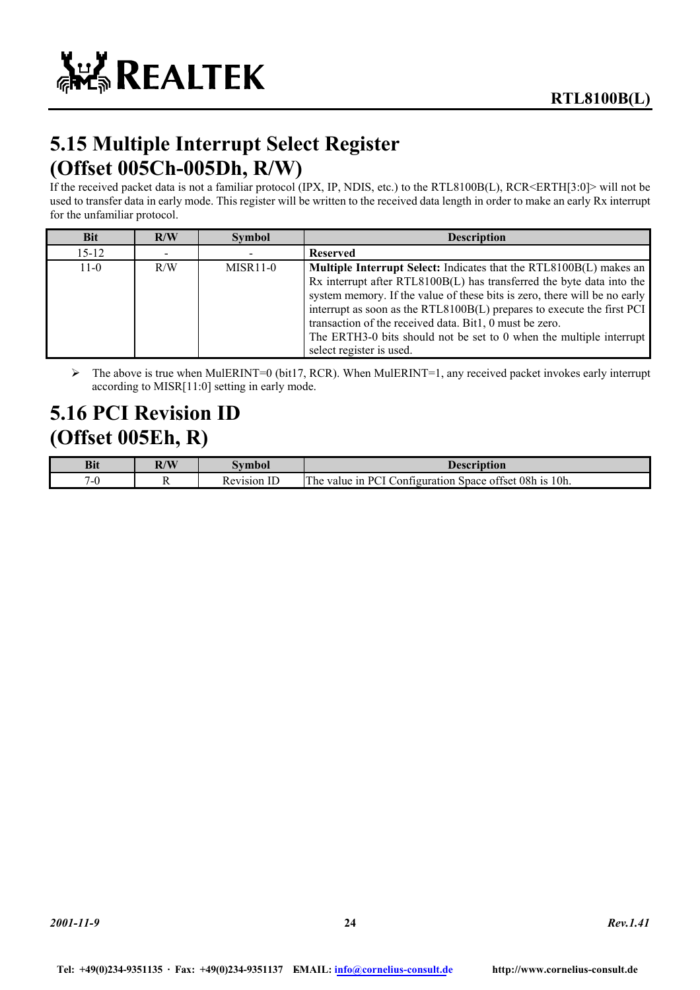# **5.15 Multiple Interrupt Select Register (Offset 005Ch-005Dh, R/W)**

If the received packet data is not a familiar protocol (IPX, IP, NDIS, etc.) to the RTL8100B(L), RCR<ERTH[3:0]> will not be used to transfer data in early mode. This register will be written to the received data length in order to make an early Rx interrupt for the unfamiliar protocol.

| <b>Bit</b> | R/W | <b>Symbol</b>         | <b>Description</b>                                                                                                                                                                                                                                                                                                                                                                                                                                                      |
|------------|-----|-----------------------|-------------------------------------------------------------------------------------------------------------------------------------------------------------------------------------------------------------------------------------------------------------------------------------------------------------------------------------------------------------------------------------------------------------------------------------------------------------------------|
| $15 - 12$  |     |                       | <b>Reserved</b>                                                                                                                                                                                                                                                                                                                                                                                                                                                         |
| $11-0$     | R/W | MISR <sub>11</sub> -0 | <b>Multiple Interrupt Select:</b> Indicates that the RTL8100B(L) makes an<br>Rx interrupt after RTL8100B(L) has transferred the byte data into the<br>system memory. If the value of these bits is zero, there will be no early<br>interrupt as soon as the RTL8100B(L) prepares to execute the first PCI<br>transaction of the received data. Bit1, 0 must be zero.<br>The ERTH3-0 bits should not be set to 0 when the multiple interrupt<br>select register is used. |

 $\triangleright$  The above is true when MulERINT=0 (bit17, RCR). When MulERINT=1, any received packet invokes early interrupt according to MISR[11:0] setting in early mode.

### **5.16 PCI Revision ID (Offset 005Eh, R)**

| <b>Bit</b> | R/W | vmbo.    | <b>Description</b>                                                                                                 |
|------------|-----|----------|--------------------------------------------------------------------------------------------------------------------|
| -<br>.     |     | Revision | 10h.<br><b>COMPANY</b><br>offset 08h<br>P <sub>1</sub><br><b>1S</b><br>:onfiguration<br>1n<br>he<br>Space<br>value |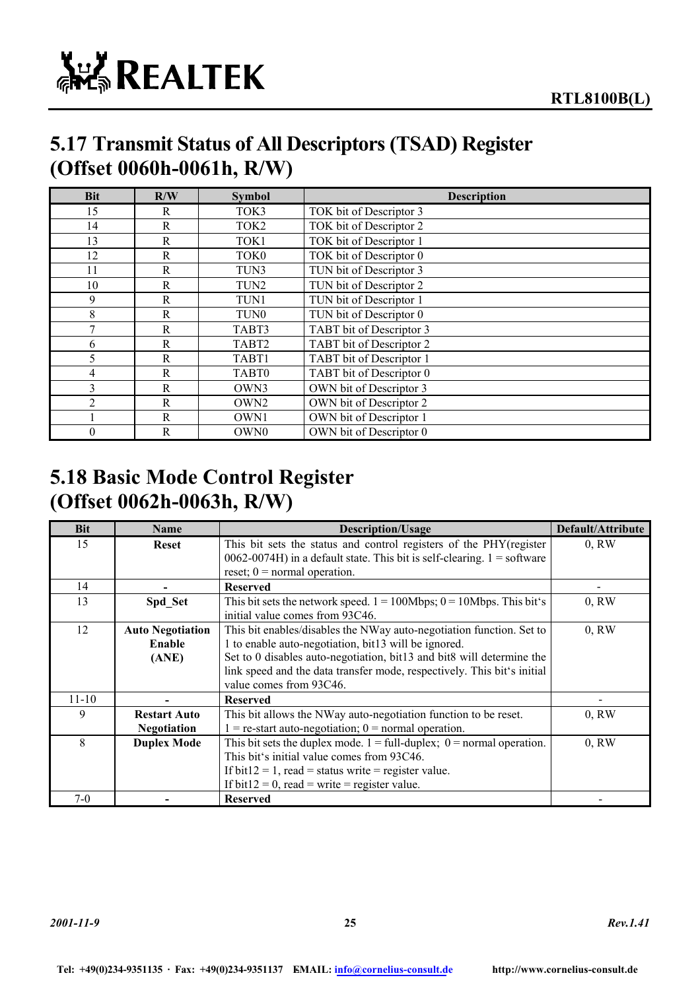

### **5.17 Transmit Status of All Descriptors (TSAD) Register (Offset 0060h-0061h, R/W)**

| <b>Bit</b>   | R/W          | <b>Symbol</b>     | <b>Description</b>       |
|--------------|--------------|-------------------|--------------------------|
| 15           | R            | TOK3              | TOK bit of Descriptor 3  |
| 14           | $\mathbf R$  | TOK <sub>2</sub>  | TOK bit of Descriptor 2  |
| 13           | $\mathbb{R}$ | TOK1              | TOK bit of Descriptor 1  |
| 12           | $\mathbf R$  | TOK0              | TOK bit of Descriptor 0  |
| 11           | R            | TUN3              | TUN bit of Descriptor 3  |
| 10           | R            | TUN <sub>2</sub>  | TUN bit of Descriptor 2  |
| 9            | R            | TUN1              | TUN bit of Descriptor 1  |
| 8            | R            | TUN <sub>0</sub>  | TUN bit of Descriptor 0  |
| $\mathbf{7}$ | $\mathbf R$  | TABT3             | TABT bit of Descriptor 3 |
| 6            | $\mathbf R$  | TABT <sub>2</sub> | TABT bit of Descriptor 2 |
| 5            | $\mathbf R$  | TABT1             | TABT bit of Descriptor 1 |
| 4            | $\mathbf R$  | TABT0             | TABT bit of Descriptor 0 |
| 3            | R            | OWN3              | OWN bit of Descriptor 3  |
| 2            | R            | OWN <sub>2</sub>  | OWN bit of Descriptor 2  |
|              | R            | OWN1              | OWN bit of Descriptor 1  |
| 0            | R            | OWN0              | OWN bit of Descriptor 0  |

### **5.18 Basic Mode Control Register (Offset 0062h-0063h, R/W)**

| <b>Bit</b> | <b>Name</b>             | <b>Description/Usage</b>                                                                  | Default/Attribute |
|------------|-------------------------|-------------------------------------------------------------------------------------------|-------------------|
| 15         | <b>Reset</b>            | This bit sets the status and control registers of the PHY (register                       | 0, RW             |
|            |                         | $0062-0074H$ ) in a default state. This bit is self-clearing. 1 = software                |                   |
|            |                         | reset; $0 = normal operation$ .                                                           |                   |
| 14         |                         | <b>Reserved</b>                                                                           |                   |
| 13         | Spd Set                 | This bit sets the network speed. $1 = 100Mbps$ ; $0 = 10Mbps$ . This bit's                | 0, RW             |
|            |                         | initial value comes from 93C46.                                                           |                   |
| 12         | <b>Auto Negotiation</b> | This bit enables/disables the NWay auto-negotiation function. Set to                      | 0, RW             |
|            | Enable                  | 1 to enable auto-negotiation, bit13 will be ignored.                                      |                   |
|            | (ANE)                   | Set to 0 disables auto-negotiation, bit13 and bit8 will determine the                     |                   |
|            |                         | link speed and the data transfer mode, respectively. This bit's initial                   |                   |
|            |                         | value comes from 93C46.                                                                   |                   |
| $11 - 10$  |                         | <b>Reserved</b>                                                                           |                   |
| 9          | <b>Restart Auto</b>     | This bit allows the NWay auto-negotiation function to be reset.                           | 0, RW             |
|            | <b>Negotiation</b>      | $1 =$ re-start auto-negotiation; $0 =$ normal operation.                                  |                   |
| 8          | <b>Duplex Mode</b>      | This bit sets the duplex mode. $1 = \text{full-duplex}$ ; $0 = \text{normal operation}$ . | 0, RW             |
|            |                         | This bit's initial value comes from 93C46.                                                |                   |
|            |                         | If bit $12 = 1$ , read = status write = register value.                                   |                   |
|            |                         | If bit12 = 0, read = write = register value.                                              |                   |
| $7-0$      |                         | <b>Reserved</b>                                                                           |                   |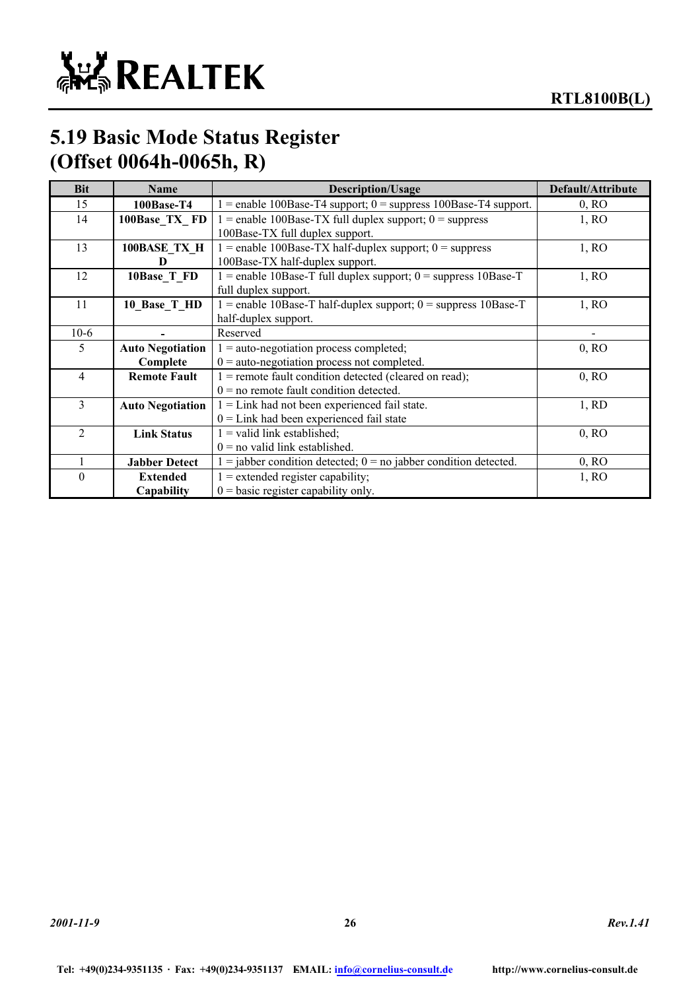

### **5.19 Basic Mode Status Register (Offset 0064h-0065h, R)**

| <b>Bit</b>     | <b>Name</b>             | <b>Description/Usage</b>                                             | Default/Attribute |
|----------------|-------------------------|----------------------------------------------------------------------|-------------------|
| 15             | 100Base-T4              | $1 =$ enable 100Base-T4 support; 0 = suppress 100Base-T4 support.    | $0$ , RO          |
| 14             | 100Base TX FD           | $1 =$ enable 100Base-TX full duplex support; $0 =$ suppress          | 1, RO             |
|                |                         | 100Base-TX full duplex support.                                      |                   |
| 13             | 100BASE TX H            | $1 =$ enable 100Base-TX half-duplex support; $0 =$ suppress          | 1, RO             |
|                | D                       | 100Base-TX half-duplex support.                                      |                   |
| 12             | 10Base T FD             | $1$ = enable 10Base-T full duplex support; 0 = suppress 10Base-T     | 1, RO             |
|                |                         | full duplex support.                                                 |                   |
| 11             | 10_Base_T_HD            | $1$ = enable 10Base-T half-duplex support; 0 = suppress 10Base-T     | 1, RO             |
|                |                         | half-duplex support.                                                 |                   |
| $10-6$         |                         | Reserved                                                             |                   |
| 5              | <b>Auto Negotiation</b> | $1 =$ auto-negotiation process completed;                            | 0, RO             |
|                | Complete                | $0 =$ auto-negotiation process not completed.                        |                   |
| $\overline{4}$ | <b>Remote Fault</b>     | $1$ = remote fault condition detected (cleared on read);             | 0, RO             |
|                |                         | $0 =$ no remote fault condition detected.                            |                   |
| 3              | <b>Auto Negotiation</b> | $1 =$ Link had not been experienced fail state.                      | 1, RD             |
|                |                         | $0 =$ Link had been experienced fail state                           |                   |
| $\overline{c}$ | <b>Link Status</b>      | $1 =$ valid link established;                                        | 0, RO             |
|                |                         | $0 =$ no valid link established.                                     |                   |
|                | <b>Jabber Detect</b>    | $1 =$ jabber condition detected; $0 =$ no jabber condition detected. | 0, RO             |
| 0              | <b>Extended</b>         | $1 =$ extended register capability;                                  | 1, RO             |
|                | Capability              | $0 = \text{basic register capability only.}$                         |                   |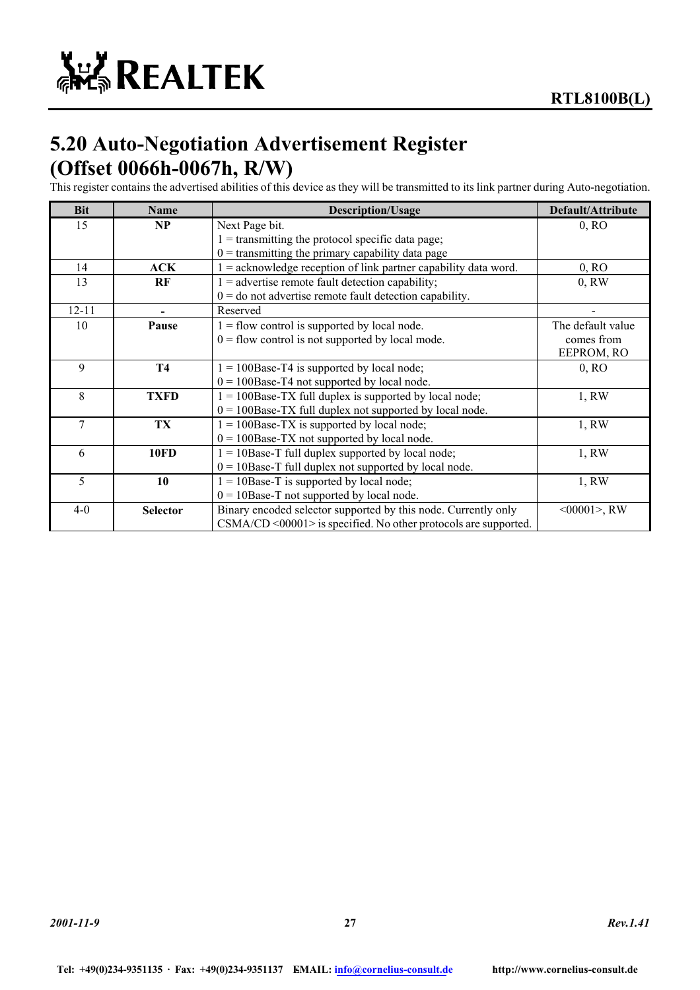### **5.20 Auto-Negotiation Advertisement Register (Offset 0066h-0067h, R/W)**

This register contains the advertised abilities of this device as they will be transmitted to its link partner during Auto-negotiation.

| <b>Bit</b> | <b>Name</b>     | <b>Description/Usage</b>                                             | Default/Attribute |
|------------|-----------------|----------------------------------------------------------------------|-------------------|
| 15         | NP              | Next Page bit.                                                       | 0, RO             |
|            |                 | $1 =$ transmitting the protocol specific data page;                  |                   |
|            |                 | $0 =$ transmitting the primary capability data page                  |                   |
| 14         | ACK             | $1 =$ acknowledge reception of link partner capability data word.    | 0, RO             |
| 13         | RF              | $1 =$ advertise remote fault detection capability;                   | 0, RW             |
|            |                 | $0 =$ do not advertise remote fault detection capability.            |                   |
| $12 - 11$  |                 | Reserved                                                             |                   |
| 10         | Pause           | $1 =$ flow control is supported by local node.                       | The default value |
|            |                 | $0 =$ flow control is not supported by local mode.                   | comes from        |
|            |                 |                                                                      | EEPROM, RO        |
| 9          | <b>T4</b>       | $1 = 100$ Base-T4 is supported by local node;                        | 0, RO             |
|            |                 | $0 = 100$ Base-T4 not supported by local node.                       |                   |
| 8          | <b>TXFD</b>     | $1 = 100$ Base-TX full duplex is supported by local node;            | 1, RW             |
|            |                 | $0 = 100$ Base-TX full duplex not supported by local node.           |                   |
| 7          | TX              | $1 = 100$ Base-TX is supported by local node;                        | 1, RW             |
|            |                 | $0 = 100$ Base-TX not supported by local node.                       |                   |
| 6          | <b>10FD</b>     | $1 = 10$ Base-T full duplex supported by local node;                 | 1, RW             |
|            |                 | $0 = 10$ Base-T full duplex not supported by local node.             |                   |
| 5          | 10              | $1 = 10$ Base-T is supported by local node;                          | 1, RW             |
|            |                 | $0 = 10$ Base-T not supported by local node.                         |                   |
| $4 - 0$    | <b>Selector</b> | Binary encoded selector supported by this node. Currently only       | $<00001$ , RW     |
|            |                 | $CSMA/CD \leq 00001$ is specified. No other protocols are supported. |                   |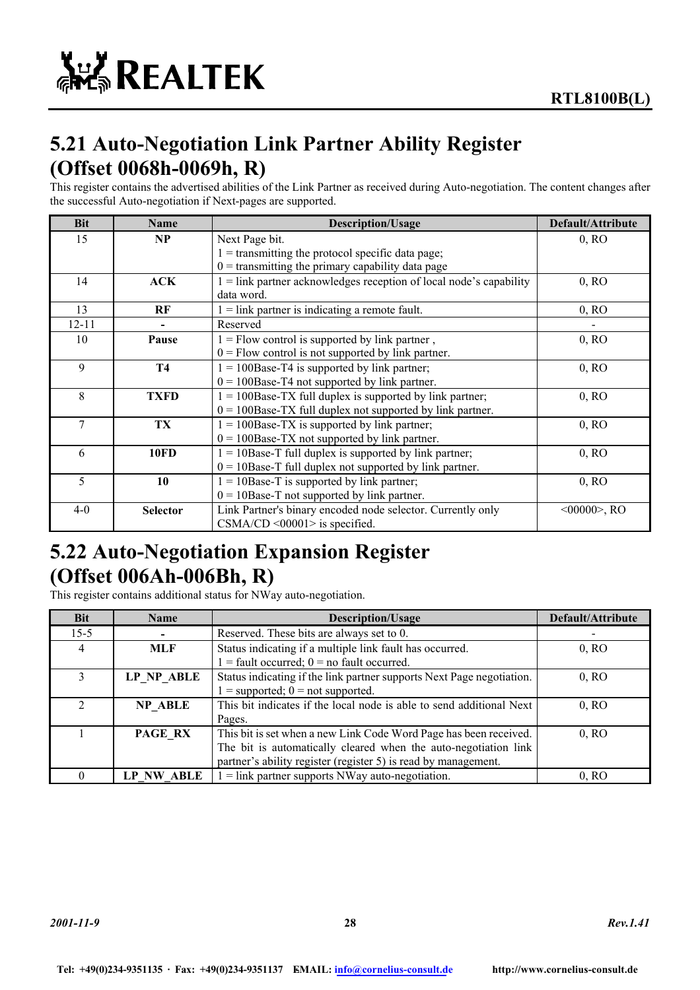## **5.21 Auto-Negotiation Link Partner Ability Register (Offset 0068h-0069h, R)**

This register contains the advertised abilities of the Link Partner as received during Auto-negotiation. The content changes after the successful Auto-negotiation if Next-pages are supported.

| <b>Bit</b> | Name            | <b>Description/Usage</b>                                             | Default/Attribute |
|------------|-----------------|----------------------------------------------------------------------|-------------------|
| 15         | NP              | Next Page bit.                                                       | 0, RO             |
|            |                 | $1 =$ transmitting the protocol specific data page;                  |                   |
|            |                 | $0 =$ transmitting the primary capability data page                  |                   |
| 14         | ACK             | $1 =$ link partner acknowledges reception of local node's capability | 0, RO             |
|            |                 | data word.                                                           |                   |
| 13         | RF              | $1 =$ link partner is indicating a remote fault.                     | 0, RO             |
| $12 - 11$  |                 | Reserved                                                             |                   |
| 10         | Pause           | $1 =$ Flow control is supported by link partner,                     | 0, RO             |
|            |                 | $0 =$ Flow control is not supported by link partner.                 |                   |
| 9          | <b>T4</b>       | $1 = 100$ Base-T4 is supported by link partner;                      | 0, RO             |
|            |                 | $0 = 100$ Base-T4 not supported by link partner.                     |                   |
| 8          | <b>TXFD</b>     | $1 = 100$ Base-TX full duplex is supported by link partner;          | 0, RO             |
|            |                 | $0 = 100$ Base-TX full duplex not supported by link partner.         |                   |
| 7          | TX              | $1 = 100$ Base-TX is supported by link partner;                      | 0, RO             |
|            |                 | $0 = 100$ Base-TX not supported by link partner.                     |                   |
| 6          | <b>10FD</b>     | $1 = 10$ Base-T full duplex is supported by link partner;            | 0, RO             |
|            |                 | $0 = 10$ Base-T full duplex not supported by link partner.           |                   |
| 5          | 10              | $1 = 10$ Base-T is supported by link partner;                        | 0, RO             |
|            |                 | $0 = 10$ Base-T not supported by link partner.                       |                   |
| $4 - 0$    | <b>Selector</b> | Link Partner's binary encoded node selector. Currently only          | $<00000>$ , RO    |
|            |                 | $CSMA/CD < 00001 >$ is specified.                                    |                   |

### **5.22 Auto-Negotiation Expansion Register (Offset 006Ah-006Bh, R)**

This register contains additional status for NWay auto-negotiation.

| <b>Bit</b> | <b>Name</b>   | <b>Description/Usage</b>                                              | Default/Attribute |
|------------|---------------|-----------------------------------------------------------------------|-------------------|
| $15 - 5$   |               | Reserved. These bits are always set to 0.                             |                   |
| 4          | <b>MLF</b>    | Status indicating if a multiple link fault has occurred.              | 0, RO             |
|            |               | $1 =$ fault occurred; $0 =$ no fault occurred.                        |                   |
|            | LP NP ABLE    | Status indicating if the link partner supports Next Page negotiation. |                   |
|            |               | $1 =$ supported; $0 =$ not supported.                                 |                   |
|            | NP ABLE       | This bit indicates if the local node is able to send additional Next  | 0, RO             |
|            |               | Pages.                                                                |                   |
|            | PAGE RX       | This bit is set when a new Link Code Word Page has been received.     | 0, RO             |
|            |               | The bit is automatically cleared when the auto-negotiation link       |                   |
|            |               | partner's ability register (register 5) is read by management.        |                   |
|            | ABLE<br>LP NW | $1 =$ link partner supports NWay auto-negotiation.                    | 0. RO             |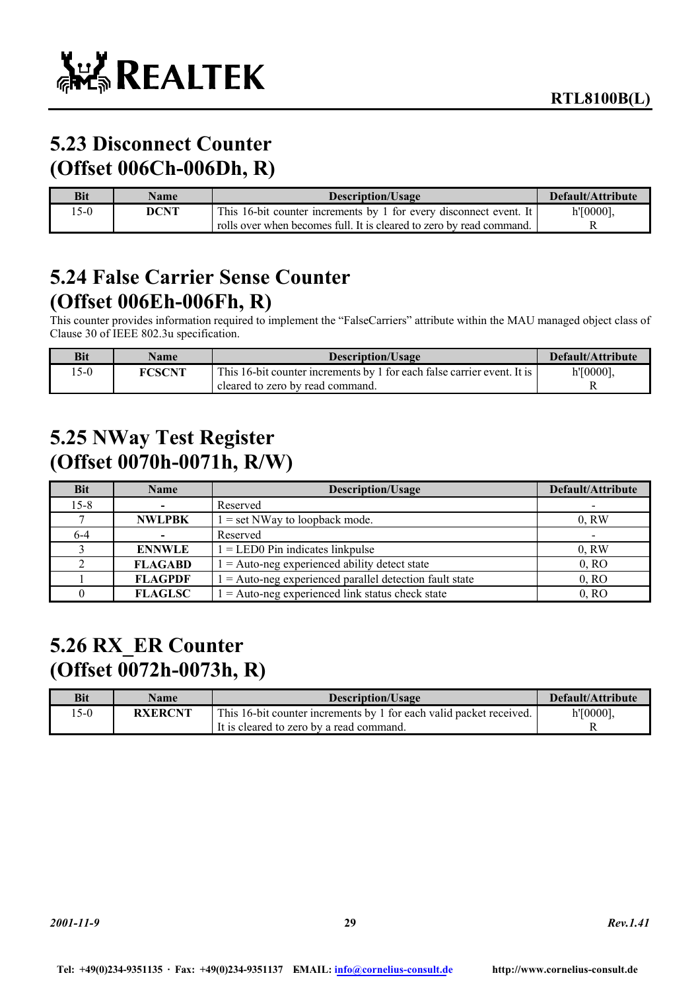## **5.23 Disconnect Counter (Offset 006Ch-006Dh, R)**

| <b>Bit</b> | <b>Name</b> | Description/Usage                                                    | Default/Attribute |
|------------|-------------|----------------------------------------------------------------------|-------------------|
| $5-0$      | DCNT        | This 16-bit counter increments by 1 for every disconnect event. It   | $h'[0000]$ ,      |
|            |             | rolls over when becomes full. It is cleared to zero by read command. |                   |

### **5.24 False Carrier Sense Counter (Offset 006Eh-006Fh, R)**

This counter provides information required to implement the "FalseCarriers" attribute within the MAU managed object class of Clause 30 of IEEE 802.3u specification.

| Bit   | <b>Name</b>   | Description/Usage                                                       | Default/Attribute |
|-------|---------------|-------------------------------------------------------------------------|-------------------|
| $5-0$ | <b>FCSCNT</b> | This 16-bit counter increments by 1 for each false carrier event. It is | $h'[0000]$ ,      |
|       |               | cleared to zero by read command.                                        |                   |

### **5.25 NWay Test Register (Offset 0070h-0071h, R/W)**

| <b>Bit</b> | <b>Name</b>    | <b>Description/Usage</b>                                  | Default/Attribute |
|------------|----------------|-----------------------------------------------------------|-------------------|
| $15 - 8$   |                | Reserved                                                  |                   |
|            | <b>NWLPBK</b>  | $1 = set$ NWay to loopback mode.                          | 0, RW             |
| 6-4        |                | Reserved                                                  |                   |
|            | <b>ENNWLE</b>  | $1 =$ LED0 Pin indicates linkpulse                        | 0, RW             |
|            | <b>FLAGABD</b> | $1 =$ Auto-neg experienced ability detect state           | 0, RO             |
|            | <b>FLAGPDF</b> | $1 =$ Auto-neg experienced parallel detection fault state | 0, RO             |
|            | <b>FLAGLSC</b> | $1 =$ Auto-neg experienced link status check state        | 0. RO             |

### **5.26 RX\_ER Counter (Offset 0072h-0073h, R)**

| <b>Bit</b> | <b>Name</b>    | <b>Description/Usage</b>                                            | Default/Attribute |
|------------|----------------|---------------------------------------------------------------------|-------------------|
| $5-0$      | <b>RXERCNT</b> | This 16-bit counter increments by 1 for each valid packet received. | $h'[0000]$ ,      |
|            |                | It is cleared to zero by a read command.                            |                   |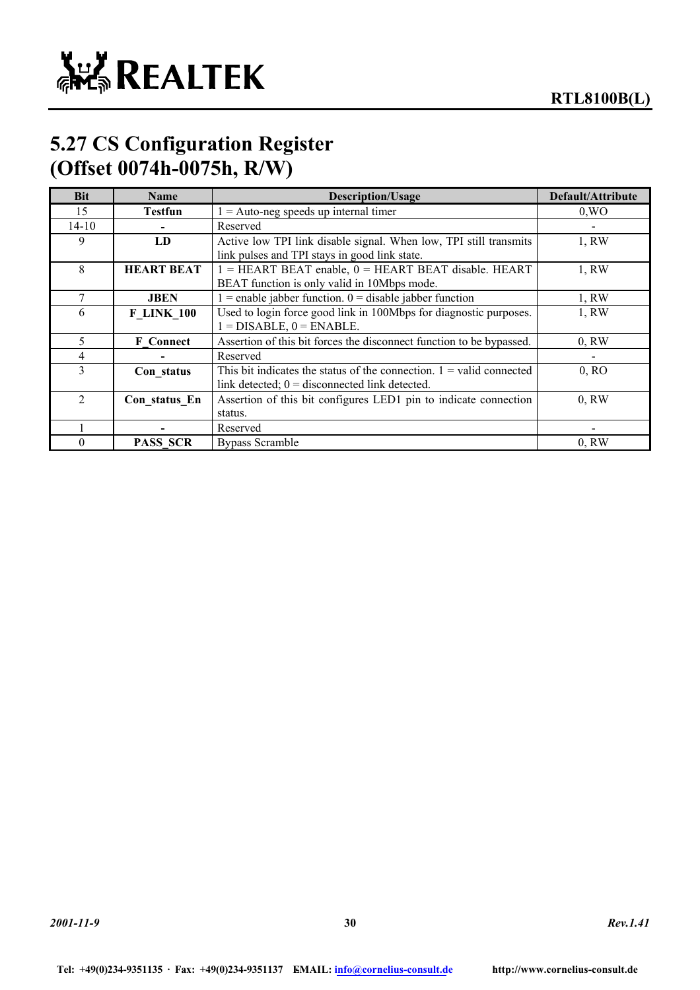

### **5.27 CS Configuration Register (Offset 0074h-0075h, R/W)**

| Bit            | Name              | <b>Description/Usage</b>                                               | Default/Attribute |
|----------------|-------------------|------------------------------------------------------------------------|-------------------|
| 15             | <b>Testfun</b>    | $1 =$ Auto-neg speeds up internal timer                                | 0, WO             |
| 14-10          |                   | Reserved                                                               |                   |
| 9              | LD                | Active low TPI link disable signal. When low, TPI still transmits      | 1, RW             |
|                |                   | link pulses and TPI stays in good link state.                          |                   |
| 8              | <b>HEART BEAT</b> | 1 = HEART BEAT enable, 0 = HEART BEAT disable. HEART                   | 1, RW             |
|                |                   | BEAT function is only valid in 10Mbps mode.                            |                   |
|                | <b>JBEN</b>       | $1$ = enable jabber function. 0 = disable jabber function              | 1, RW             |
| 6              | <b>F LINK 100</b> | Used to login force good link in 100Mbps for diagnostic purposes.      | 1, RW             |
|                |                   | $1 = DISABLE$ , $0 = ENABLE$ .                                         |                   |
| 5.             | <b>F</b> Connect  | Assertion of this bit forces the disconnect function to be bypassed.   | $0.$ RW           |
| 4              |                   | Reserved                                                               |                   |
| 3              | Con status        | This bit indicates the status of the connection. $1 =$ valid connected | 0, RO             |
|                |                   | link detected; $0 =$ disconnected link detected.                       |                   |
| $\overline{2}$ | Con status En     | Assertion of this bit configures LED1 pin to indicate connection       | $0.$ RW           |
|                |                   | status.                                                                |                   |
|                |                   | Reserved                                                               |                   |
| 0              | <b>PASS SCR</b>   | <b>Bypass Scramble</b>                                                 | 0, RW             |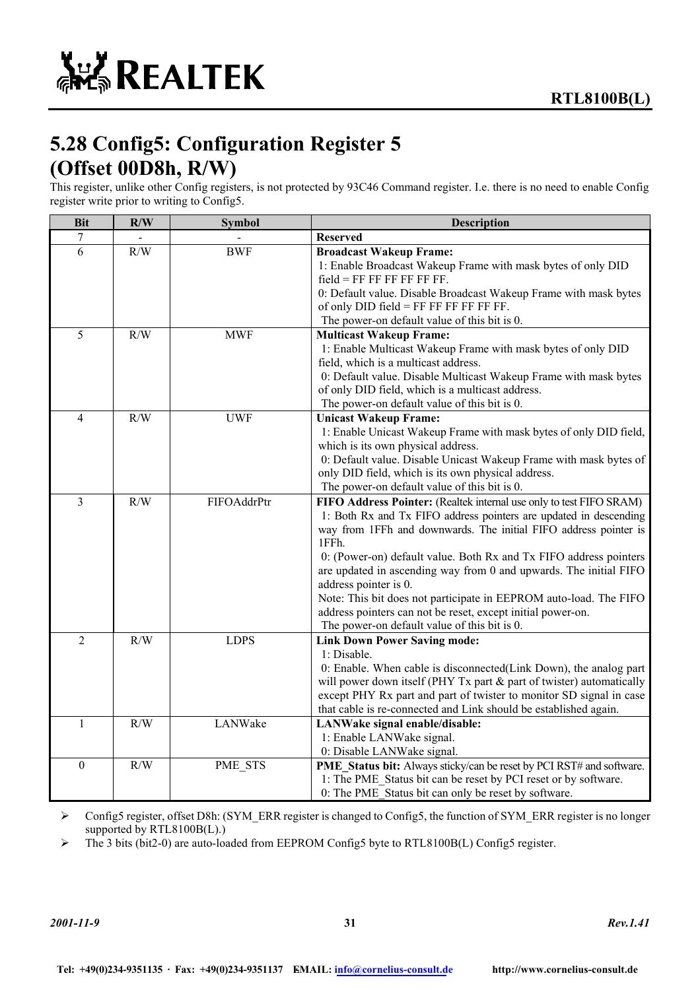# **5.28 Config5: Configuration Register 5 (Offset 00D8h, R/W)**

This register, unlike other Config registers, is not protected by 93C46 Command register. I.e. there is no need to enable Config register write prior to writing to Config5.

| <b>Bit</b>       | R/W | <b>Symbol</b> | <b>Description</b>                                                                                                                                                                                                                                                                                                                                                                                                                                                                                                                                                           |
|------------------|-----|---------------|------------------------------------------------------------------------------------------------------------------------------------------------------------------------------------------------------------------------------------------------------------------------------------------------------------------------------------------------------------------------------------------------------------------------------------------------------------------------------------------------------------------------------------------------------------------------------|
| 7                |     |               | <b>Reserved</b>                                                                                                                                                                                                                                                                                                                                                                                                                                                                                                                                                              |
| 6                | R/W | <b>BWF</b>    | <b>Broadcast Wakeup Frame:</b><br>1: Enable Broadcast Wakeup Frame with mask bytes of only DID<br>$field = FF FF FF FF FF.$<br>0: Default value. Disable Broadcast Wakeup Frame with mask bytes<br>of only $DID$ field = FF FF FF FF FF FF.<br>The power-on default value of this bit is 0.                                                                                                                                                                                                                                                                                  |
| 5                | R/W | <b>MWF</b>    | <b>Multicast Wakeup Frame:</b><br>1: Enable Multicast Wakeup Frame with mask bytes of only DID<br>field, which is a multicast address.<br>0: Default value. Disable Multicast Wakeup Frame with mask bytes<br>of only DID field, which is a multicast address.<br>The power-on default value of this bit is 0.                                                                                                                                                                                                                                                               |
| $\overline{4}$   | R/W | <b>UWF</b>    | <b>Unicast Wakeup Frame:</b><br>1: Enable Unicast Wakeup Frame with mask bytes of only DID field,<br>which is its own physical address.<br>0: Default value. Disable Unicast Wakeup Frame with mask bytes of<br>only DID field, which is its own physical address.<br>The power-on default value of this bit is 0.                                                                                                                                                                                                                                                           |
| 3                | R/W | FIFOAddrPtr   | FIFO Address Pointer: (Realtek internal use only to test FIFO SRAM)<br>1: Both Rx and Tx FIFO address pointers are updated in descending<br>way from 1FFh and downwards. The initial FIFO address pointer is<br>1FFh.<br>0: (Power-on) default value. Both Rx and Tx FIFO address pointers<br>are updated in ascending way from 0 and upwards. The initial FIFO<br>address pointer is 0.<br>Note: This bit does not participate in EEPROM auto-load. The FIFO<br>address pointers can not be reset, except initial power-on.<br>The power-on default value of this bit is 0. |
| $\overline{2}$   | R/W | <b>LDPS</b>   | <b>Link Down Power Saving mode:</b><br>1: Disable.<br>0: Enable. When cable is disconnected(Link Down), the analog part<br>will power down itself (PHY Tx part & part of twister) automatically<br>except PHY Rx part and part of twister to monitor SD signal in case<br>that cable is re-connected and Link should be established again.                                                                                                                                                                                                                                   |
| $\mathbf{1}$     | R/W | LANWake       | LANWake signal enable/disable:<br>1: Enable LANWake signal.<br>0: Disable LANWake signal.                                                                                                                                                                                                                                                                                                                                                                                                                                                                                    |
| $\boldsymbol{0}$ | R/W | PME_STS       | PME_Status bit: Always sticky/can be reset by PCI RST# and software.<br>1: The PME_Status bit can be reset by PCI reset or by software.<br>0: The PME Status bit can only be reset by software.                                                                                                                                                                                                                                                                                                                                                                              |

¾ Config5 register, offset D8h: (SYM\_ERR register is changed to Config5, the function of SYM\_ERR register is no longer supported by RTL8100B(L).)

¾ The 3 bits (bit2-0) are auto-loaded from EEPROM Config5 byte to RTL8100B(L) Config5 register.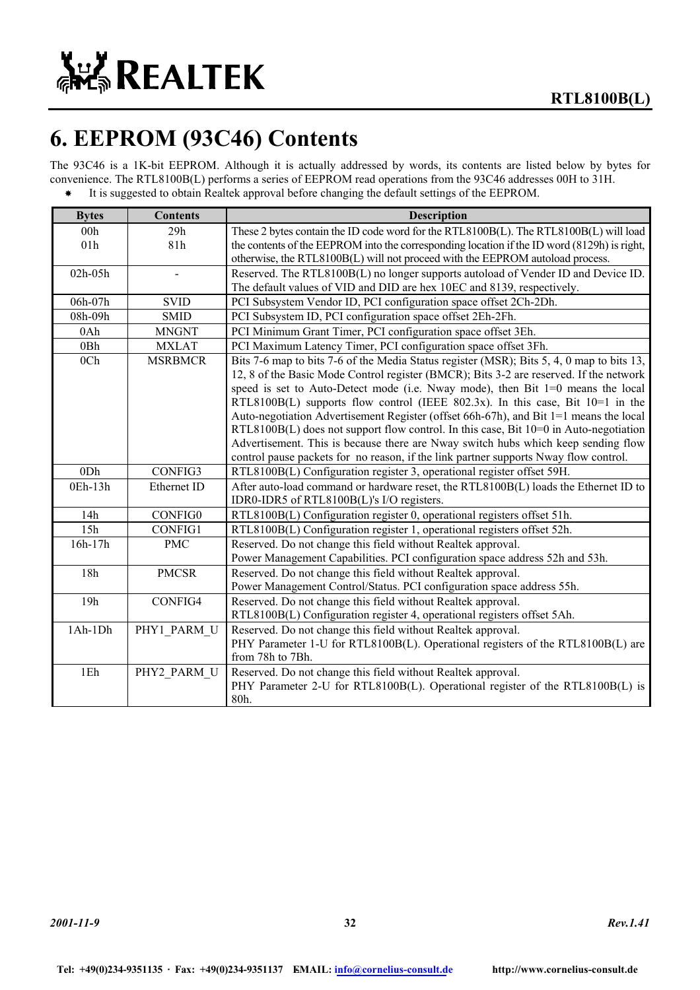

# **6. EEPROM (93C46) Contents**

The 93C46 is a 1K-bit EEPROM. Although it is actually addressed by words, its contents are listed below by bytes for convenience. The RTL8100B(L) performs a series of EEPROM read operations from the 93C46 addresses 00H to 31H. It is suggested to obtain Realtek approval before changing the default settings of the EEPROM.

| <b>Bytes</b> | <b>Contents</b> | <b>Description</b>                                                                          |
|--------------|-----------------|---------------------------------------------------------------------------------------------|
| 00h          | 29h             | These 2 bytes contain the ID code word for the RTL8100B(L). The RTL8100B(L) will load       |
| 01h          | 81h             | the contents of the EEPROM into the corresponding location if the ID word (8129h) is right, |
|              |                 | otherwise, the RTL8100B(L) will not proceed with the EEPROM autoload process.               |
| 02h-05h      |                 | Reserved. The RTL8100B(L) no longer supports autoload of Vender ID and Device ID.           |
|              |                 | The default values of VID and DID are hex 10EC and 8139, respectively.                      |
| 06h-07h      | <b>SVID</b>     | PCI Subsystem Vendor ID, PCI configuration space offset 2Ch-2Dh.                            |
| 08h-09h      | <b>SMID</b>     | PCI Subsystem ID, PCI configuration space offset 2Eh-2Fh.                                   |
| 0Ah          | <b>MNGNT</b>    | PCI Minimum Grant Timer, PCI configuration space offset 3Eh.                                |
| 0Bh          | <b>MXLAT</b>    | PCI Maximum Latency Timer, PCI configuration space offset 3Fh.                              |
| 0Ch          | <b>MSRBMCR</b>  | Bits 7-6 map to bits 7-6 of the Media Status register (MSR); Bits 5, 4, 0 map to bits 13,   |
|              |                 | 12, 8 of the Basic Mode Control register (BMCR); Bits 3-2 are reserved. If the network      |
|              |                 | speed is set to Auto-Detect mode (i.e. Nway mode), then Bit 1=0 means the local             |
|              |                 | RTL8100B(L) supports flow control (IEEE 802.3x). In this case, Bit $10=1$ in the            |
|              |                 | Auto-negotiation Advertisement Register (offset 66h-67h), and Bit 1=1 means the local       |
|              |                 | $RTL8100B(L)$ does not support flow control. In this case, Bit $10=0$ in Auto-negotiation   |
|              |                 | Advertisement. This is because there are Nway switch hubs which keep sending flow           |
|              |                 | control pause packets for no reason, if the link partner supports Nway flow control.        |
| 0Dh          | CONFIG3         | RTL8100B(L) Configuration register 3, operational register offset 59H.                      |
| 0Eh-13h      | Ethernet ID     | After auto-load command or hardware reset, the RTL8100B(L) loads the Ethernet ID to         |
|              |                 | IDR0-IDR5 of RTL8100B(L)'s I/O registers.                                                   |
| 14h          | CONFIG0         | RTL8100B(L) Configuration register 0, operational registers offset 51h.                     |
| 15h          | CONFIG1         | RTL8100B(L) Configuration register 1, operational registers offset 52h.                     |
| 16h-17h      | <b>PMC</b>      | Reserved. Do not change this field without Realtek approval.                                |
|              |                 | Power Management Capabilities. PCI configuration space address 52h and 53h.                 |
| 18h          | <b>PMCSR</b>    | Reserved. Do not change this field without Realtek approval.                                |
|              |                 | Power Management Control/Status. PCI configuration space address 55h.                       |
| 19h          | CONFIG4         | Reserved. Do not change this field without Realtek approval.                                |
|              |                 | RTL8100B(L) Configuration register 4, operational registers offset 5Ah.                     |
| 1Ah-1Dh      | PHY1 PARM U     | Reserved. Do not change this field without Realtek approval.                                |
|              |                 | PHY Parameter 1-U for RTL8100B(L). Operational registers of the RTL8100B(L) are             |
|              |                 | from 78h to 7Bh.                                                                            |
| 1Eh          | PHY2 PARM U     | Reserved. Do not change this field without Realtek approval.                                |
|              |                 | PHY Parameter 2-U for RTL8100B(L). Operational register of the RTL8100B(L) is               |
|              |                 | 80h.                                                                                        |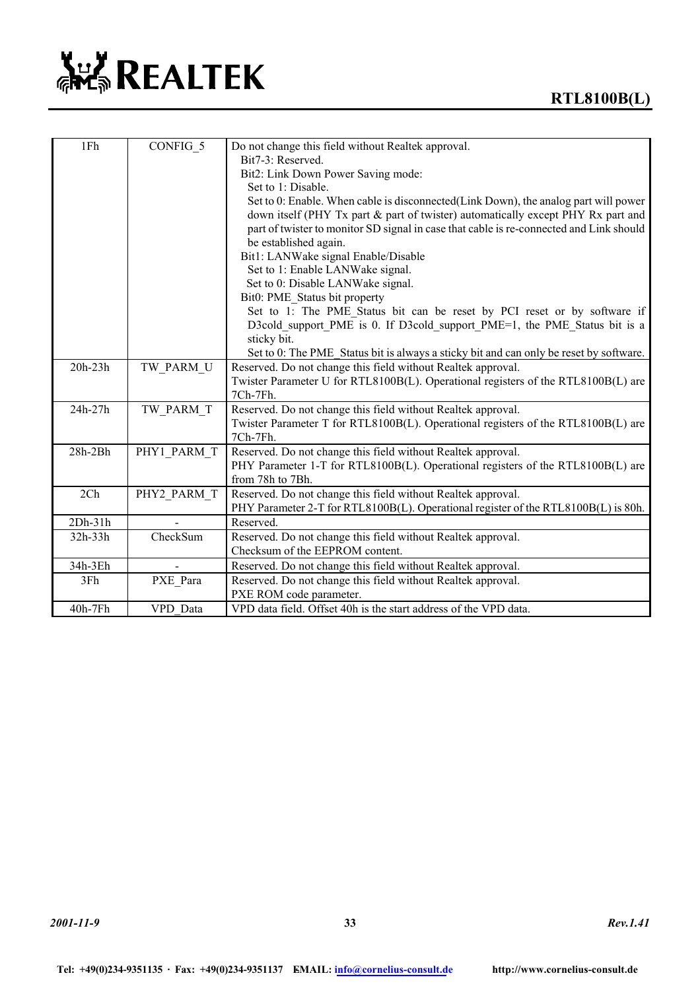# **ALL REALTEK**

| 1Fh       | CONFIG 5    | Do not change this field without Realtek approval.                                      |
|-----------|-------------|-----------------------------------------------------------------------------------------|
|           |             | Bit7-3: Reserved.                                                                       |
|           |             | Bit2: Link Down Power Saving mode:                                                      |
|           |             | Set to 1: Disable.                                                                      |
|           |             | Set to 0: Enable. When cable is disconnected(Link Down), the analog part will power     |
|           |             | down itself (PHY Tx part & part of twister) automatically except PHY Rx part and        |
|           |             | part of twister to monitor SD signal in case that cable is re-connected and Link should |
|           |             | be established again.                                                                   |
|           |             | Bit1: LANWake signal Enable/Disable                                                     |
|           |             | Set to 1: Enable LANWake signal.                                                        |
|           |             | Set to 0: Disable LANWake signal.                                                       |
|           |             | Bit0: PME Status bit property                                                           |
|           |             | Set to 1: The PME Status bit can be reset by PCI reset or by software if                |
|           |             | D3cold_support_PME is 0. If D3cold_support_PME=1, the PME_Status bit is a               |
|           |             | sticky bit.                                                                             |
|           |             | Set to 0: The PME_Status bit is always a sticky bit and can only be reset by software.  |
| 20h-23h   | TW PARM U   | Reserved. Do not change this field without Realtek approval.                            |
|           |             | Twister Parameter U for RTL8100B(L). Operational registers of the RTL8100B(L) are       |
|           |             | 7Ch-7Fh.                                                                                |
| 24h-27h   | TW PARM T   | Reserved. Do not change this field without Realtek approval.                            |
|           |             | Twister Parameter T for RTL8100B(L). Operational registers of the RTL8100B(L) are       |
|           |             | 7Ch-7Fh.                                                                                |
| $28h-2Bh$ | PHY1 PARM T | Reserved. Do not change this field without Realtek approval.                            |
|           |             | PHY Parameter 1-T for RTL8100B(L). Operational registers of the RTL8100B(L) are         |
|           |             | from 78h to 7Bh.                                                                        |
| 2Ch       | PHY2 PARM T | Reserved. Do not change this field without Realtek approval.                            |
|           |             | PHY Parameter 2-T for RTL8100B(L). Operational register of the RTL8100B(L) is 80h.      |
| $2Dh-31h$ |             | Reserved.                                                                               |
| 32h-33h   | CheckSum    | Reserved. Do not change this field without Realtek approval.                            |
|           |             | Checksum of the EEPROM content.                                                         |
| 34h-3Eh   |             | Reserved. Do not change this field without Realtek approval.                            |
| 3Fh       | PXE Para    | Reserved. Do not change this field without Realtek approval.                            |
|           |             | PXE ROM code parameter.                                                                 |
| 40h-7Fh   | VPD Data    | VPD data field. Offset 40h is the start address of the VPD data.                        |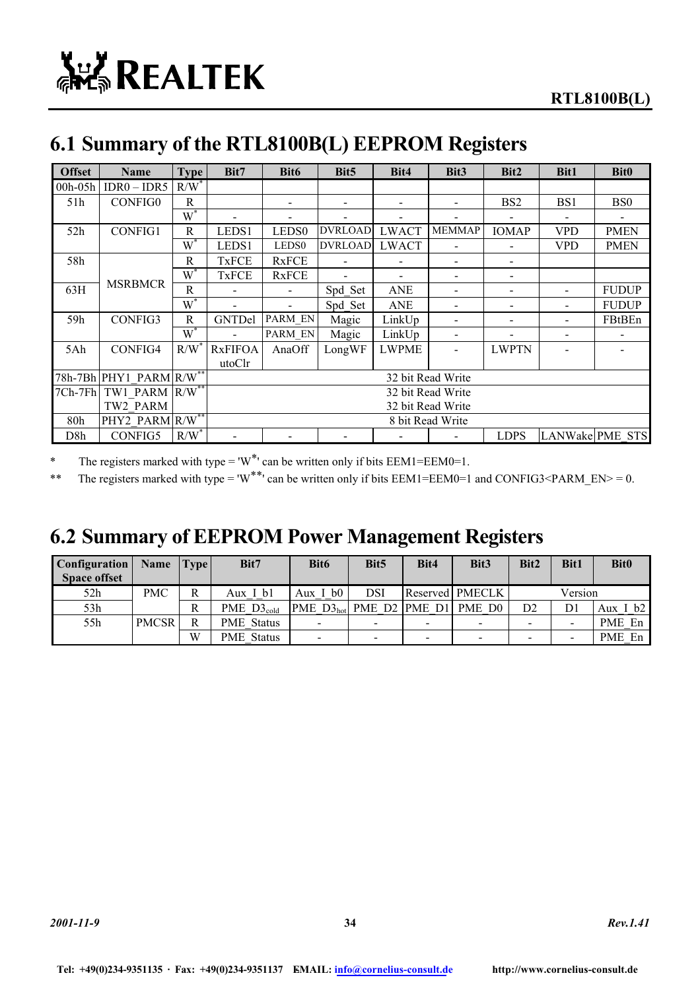# **6.1 Summary of the RTL8100B(L) EEPROM Registers**

| <b>Offset</b> | <b>Name</b>                         | <b>Type</b>      | Bit7           | Bit <sub>6</sub>  | Bit <sub>5</sub> | Bit4                     | Bit <sub>3</sub>             | Bit2                         | Bit1            | <b>Bit0</b>     |
|---------------|-------------------------------------|------------------|----------------|-------------------|------------------|--------------------------|------------------------------|------------------------------|-----------------|-----------------|
| $00h-05h$     | $IDR0 - IDR5$                       | $R/W^*$          |                |                   |                  |                          |                              |                              |                 |                 |
| 51h           | <b>CONFIG0</b>                      | R                |                |                   | $\qquad \qquad$  | $\overline{\phantom{a}}$ | $\overline{\phantom{a}}$     | BS <sub>2</sub>              | BS <sub>1</sub> | B <sub>S0</sub> |
|               |                                     | $W^*$            |                |                   |                  | $\overline{\phantom{a}}$ | $\qquad \qquad \blacksquare$ |                              |                 |                 |
| 52h           | <b>CONFIG1</b>                      | R                | LEDS1          | LEDS <sub>0</sub> | <b>DVRLOAD</b>   | <b>LWACT</b>             | <b>MEMMAP</b>                | <b>IOMAP</b>                 | <b>VPD</b>      | <b>PMEN</b>     |
|               |                                     | $W^*$            | LEDS1          | LEDS <sub>0</sub> | <b>DVRLOAD</b>   | <b>LWACT</b>             |                              |                              | VPD             | <b>PMEN</b>     |
| 58h           |                                     | R                | <b>TxFCE</b>   | <b>RxFCE</b>      |                  |                          |                              |                              |                 |                 |
|               |                                     | $\overline{W}^*$ | <b>TxFCE</b>   | <b>RxFCE</b>      |                  |                          |                              | $\qquad \qquad \blacksquare$ |                 |                 |
| 63H           | <b>MSRBMCR</b>                      | R                |                |                   | Spd Set          | <b>ANE</b>               |                              |                              |                 | <b>FUDUP</b>    |
|               |                                     | $W^*$            |                |                   | Spd Set          | <b>ANE</b>               |                              |                              |                 | <b>FUDUP</b>    |
| 59h           | CONFIG3                             | R                | GNTDel         | PARM EN           | Magic            | LinkUp                   |                              |                              |                 | FBtBEn          |
|               |                                     | $W^*$            |                | PARM EN           | Magic            | LinkUp                   |                              |                              |                 |                 |
| 5Ah           | CONFIG4                             | R/W              | <b>RxFIFOA</b> | AnaOff            | LongWF           | LWPME                    | $\qquad \qquad \blacksquare$ | <b>LWPTN</b>                 |                 |                 |
|               |                                     |                  | utoClr         |                   |                  |                          |                              |                              |                 |                 |
|               | 78h-7Bh PHY1 PARM R/W <sup>**</sup> |                  |                |                   |                  |                          | 32 bit Read Write            |                              |                 |                 |
|               | 7Ch-7Fh TW1 PARM R/W**              |                  |                |                   |                  |                          | 32 bit Read Write            |                              |                 |                 |
|               | TW2 PARM                            |                  |                | 32 bit Read Write |                  |                          |                              |                              |                 |                 |
| 80h           | PHY2 PARM R/W**                     |                  |                |                   |                  |                          | 8 bit Read Write             |                              |                 |                 |
| D8h           | CONFIG5                             | $R/W^*$          |                |                   |                  |                          |                              | <b>LDPS</b>                  | LANWake PME STS |                 |

\* The registers marked with type = ' $W^*$ ' can be written only if bits EEM1=EEM0=1.

\*\* The registers marked with type = 'W<sup>\*\*</sup>' can be written only if bits EEM1=EEM0=1 and CONFIG3<PARM\_EN> = 0.

### **6.2 Summary of EEPROM Power Management Registers**

| Configuration       | Name         | Two | Bit7              | Bit <sub>6</sub>         | Bit <sub>5</sub>         | Bit4 | Bit <sub>3</sub>         | Bit2 | <b>Bit1</b> | <b>Bit0</b> |
|---------------------|--------------|-----|-------------------|--------------------------|--------------------------|------|--------------------------|------|-------------|-------------|
| <b>Space offset</b> |              |     |                   |                          |                          |      |                          |      |             |             |
| 52h                 | <b>PMC</b>   | R   | Aux I bl          | Aux $I$ b $0$            | DSI                      |      | Reserved PMECLK          |      | Version     |             |
| 53h                 |              | R   | PME $D3_{cold}$   | PME $D3_{hot}$           |                          |      | PME D2 PME D1 PME D0     | D2   | D1          | Aux I b2    |
| 55h                 | <b>PMCSR</b> | R   | <b>PME</b> Status | $\overline{\phantom{0}}$ | $\overline{\phantom{0}}$ |      | $\overline{\phantom{0}}$ |      |             | PME En      |
|                     |              | W   | <b>PME</b> Status | $\overline{\phantom{0}}$ | $\blacksquare$           |      | $\overline{\phantom{0}}$ |      |             | PME En      |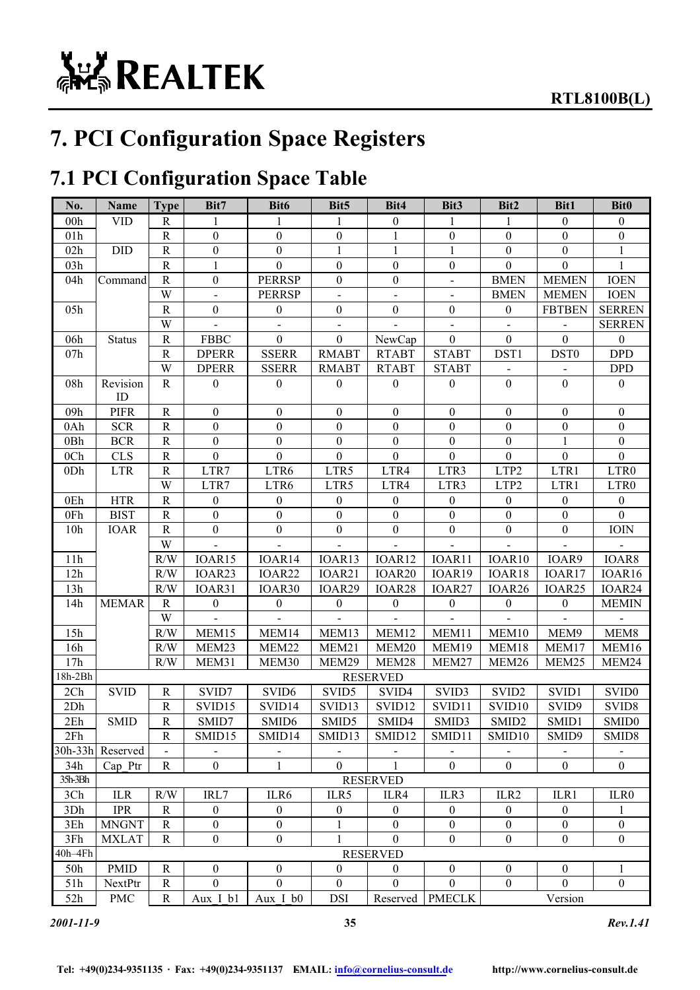# **7. PCI Configuration Space Registers**

# **7.1 PCI Configuration Space Table**

| No.             | Name             | <b>Type</b>    | Bit7             | Bit6              | Bit <sub>5</sub> | Bit4               | Bit3             | Bit2               | Bit1               | <b>Bit0</b>       |
|-----------------|------------------|----------------|------------------|-------------------|------------------|--------------------|------------------|--------------------|--------------------|-------------------|
| 00h             | <b>VID</b>       | R              | 1                | 1                 | 1                | $\boldsymbol{0}$   | 1                | 1                  | $\boldsymbol{0}$   | $\boldsymbol{0}$  |
| 01h             |                  | ${\bf R}$      | $\boldsymbol{0}$ | $\mathbf{0}$      | $\boldsymbol{0}$ | 1                  | $\boldsymbol{0}$ | $\boldsymbol{0}$   | $\boldsymbol{0}$   | $\boldsymbol{0}$  |
| 02h             | DID              | ${\bf R}$      | $\boldsymbol{0}$ | $\boldsymbol{0}$  | $\mathbf{1}$     | $\mathbf{1}$       | $\mathbf{1}$     | $\boldsymbol{0}$   | $\boldsymbol{0}$   | $\mathbf{1}$      |
| 03h             |                  | $\mathbf R$    | $\mathbf{1}$     | $\boldsymbol{0}$  | $\boldsymbol{0}$ | $\boldsymbol{0}$   | $\boldsymbol{0}$ | $\boldsymbol{0}$   | $\mathbf{0}$       | 1                 |
| 04h             | Command          | ${\bf R}$      | $\boldsymbol{0}$ | <b>PERRSP</b>     | $\boldsymbol{0}$ | $\boldsymbol{0}$   | $\overline{a}$   | <b>BMEN</b>        | <b>MEMEN</b>       | <b>IOEN</b>       |
|                 |                  | W              | $\overline{a}$   | <b>PERRSP</b>     | ÷,               |                    |                  | <b>BMEN</b>        | <b>MEMEN</b>       | <b>IOEN</b>       |
| 05h             |                  | $\mathbf R$    | $\boldsymbol{0}$ | $\boldsymbol{0}$  | $\boldsymbol{0}$ | $\boldsymbol{0}$   | $\mathbf{0}$     | $\mathbf{0}$       | <b>FBTBEN</b>      | <b>SERREN</b>     |
|                 |                  | W              |                  |                   |                  |                    |                  |                    |                    | <b>SERREN</b>     |
| 06h             | <b>Status</b>    | $\mathbf R$    | <b>FBBC</b>      | $\boldsymbol{0}$  | $\overline{0}$   | NewCap             | $\overline{0}$   | $\overline{0}$     | $\overline{0}$     | $\mathbf{0}$      |
| 07h             |                  | ${\bf R}$      | <b>DPERR</b>     | <b>SSERR</b>      | <b>RMABT</b>     | <b>RTABT</b>       | <b>STABT</b>     | DST1               | DST <sub>0</sub>   | <b>DPD</b>        |
|                 |                  | W              | <b>DPERR</b>     | <b>SSERR</b>      | <b>RMABT</b>     | <b>RTABT</b>       | <b>STABT</b>     |                    |                    | <b>DPD</b>        |
| 08h             | Revision<br>ID   | $\mathbf R$    | $\boldsymbol{0}$ | $\boldsymbol{0}$  | $\mathbf{0}$     | $\boldsymbol{0}$   | $\mathbf{0}$     | $\boldsymbol{0}$   | $\mathbf{0}$       | $\boldsymbol{0}$  |
| 09h             | <b>PIFR</b>      | $\mathbf R$    | $\boldsymbol{0}$ | $\boldsymbol{0}$  | $\boldsymbol{0}$ | $\boldsymbol{0}$   | $\boldsymbol{0}$ | $\boldsymbol{0}$   | $\boldsymbol{0}$   | $\boldsymbol{0}$  |
| 0Ah             | <b>SCR</b>       | $\mathbf R$    | $\boldsymbol{0}$ | $\boldsymbol{0}$  | $\boldsymbol{0}$ | $\boldsymbol{0}$   | $\boldsymbol{0}$ | $\theta$           | $\boldsymbol{0}$   | $\boldsymbol{0}$  |
| 0Bh             | <b>BCR</b>       | ${\bf R}$      | $\boldsymbol{0}$ | $\boldsymbol{0}$  | $\boldsymbol{0}$ | $\boldsymbol{0}$   | $\boldsymbol{0}$ | $\boldsymbol{0}$   | 1                  | $\mathbf{0}$      |
| 0 <sub>Ch</sub> | CLS              | ${\bf R}$      | $\boldsymbol{0}$ | $\mathbf{0}$      | $\boldsymbol{0}$ | $\mathbf{0}$       | $\boldsymbol{0}$ | $\mathbf{0}$       | $\boldsymbol{0}$   | $\mathbf{0}$      |
| 0Dh             | <b>LTR</b>       | ${\bf R}$      | LTR7             | LTR6              | LTR5             | LTR4               | LTR3             | LTP2               | LTR1               | LTR0              |
|                 |                  | W              | LTR7             | LTR6              | LTR5             | LTR4               | LTR3             | LTP2               | LTR1               | LTR0              |
| 0Eh             | <b>HTR</b>       | ${\bf R}$      | $\boldsymbol{0}$ | $\boldsymbol{0}$  | $\boldsymbol{0}$ | $\boldsymbol{0}$   | $\mathbf{0}$     | $\boldsymbol{0}$   | $\boldsymbol{0}$   | $\boldsymbol{0}$  |
| 0Fh             | <b>BIST</b>      | $\mathbf R$    | $\boldsymbol{0}$ | $\boldsymbol{0}$  | $\boldsymbol{0}$ | $\boldsymbol{0}$   | $\boldsymbol{0}$ | $\boldsymbol{0}$   | $\boldsymbol{0}$   | $\overline{0}$    |
| 10h             | <b>IOAR</b>      | $\mathbf R$    | $\boldsymbol{0}$ | $\boldsymbol{0}$  | $\boldsymbol{0}$ | $\boldsymbol{0}$   | $\boldsymbol{0}$ | $\boldsymbol{0}$   | $\boldsymbol{0}$   | IOIN              |
|                 |                  | W              |                  |                   |                  |                    |                  |                    |                    |                   |
| 11h             |                  | $\rm R/W$      | IOAR15           | IOAR14            | IOAR13           | IOAR12             | IOAR11           | IOAR10             | IOAR9              | IOAR8             |
| 12h             |                  | R/W            | IOAR23           | IOAR22            | IOAR21           | IOAR <sub>20</sub> | IOAR19           | IOAR18             | IOAR17             | IOAR16            |
| 13h             |                  | R/W            | IOAR31           | IOAR30            | IOAR29           | IOAR28             | IOAR27           | IOAR <sub>26</sub> | IOAR <sub>25</sub> | IOAR24            |
| 14h             | <b>MEMAR</b>     | $\mathbb{R}$   | $\boldsymbol{0}$ | $\boldsymbol{0}$  | $\boldsymbol{0}$ | $\boldsymbol{0}$   | $\boldsymbol{0}$ | $\boldsymbol{0}$   | $\boldsymbol{0}$   | <b>MEMIN</b>      |
|                 |                  | W              |                  |                   |                  |                    |                  |                    |                    |                   |
| 15h             |                  | R/W            | MEM15            | MEM14             | MEM13            | MEM12              | MEM11            | MEM10              | MEM9               | MEM8              |
| 16h             |                  | R/W            | MEM23            | MEM22             | MEM21            | MEM20              | MEM19            | MEM18              | MEM17              | MEM16             |
| 17h             |                  | R/W            | MEM31            | MEM30             | MEM29            | MEM28              | MEM27            | MEM26              | MEM25              | MEM24             |
| 18h-2Bh         |                  |                |                  |                   |                  | <b>RESERVED</b>    |                  |                    |                    |                   |
| 2Ch             | <b>SVID</b>      | $\mathbf R$    | SVID7            | SVID <sub>6</sub> | SVID5            | SVID4              | SVID3            | SVID <sub>2</sub>  | SVID1              | SVID <sub>0</sub> |
| 2Dh             |                  | $\mathbf R$    | SVID15           | SVID14            | SVID13           | SVID12             | SVID11           | SVID10             | SVID9              | SVID <sub>8</sub> |
| 2Eh             | <b>SMID</b>      | $\overline{R}$ | SMID7            | SMID <sub>6</sub> | SMID5            | SMID4              | SMID3            | SMID <sub>2</sub>  | SMID1              | SMID <sub>0</sub> |
| 2Fh             |                  | $\mathbb{R}$   | SMID15           | SMID14            | SMID13           | SMID12             | SMID11           | SMID10             | SMID9              | SMID <sub>8</sub> |
|                 | 30h-33h Reserved |                |                  |                   |                  |                    |                  |                    |                    |                   |
| 34h             | Cap Ptr          | $\mathbf R$    | $\mathbf{0}$     | $\mathbf{1}$      | $\theta$         | 1                  | $\mathbf{0}$     | $\theta$           | $\mathbf{0}$       | $\overline{0}$    |
| 35h-3Bh         |                  |                |                  |                   |                  | <b>RESERVED</b>    |                  |                    |                    |                   |
| 3Ch             | <b>ILR</b>       | R/W            | IRL7             | ILR6              | ILR5             | ILR4               | ILR3             | ILR2               | ILR1               | ILR0              |
| 3Dh             | <b>IPR</b>       | $\mathbf R$    | $\mathbf{0}$     | $\mathbf{0}$      | $\mathbf{0}$     | $\theta$           | $\mathbf{0}$     | $\boldsymbol{0}$   | $\boldsymbol{0}$   | 1                 |
| 3Eh             | <b>MNGNT</b>     | $\mathbf R$    | $\boldsymbol{0}$ | $\boldsymbol{0}$  | 1                | $\theta$           | $\overline{0}$   | $\boldsymbol{0}$   | $\boldsymbol{0}$   | $\boldsymbol{0}$  |
| 3Fh             | <b>MXLAT</b>     | $\mathbf R$    | $\boldsymbol{0}$ | $\boldsymbol{0}$  |                  | $\Omega$           | $\overline{0}$   | $\boldsymbol{0}$   | $\overline{0}$     | $\Omega$          |
| 40h-4Fh         |                  |                |                  |                   |                  | <b>RESERVED</b>    |                  |                    |                    |                   |
| 50h             | <b>PMID</b>      | $\mathbb{R}$   | $\boldsymbol{0}$ | $\boldsymbol{0}$  | $\boldsymbol{0}$ | $\theta$           | $\mathbf{0}$     | $\boldsymbol{0}$   | $\mathbf{0}$       |                   |
| 51h             | NextPtr          | $\mathbf R$    | $\mathbf{0}$     | $\mathbf{0}$      | $\mathbf{0}$     | $\Omega$           | $\mathbf{0}$     | $\boldsymbol{0}$   | $\theta$           | $\boldsymbol{0}$  |
| 52h             | <b>PMC</b>       | $\mathbf R$    | Aux I b1         | Aux I b0          | <b>DSI</b>       | Reserved           | <b>PMECLK</b>    |                    | Version            |                   |

*2001-11-9* **35** *Rev.1.41*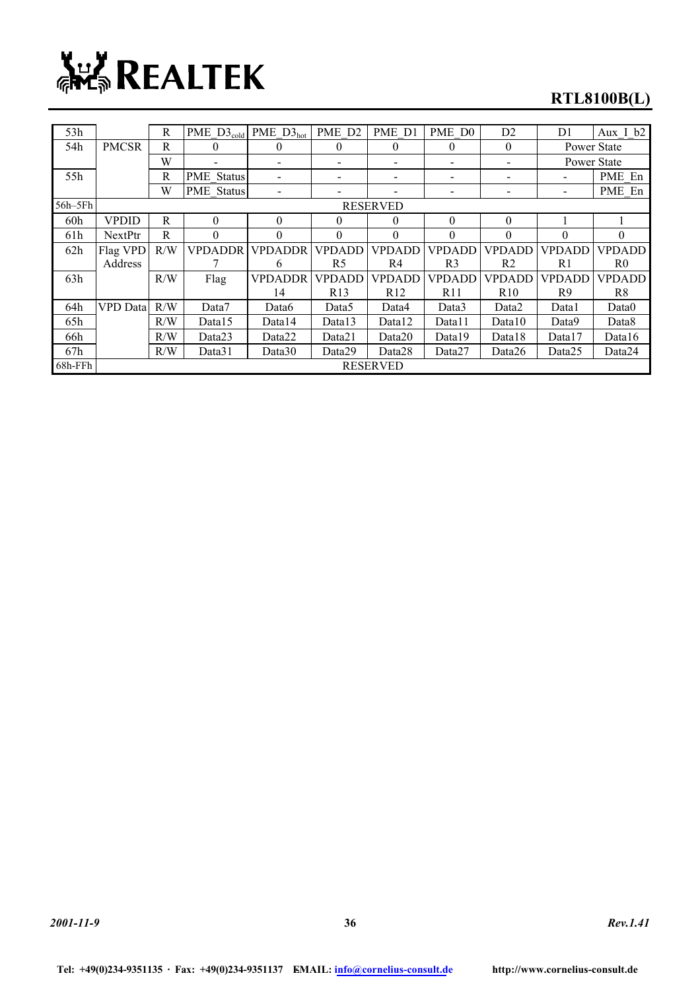

### **RTL8100B(L)**

| 53h         |                 | R   | PME $D3_{cold}$ PME $D3_{hot}$ |                    | PME D <sub>2</sub> | PME D1                         | PME D <sub>0</sub> | D2              | D <sub>1</sub> | Aux I b2       |
|-------------|-----------------|-----|--------------------------------|--------------------|--------------------|--------------------------------|--------------------|-----------------|----------------|----------------|
| 54h         | <b>PMCSR</b>    | R   | $\theta$                       | $\theta$           | $\theta$           | $\theta$                       | $\theta$           | $\theta$        |                | Power State    |
|             |                 | W   |                                | $\blacksquare$     |                    |                                |                    |                 | Power State    |                |
| 55h         |                 | R   | <b>PME</b> Status              |                    |                    |                                |                    |                 |                | PME En         |
|             |                 | W   | <b>PME</b> Status              |                    |                    |                                |                    |                 |                | PME En         |
| $56h - 5Fh$ |                 |     |                                |                    |                    | <b>RESERVED</b>                |                    |                 |                |                |
| 60h         | <b>VPDID</b>    | R   | $\theta$                       | $\theta$           | $\theta$           | $\theta$                       | $\theta$           | $\Omega$        |                |                |
| 61h         | NextPtr         | R   | $\theta$                       | $\theta$           | $\theta$           | $\Omega$                       | $\theta$           | $\Omega$        | $\theta$       | $\Omega$       |
| 62h         | Flag VPD        | R/W | <b>VPDADDR</b>                 | <b>VPDADDR</b>     | <b>VPDADD</b>      | <b>VPDADD</b><br><b>VPDADD</b> |                    | <b>VPDADD</b>   | <b>VPDADD</b>  | <b>VPDADD</b>  |
|             | Address         |     |                                | 6                  | R5                 | R4                             | R <sub>3</sub>     | R <sub>2</sub>  | R <sub>1</sub> | R <sub>0</sub> |
| 63h         |                 | R/W | Flag                           | <b>VPDADDR</b>     | <b>VPDADD</b>      | <b>VPDADD</b>                  | <b>VPDADD</b>      |                 | <b>VPDADD</b>  | <b>VPDADD</b>  |
|             |                 |     |                                | 14                 | R <sub>13</sub>    | R <sub>12</sub>                | R11                | R <sub>10</sub> | R <sub>9</sub> | R <sup>8</sup> |
| 64h         | <b>VPD</b> Data | R/W | Data7                          | Data6              | Data5              | Data4                          | Data3              | Data2           | Data1          | Data0          |
| 65h         |                 | R/W | Data15                         | Data14             | Data13             | Data12                         | Data11             | Data10          | Data9          | Data8          |
| 66h         |                 | R/W | Data23                         | Data22             | Data21             | Data20                         | Data19             | Data18          | Data17         | Data16         |
| 67h         |                 | R/W | Data31                         | Data <sub>30</sub> | Data29             | Data28                         | Data27             | Data26          | Data25         | Data24         |
| 68h-FFh     |                 |     |                                |                    |                    | <b>RESERVED</b>                |                    |                 |                |                |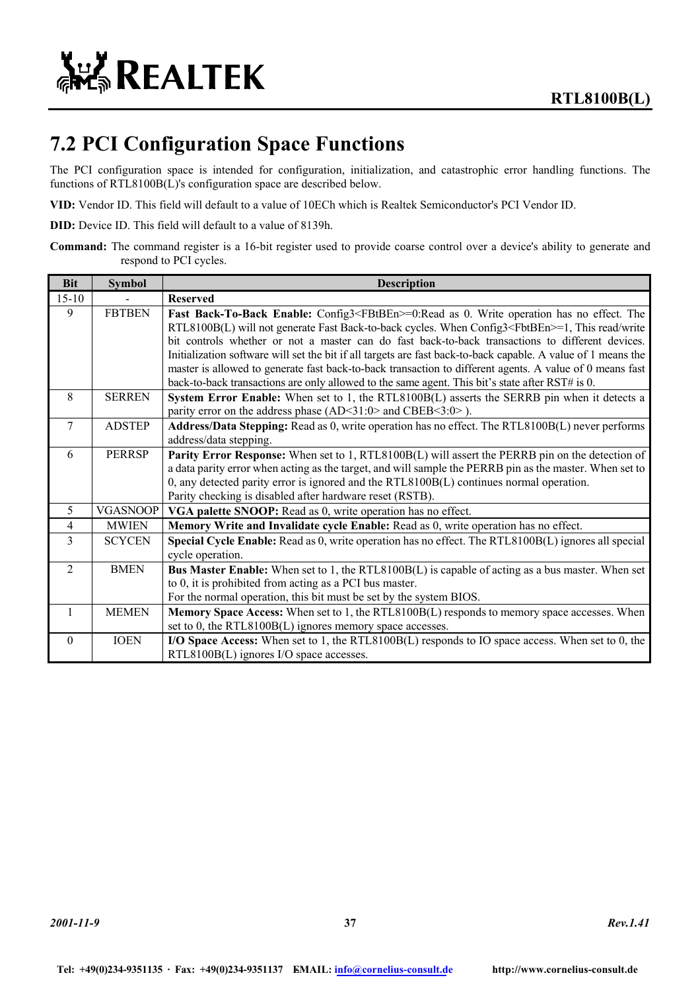

### **7.2 PCI Configuration Space Functions**

The PCI configuration space is intended for configuration, initialization, and catastrophic error handling functions. The functions of RTL8100B(L)'s configuration space are described below.

**VID:** Vendor ID. This field will default to a value of 10ECh which is Realtek Semiconductor's PCI Vendor ID.

**DID:** Device ID. This field will default to a value of 8139h.

**Command:** The command register is a 16-bit register used to provide coarse control over a device's ability to generate and respond to PCI cycles.

| <b>Bit</b>     | <b>Symbol</b>   | <b>Description</b>                                                                                                                                                                                                                                                                                                                                                                                                                                                                                                                                                                                                                                       |
|----------------|-----------------|----------------------------------------------------------------------------------------------------------------------------------------------------------------------------------------------------------------------------------------------------------------------------------------------------------------------------------------------------------------------------------------------------------------------------------------------------------------------------------------------------------------------------------------------------------------------------------------------------------------------------------------------------------|
| $15 - 10$      |                 | <b>Reserved</b>                                                                                                                                                                                                                                                                                                                                                                                                                                                                                                                                                                                                                                          |
| 9              | <b>FBTBEN</b>   | Fast Back-To-Back Enable: Config3 <fbtben>=0:Read as 0. Write operation has no effect. The<br/>RTL8100B(L) will not generate Fast Back-to-back cycles. When Config3<fbtben>=1, This read/write<br/>bit controls whether or not a master can do fast back-to-back transactions to different devices.<br/>Initialization software will set the bit if all targets are fast back-to-back capable. A value of 1 means the<br/>master is allowed to generate fast back-to-back transaction to different agents. A value of 0 means fast<br/>back-to-back transactions are only allowed to the same agent. This bit's state after RST# is 0.</fbtben></fbtben> |
| 8              | <b>SERREN</b>   | System Error Enable: When set to 1, the RTL8100B(L) asserts the SERRB pin when it detects a<br>parity error on the address phase (AD<31:0> and CBEB<3:0>).                                                                                                                                                                                                                                                                                                                                                                                                                                                                                               |
| $\tau$         | <b>ADSTEP</b>   | Address/Data Stepping: Read as 0, write operation has no effect. The RTL8100B(L) never performs<br>address/data stepping.                                                                                                                                                                                                                                                                                                                                                                                                                                                                                                                                |
| 6              | <b>PERRSP</b>   | <b>Parity Error Response:</b> When set to 1, RTL8100B(L) will assert the PERRB pin on the detection of<br>a data parity error when acting as the target, and will sample the PERRB pin as the master. When set to<br>0, any detected parity error is ignored and the RTL8100B(L) continues normal operation.<br>Parity checking is disabled after hardware reset (RSTB).                                                                                                                                                                                                                                                                                 |
| 5              | <b>VGASNOOP</b> | VGA palette SNOOP: Read as 0, write operation has no effect.                                                                                                                                                                                                                                                                                                                                                                                                                                                                                                                                                                                             |
| $\overline{4}$ | <b>MWIEN</b>    | Memory Write and Invalidate cycle Enable: Read as 0, write operation has no effect.                                                                                                                                                                                                                                                                                                                                                                                                                                                                                                                                                                      |
| $\mathcal{E}$  | <b>SCYCEN</b>   | Special Cycle Enable: Read as 0, write operation has no effect. The RTL8100B(L) ignores all special<br>cycle operation.                                                                                                                                                                                                                                                                                                                                                                                                                                                                                                                                  |
| $\overline{2}$ | <b>BMEN</b>     | <b>Bus Master Enable:</b> When set to 1, the RTL8100B(L) is capable of acting as a bus master. When set<br>to 0, it is prohibited from acting as a PCI bus master.<br>For the normal operation, this bit must be set by the system BIOS.                                                                                                                                                                                                                                                                                                                                                                                                                 |
| $\mathbf{1}$   | <b>MEMEN</b>    | Memory Space Access: When set to 1, the RTL8100B(L) responds to memory space accesses. When<br>set to 0, the RTL8100B(L) ignores memory space accesses.                                                                                                                                                                                                                                                                                                                                                                                                                                                                                                  |
| $\theta$       | <b>IOEN</b>     | I/O Space Access: When set to 1, the RTL8100B(L) responds to IO space access. When set to 0, the<br>RTL8100B(L) ignores I/O space accesses.                                                                                                                                                                                                                                                                                                                                                                                                                                                                                                              |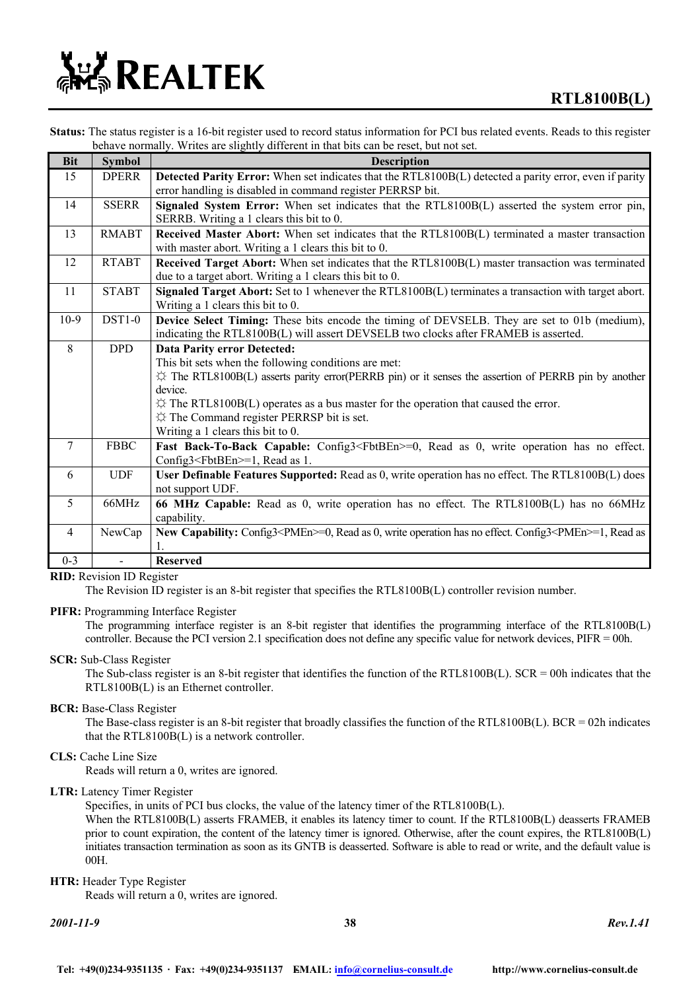

**Status:** The status register is a 16-bit register used to record status information for PCI bus related events. Reads to this register behave normally. Writes are slightly different in that bits can be reset, but not set.

| <b>Bit</b>      | <b>Symbol</b> | <b>Description</b>                                                                                                                                                                                                                                                                                                                                                                                                          |
|-----------------|---------------|-----------------------------------------------------------------------------------------------------------------------------------------------------------------------------------------------------------------------------------------------------------------------------------------------------------------------------------------------------------------------------------------------------------------------------|
| 15              | <b>DPERR</b>  | Detected Parity Error: When set indicates that the RTL8100B(L) detected a parity error, even if parity<br>error handling is disabled in command register PERRSP bit.                                                                                                                                                                                                                                                        |
| 14              | <b>SSERR</b>  | Signaled System Error: When set indicates that the RTL8100B(L) asserted the system error pin,<br>SERRB. Writing a 1 clears this bit to 0.                                                                                                                                                                                                                                                                                   |
| 13              | <b>RMABT</b>  | Received Master Abort: When set indicates that the RTL8100B(L) terminated a master transaction<br>with master abort. Writing a 1 clears this bit to 0.                                                                                                                                                                                                                                                                      |
| 12              | <b>RTABT</b>  | Received Target Abort: When set indicates that the RTL8100B(L) master transaction was terminated<br>due to a target abort. Writing a 1 clears this bit to 0.                                                                                                                                                                                                                                                                |
| 11              | <b>STABT</b>  | Signaled Target Abort: Set to 1 whenever the RTL8100B(L) terminates a transaction with target abort.<br>Writing a 1 clears this bit to 0.                                                                                                                                                                                                                                                                                   |
| $10-9$          | $DST1-0$      | Device Select Timing: These bits encode the timing of DEVSELB. They are set to 01b (medium),<br>indicating the RTL8100B(L) will assert DEVSELB two clocks after FRAMEB is asserted.                                                                                                                                                                                                                                         |
| 8               | <b>DPD</b>    | <b>Data Parity error Detected:</b><br>This bit sets when the following conditions are met:<br>$\hat{\varphi}$ The RTL8100B(L) asserts parity error(PERRB pin) or it senses the assertion of PERRB pin by another<br>device.<br>$\hat{\varphi}$ The RTL8100B(L) operates as a bus master for the operation that caused the error.<br>$\uparrow$ The Command register PERRSP bit is set.<br>Writing a 1 clears this bit to 0. |
| $7\phantom{.0}$ | <b>FBBC</b>   | Fast Back-To-Back Capable: Config3 <fbtben>=0, Read as 0, write operation has no effect.<br/>Config3<fbtben>=1, Read as 1.</fbtben></fbtben>                                                                                                                                                                                                                                                                                |
| 6               | <b>UDF</b>    | User Definable Features Supported: Read as 0, write operation has no effect. The RTL8100B(L) does<br>not support UDF.                                                                                                                                                                                                                                                                                                       |
| 5 <sup>5</sup>  | 66MHz         | 66 MHz Capable: Read as 0, write operation has no effect. The RTL8100B(L) has no 66MHz<br>capability.                                                                                                                                                                                                                                                                                                                       |
| $\overline{4}$  | NewCap        | New Capability: Config3 <pmen>=0, Read as 0, write operation has no effect. Config3<pmen>=1, Read as</pmen></pmen>                                                                                                                                                                                                                                                                                                          |
| $0 - 3$         |               | <b>Reserved</b>                                                                                                                                                                                                                                                                                                                                                                                                             |

#### **RID:** Revision ID Register

The Revision ID register is an 8-bit register that specifies the RTL8100B(L) controller revision number.

#### **PIFR:** Programming Interface Register

The programming interface register is an 8-bit register that identifies the programming interface of the RTL8100B(L) controller. Because the PCI version 2.1 specification does not define any specific value for network devices, PIFR = 00h.

#### **SCR:** Sub-Class Register

The Sub-class register is an 8-bit register that identifies the function of the RTL8100B(L).  $SCR = 00h$  indicates that the RTL8100B(L) is an Ethernet controller.

#### **BCR:** Base-Class Register

The Base-class register is an 8-bit register that broadly classifies the function of the RTL8100B(L). BCR = 02h indicates that the RTL8100B(L) is a network controller.

#### **CLS:** Cache Line Size

Reads will return a 0, writes are ignored.

#### **LTR:** Latency Timer Register

Specifies, in units of PCI bus clocks, the value of the latency timer of the RTL8100B(L).

When the RTL8100B(L) asserts FRAMEB, it enables its latency timer to count. If the RTL8100B(L) deasserts FRAMEB prior to count expiration, the content of the latency timer is ignored. Otherwise, after the count expires, the RTL8100B(L) initiates transaction termination as soon as its GNTB is deasserted. Software is able to read or write, and the default value is 00H.

#### **HTR:** Header Type Register

Reads will return a 0, writes are ignored.

*2001-11-9* **38** *Rev.1.41*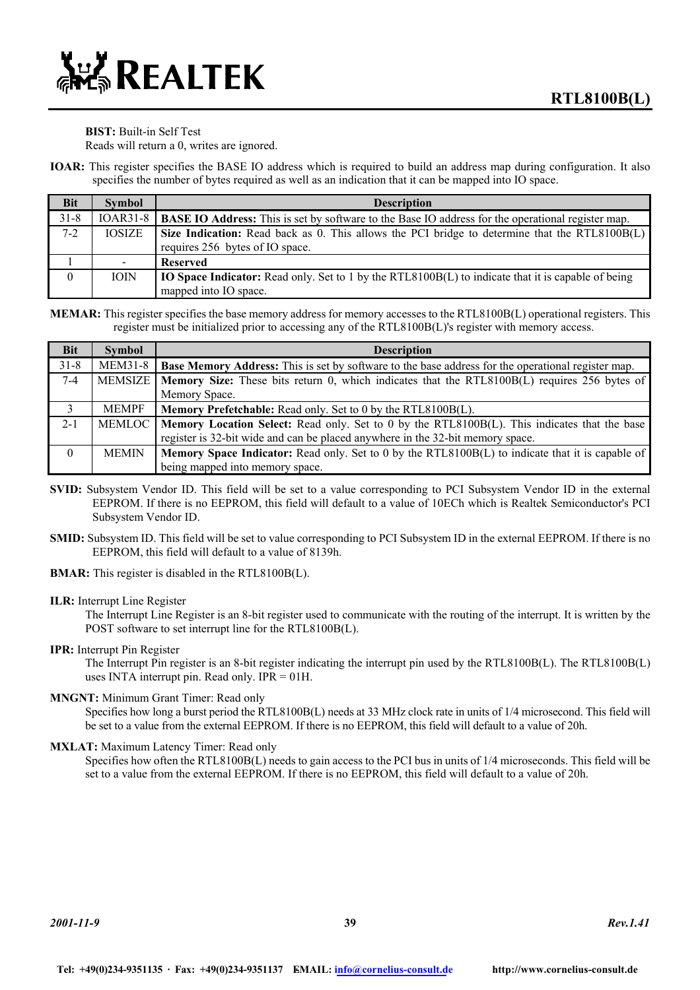#### **BIST:** Built-in Self Test

Reads will return a 0, writes are ignored.

**IOAR:** This register specifies the BASE IO address which is required to build an address map during configuration. It also specifies the number of bytes required as well as an indication that it can be mapped into IO space.

| <b>Bit</b> | <b>Symbol</b> | <b>Description</b>                                                                                           |
|------------|---------------|--------------------------------------------------------------------------------------------------------------|
| $31 - 8$   |               | IOAR31-8   BASE IO Address: This is set by software to the Base IO address for the operational register map. |
| $7 - 2$    | <b>IOSIZE</b> | Size Indication: Read back as 0. This allows the PCI bridge to determine that the RTL8100B(L)                |
|            |               | requires 256 bytes of IO space.                                                                              |
|            |               | <b>Reserved</b>                                                                                              |
| $\theta$   | <b>IOIN</b>   | <b>IO Space Indicator:</b> Read only. Set to 1 by the RTL8100B(L) to indicate that it is capable of being    |
|            |               | mapped into IO space.                                                                                        |

**MEMAR:** This register specifies the base memory address for memory accesses to the RTL8100B(L) operational registers. This register must be initialized prior to accessing any of the RTL8100B(L)'s register with memory access.

| <b>Bit</b> | <b>Symbol</b>  | <b>Description</b>                                                                                        |
|------------|----------------|-----------------------------------------------------------------------------------------------------------|
| $31 - 8$   | <b>MEM31-8</b> | <b>Base Memory Address:</b> This is set by software to the base address for the operational register map. |
| $7-4$      |                | MEMSIZE   Memory Size: These bits return 0, which indicates that the RTL8100B(L) requires 256 bytes of    |
|            |                | Memory Space.                                                                                             |
| 3          | <b>MEMPF</b>   | <b>Memory Prefetchable:</b> Read only. Set to 0 by the RTL8100B(L).                                       |
| $2 - 1$    | MEMLOC         | Memory Location Select: Read only. Set to 0 by the RTL8100B(L). This indicates that the base              |
|            |                | register is 32-bit wide and can be placed anywhere in the 32-bit memory space.                            |
| $\theta$   | <b>MEMIN</b>   | <b>Memory Space Indicator:</b> Read only. Set to 0 by the RTL8100B(L) to indicate that it is capable of   |
|            |                | being mapped into memory space.                                                                           |

- **SVID:** Subsystem Vendor ID. This field will be set to a value corresponding to PCI Subsystem Vendor ID in the external EEPROM. If there is no EEPROM, this field will default to a value of 10ECh which is Realtek Semiconductor's PCI Subsystem Vendor ID.
- **SMID:** Subsystem ID. This field will be set to value corresponding to PCI Subsystem ID in the external EEPROM. If there is no EEPROM, this field will default to a value of 8139h.
- **BMAR:** This register is disabled in the RTL8100B(L).

#### **ILR:** Interrupt Line Register

The Interrupt Line Register is an 8-bit register used to communicate with the routing of the interrupt. It is written by the POST software to set interrupt line for the RTL8100B(L).

#### **IPR:** Interrupt Pin Register

The Interrupt Pin register is an 8-bit register indicating the interrupt pin used by the RTL8100B(L). The RTL8100B(L) uses INTA interrupt pin. Read only.  $IPR = 01H$ .

#### **MNGNT:** Minimum Grant Timer: Read only

Specifies how long a burst period the RTL8100B(L) needs at 33 MHz clock rate in units of 1/4 microsecond. This field will be set to a value from the external EEPROM. If there is no EEPROM, this field will default to a value of 20h.

#### **MXLAT:** Maximum Latency Timer: Read only

Specifies how often the RTL8100B(L) needs to gain access to the PCI bus in units of 1/4 microseconds. This field will be set to a value from the external EEPROM. If there is no EEPROM, this field will default to a value of 20h.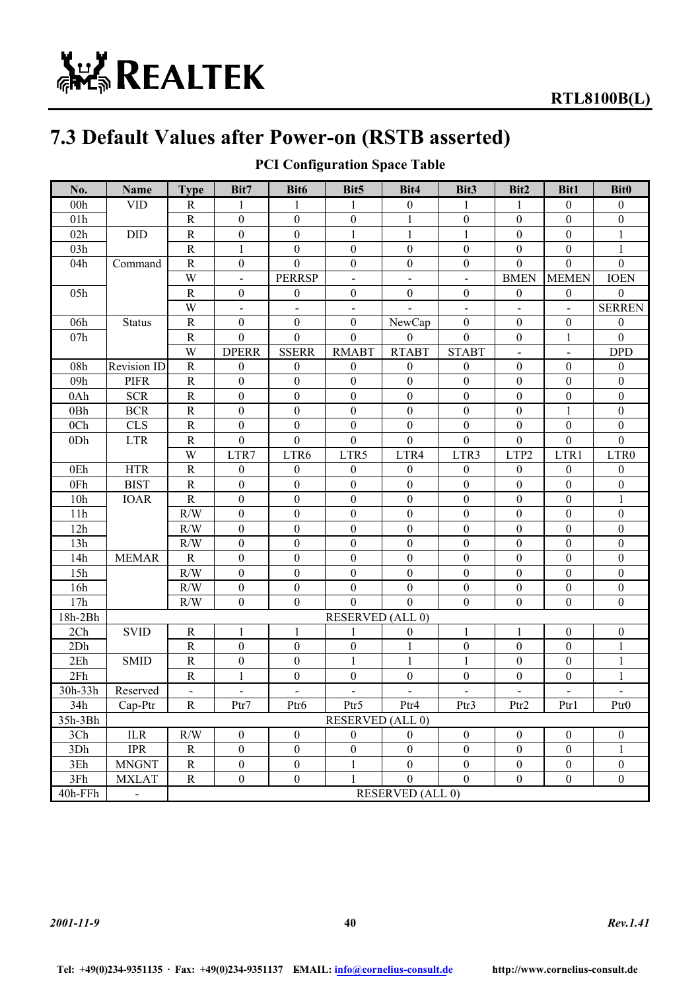# **ALL REALTEK**

### **7.3 Default Values after Power-on (RSTB asserted)**

| No.             | Name           | <b>Type</b>              | Bit7                     | Bit <sub>6</sub>         | Bit <sub>5</sub>        | Bit4                     | Bit <sub>3</sub> | Bit2                     | <b>Bit1</b>      | <b>Bit0</b>              |
|-----------------|----------------|--------------------------|--------------------------|--------------------------|-------------------------|--------------------------|------------------|--------------------------|------------------|--------------------------|
| 00h             | <b>VID</b>     | R                        | 1                        | 1                        | 1                       | $\boldsymbol{0}$         | 1                | 1                        | $\mathbf{0}$     | $\boldsymbol{0}$         |
| 01h             |                | ${\bf R}$                | $\boldsymbol{0}$         | $\boldsymbol{0}$         | $\boldsymbol{0}$        | $\mathbf{1}$             | $\boldsymbol{0}$ | $\mathbf{0}$             | $\boldsymbol{0}$ | $\overline{0}$           |
| 02h             | DID            | ${\bf R}$                | $\boldsymbol{0}$         | $\boldsymbol{0}$         | 1                       | 1                        | 1                | $\mathbf{0}$             | $\boldsymbol{0}$ |                          |
| 03h             |                | ${\bf R}$                | $\mathbf{1}$             | $\boldsymbol{0}$         | $\boldsymbol{0}$        | $\boldsymbol{0}$         | $\boldsymbol{0}$ | $\boldsymbol{0}$         | $\boldsymbol{0}$ | 1                        |
| 04h             | Command        | $\mathbf R$              | $\boldsymbol{0}$         | $\mathbf{0}$             | $\boldsymbol{0}$        | $\boldsymbol{0}$         | $\boldsymbol{0}$ | $\boldsymbol{0}$         | $\mathbf{0}$     | $\overline{0}$           |
|                 |                | W                        | $\blacksquare$           | <b>PERRSP</b>            | $\blacksquare$          | $\blacksquare$           | $\blacksquare$   | <b>BMEN</b>              | <b>MEMEN</b>     | <b>IOEN</b>              |
| 05h             |                | $\mathbf R$              | $\boldsymbol{0}$         | $\boldsymbol{0}$         | $\boldsymbol{0}$        | $\boldsymbol{0}$         | $\boldsymbol{0}$ | $\boldsymbol{0}$         | $\boldsymbol{0}$ | $\mathbf{0}$             |
|                 |                | W                        | $\overline{\phantom{a}}$ | $\blacksquare$           | $\blacksquare$          | $\overline{\phantom{a}}$ | $\blacksquare$   | $\overline{\phantom{0}}$ | $\blacksquare$   | <b>SERREN</b>            |
| 06h             | <b>Status</b>  | $\mathbf R$              | $\boldsymbol{0}$         | $\mathbf{0}$             | $\boldsymbol{0}$        | NewCap                   | $\boldsymbol{0}$ | $\boldsymbol{0}$         | $\boldsymbol{0}$ | $\mathbf{0}$             |
| 07h             |                | $\mathbf R$              | $\boldsymbol{0}$         | $\boldsymbol{0}$         | $\theta$                | $\theta$                 | $\mathbf{0}$     | $\boldsymbol{0}$         | $\mathbf{1}$     | $\mathbf{0}$             |
|                 |                | W                        | <b>DPERR</b>             | <b>SSERR</b>             | <b>RMABT</b>            | <b>RTABT</b>             | <b>STABT</b>     | $\blacksquare$           | $\blacksquare$   | <b>DPD</b>               |
| 08h             | Revision ID    | $\mathbf R$              | $\mathbf{0}$             | $\boldsymbol{0}$         | $\mathbf{0}$            | $\boldsymbol{0}$         | $\boldsymbol{0}$ | $\boldsymbol{0}$         | $\boldsymbol{0}$ | $\boldsymbol{0}$         |
| 09h             | <b>PIFR</b>    | $\mathbb{R}$             | $\boldsymbol{0}$         | $\boldsymbol{0}$         | $\boldsymbol{0}$        | $\boldsymbol{0}$         | $\boldsymbol{0}$ | $\boldsymbol{0}$         | $\boldsymbol{0}$ | $\mathbf{0}$             |
| 0Ah             | <b>SCR</b>     | ${\bf R}$                | $\boldsymbol{0}$         | $\boldsymbol{0}$         | $\boldsymbol{0}$        | $\boldsymbol{0}$         | $\boldsymbol{0}$ | $\boldsymbol{0}$         | $\boldsymbol{0}$ | $\boldsymbol{0}$         |
| 0Bh             | <b>BCR</b>     | ${\bf R}$                | $\boldsymbol{0}$         | $\boldsymbol{0}$         | $\boldsymbol{0}$        | $\mathbf{0}$             | $\boldsymbol{0}$ | $\boldsymbol{0}$         | $\mathbf{1}$     | $\boldsymbol{0}$         |
| 0 <sub>Ch</sub> | <b>CLS</b>     | ${\bf R}$                | $\boldsymbol{0}$         | $\boldsymbol{0}$         | $\boldsymbol{0}$        | $\boldsymbol{0}$         | $\boldsymbol{0}$ | $\boldsymbol{0}$         | $\boldsymbol{0}$ | $\overline{0}$           |
| 0Dh             | <b>LTR</b>     | $\mathbb{R}$             | $\theta$                 | $\mathbf{0}$             | $\theta$                | $\overline{0}$           | $\mathbf{0}$     | $\boldsymbol{0}$         | $\mathbf{0}$     | $\overline{0}$           |
|                 |                | W                        | LTR7                     | LTR6                     | LTR5                    | LTR4                     | LTR3             | LTP2                     | LTR1             | LTR0                     |
| 0Eh             | <b>HTR</b>     | ${\bf R}$                | $\theta$                 | $\boldsymbol{0}$         | $\theta$                | $\theta$                 | $\boldsymbol{0}$ | $\boldsymbol{0}$         | $\boldsymbol{0}$ | $\mathbf{0}$             |
| 0Fh             | <b>BIST</b>    | $\mathbb{R}$             | $\theta$                 | $\boldsymbol{0}$         | $\overline{0}$          | $\mathbf{0}$             | $\mathbf{0}$     | $\boldsymbol{0}$         | $\boldsymbol{0}$ | $\mathbf{0}$             |
| 10 <sub>h</sub> | <b>IOAR</b>    | ${\bf R}$                | $\mathbf{0}$             | $\boldsymbol{0}$         | $\boldsymbol{0}$        | $\boldsymbol{0}$         | $\mathbf{0}$     | $\boldsymbol{0}$         | $\boldsymbol{0}$ | 1                        |
| 11h             |                | R/W                      | $\boldsymbol{0}$         | $\boldsymbol{0}$         | $\overline{0}$          | $\boldsymbol{0}$         | $\boldsymbol{0}$ | $\boldsymbol{0}$         | $\boldsymbol{0}$ | $\theta$                 |
| 12h             |                | R/W                      | $\boldsymbol{0}$         | $\boldsymbol{0}$         | $\mathbf{0}$            | $\mathbf{0}$             | $\boldsymbol{0}$ | $\boldsymbol{0}$         | $\boldsymbol{0}$ | $\mathbf{0}$             |
| 13h             |                | R/W                      | $\boldsymbol{0}$         | $\boldsymbol{0}$         | $\boldsymbol{0}$        | $\boldsymbol{0}$         | $\boldsymbol{0}$ | $\boldsymbol{0}$         | $\boldsymbol{0}$ | $\boldsymbol{0}$         |
| 14h             | <b>MEMAR</b>   | $\mathbf R$              | $\boldsymbol{0}$         | $\boldsymbol{0}$         | $\boldsymbol{0}$        | $\boldsymbol{0}$         | $\boldsymbol{0}$ | $\mathbf{0}$             | $\boldsymbol{0}$ | $\boldsymbol{0}$         |
| 15h             |                | R/W                      | $\boldsymbol{0}$         | $\boldsymbol{0}$         | $\boldsymbol{0}$        | $\mathbf{0}$             | $\boldsymbol{0}$ | $\boldsymbol{0}$         | $\boldsymbol{0}$ | $\mathbf{0}$             |
| 16h             |                | R/W                      | $\boldsymbol{0}$         | $\boldsymbol{0}$         | $\boldsymbol{0}$        | $\mathbf{0}$             | $\boldsymbol{0}$ | $\boldsymbol{0}$         | $\boldsymbol{0}$ | $\boldsymbol{0}$         |
| 17h             |                | R/W                      | $\boldsymbol{0}$         | $\boldsymbol{0}$         | $\mathbf{0}$            | $\overline{0}$           | $\mathbf{0}$     | $\boldsymbol{0}$         | $\boldsymbol{0}$ | $\boldsymbol{0}$         |
| 18h-2Bh         |                |                          |                          |                          | <b>RESERVED (ALL 0)</b> |                          |                  |                          |                  |                          |
| 2Ch             | <b>SVID</b>    | ${\bf R}$                | 1                        | $\mathbf{1}$             | 1                       | $\theta$                 | 1                | 1                        | $\boldsymbol{0}$ | $\boldsymbol{0}$         |
| 2Dh             |                | ${\bf R}$                | $\theta$                 | $\boldsymbol{0}$         | $\overline{0}$          | 1                        | $\boldsymbol{0}$ | $\boldsymbol{0}$         | $\boldsymbol{0}$ | 1                        |
| 2Eh             | <b>SMID</b>    | ${\bf R}$                | $\boldsymbol{0}$         | $\boldsymbol{0}$         | 1                       | $\mathbf{1}$             | 1                | $\boldsymbol{0}$         | $\boldsymbol{0}$ | 1                        |
| 2Fh             |                | $\mathbb{R}$             | 1                        | $\boldsymbol{0}$         | $\overline{0}$          | $\boldsymbol{0}$         | $\boldsymbol{0}$ | $\boldsymbol{0}$         | $\boldsymbol{0}$ | 1                        |
| 30h-33h         | Reserved       | $\overline{\phantom{a}}$ | $\blacksquare$           | $\overline{\phantom{a}}$ | $\blacksquare$          | $\blacksquare$           | $\blacksquare$   | $\blacksquare$           | $\blacksquare$   | $\overline{\phantom{0}}$ |
| 34h             | Cap-Ptr        | $\mathbf R$              | Ptr7                     | Ptr6                     | Ptr5                    | Ptr4                     | Ptr3             | Ptr2                     | Ptr1             | Ptr0                     |
| 35h-3Bh         |                |                          |                          |                          | <b>RESERVED (ALL 0)</b> |                          |                  |                          |                  |                          |
| 3Ch             | <b>ILR</b>     | R/W                      | $\mathbf{0}$             | $\mathbf{0}$             | $\mathbf{0}$            | $\overline{0}$           | $\boldsymbol{0}$ | $\boldsymbol{0}$         | $\boldsymbol{0}$ | $\boldsymbol{0}$         |
| 3Dh             | <b>IPR</b>     | $\mathbf R$              | $\boldsymbol{0}$         | $\boldsymbol{0}$         | $\boldsymbol{0}$        | $\mathbf{0}$             | $\boldsymbol{0}$ | $\boldsymbol{0}$         | $\boldsymbol{0}$ | $\mathbf{1}$             |
| 3Eh             | <b>MNGNT</b>   | $\mathbf R$              | $\boldsymbol{0}$         | $\boldsymbol{0}$         | $\mathbf{1}$            | $\overline{0}$           | $\boldsymbol{0}$ | $\boldsymbol{0}$         | $\boldsymbol{0}$ | $\boldsymbol{0}$         |
| 3Fh             | <b>MXLAT</b>   | $\mathbf R$              | $\boldsymbol{0}$         | $\boldsymbol{0}$         |                         | $\overline{0}$           | $\mathbf{0}$     | $\boldsymbol{0}$         | $\boldsymbol{0}$ | $\boldsymbol{0}$         |
| 40h-FFh         | $\blacksquare$ |                          |                          |                          |                         | <b>RESERVED</b> (ALL 0)  |                  |                          |                  |                          |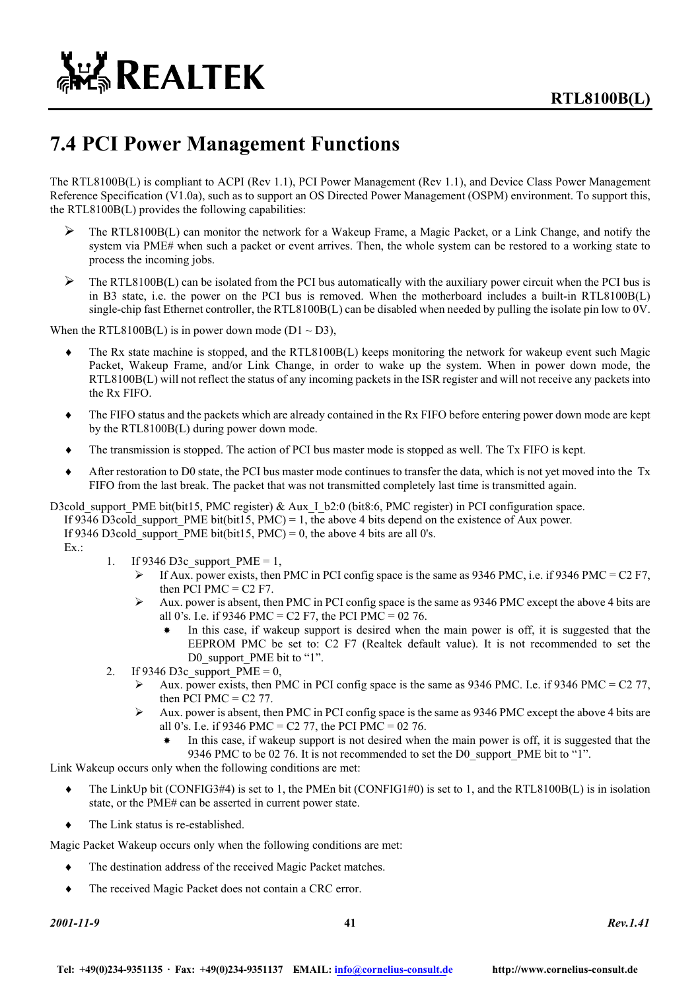

### **7.4 PCI Power Management Functions**

The RTL8100B(L) is compliant to ACPI (Rev 1.1), PCI Power Management (Rev 1.1), and Device Class Power Management Reference Specification (V1.0a), such as to support an OS Directed Power Management (OSPM) environment. To support this, the RTL8100B(L) provides the following capabilities:

- ¾ The RTL8100B(L) can monitor the network for a Wakeup Frame, a Magic Packet, or a Link Change, and notify the system via PME# when such a packet or event arrives. Then, the whole system can be restored to a working state to process the incoming jobs.
- $\triangleright$  The RTL8100B(L) can be isolated from the PCI bus automatically with the auxiliary power circuit when the PCI bus is in B3 state, i.e. the power on the PCI bus is removed. When the motherboard includes a built-in RTL8100B(L) single-chip fast Ethernet controller, the RTL8100B(L) can be disabled when needed by pulling the isolate pin low to 0V.

When the RTL8100B(L) is in power down mode ( $D1 \sim D3$ ),

- The Rx state machine is stopped, and the RTL8100B(L) keeps monitoring the network for wakeup event such Magic Packet, Wakeup Frame, and/or Link Change, in order to wake up the system. When in power down mode, the RTL8100B(L) will not reflect the status of any incoming packets in the ISR register and will not receive any packets into the Rx FIFO.
- ♦ The FIFO status and the packets which are already contained in the Rx FIFO before entering power down mode are kept by the RTL8100B(L) during power down mode.
- ♦ The transmission is stopped. The action of PCI bus master mode is stopped as well. The Tx FIFO is kept.
- ♦ After restoration to D0 state, the PCI bus master mode continues to transfer the data, which is not yet moved into the Tx FIFO from the last break. The packet that was not transmitted completely last time is transmitted again.
- D3cold\_support\_PME bit(bit15, PMC register) & Aux\_I\_b2:0 (bit8:6, PMC register) in PCI configuration space. If 9346 D3cold\_support\_PME bit(bit15, PMC) = 1, the above 4 bits depend on the existence of Aux power. If 9346 D3cold support PME bit(bit15, PMC) = 0, the above 4 bits are all 0's.  $Ex.$ 
	- 1. If 9346 D3c support  $PME = 1$ ,
		- $\triangleright$  If Aux. power exists, then PMC in PCI config space is the same as 9346 PMC, i.e. if 9346 PMC = C2 F7, then PCI PMC =  $C2$  F7.
		- $\blacktriangleright$  Aux. power is absent, then PMC in PCI config space is the same as 9346 PMC except the above 4 bits are all 0's. I.e. if 9346 PMC = C2 F7, the PCI PMC = 02 76.
			- In this case, if wakeup support is desired when the main power is off, it is suggested that the EEPROM PMC be set to: C2 F7 (Realtek default value). It is not recommended to set the D0 support PME bit to "1".
	- 2. If 9346 D3c support  $PME = 0$ ,
		- $\blacktriangleright$  Aux. power exists, then PMC in PCI config space is the same as 9346 PMC. I.e. if 9346 PMC = C2 77, then PCI PMC  $=$  C2 77.
		- $\blacktriangleright$  Aux. power is absent, then PMC in PCI config space is the same as 9346 PMC except the above 4 bits are all 0's. I.e. if 9346 PMC = C2 77, the PCI PMC = 02 76.
			- In this case, if wakeup support is not desired when the main power is off, it is suggested that the 9346 PMC to be 02 76. It is not recommended to set the D0 support PME bit to "1".

Link Wakeup occurs only when the following conditions are met:

- ♦ The LinkUp bit (CONFIG3#4) is set to 1, the PMEn bit (CONFIG1#0) is set to 1, and the RTL8100B(L) is in isolation state, or the PME# can be asserted in current power state.
- The Link status is re-established.

Magic Packet Wakeup occurs only when the following conditions are met:

- ♦ The destination address of the received Magic Packet matches.
- The received Magic Packet does not contain a CRC error.

*2001-11-9* **41** *Rev.1.41*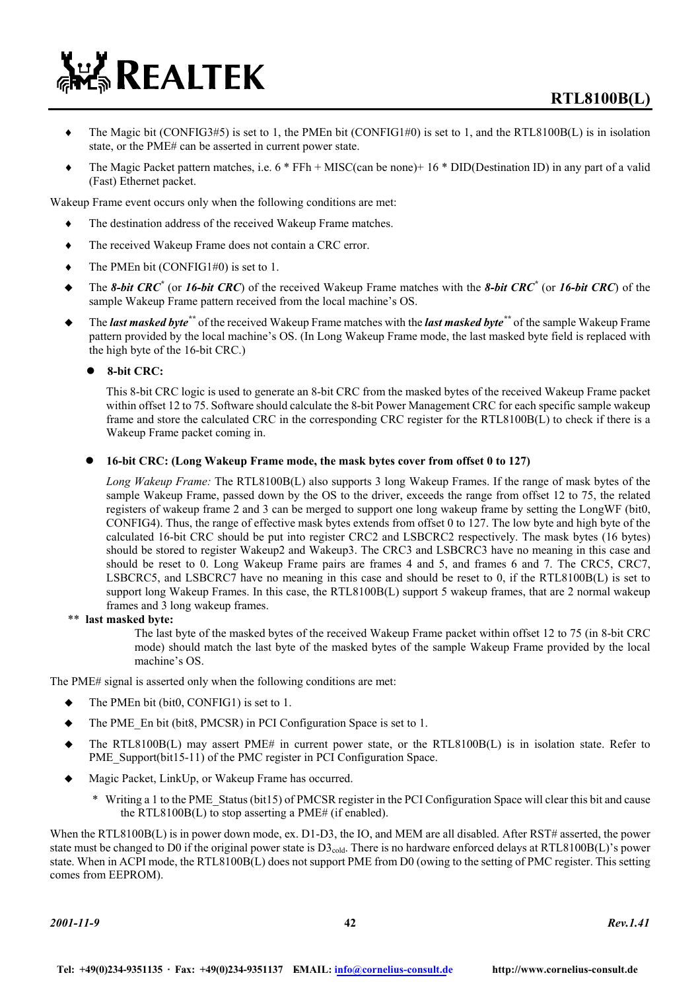- $\blacklozenge$  The Magic bit (CONFIG3#5) is set to 1, the PMEn bit (CONFIG1#0) is set to 1, and the RTL8100B(L) is in isolation state, or the PME# can be asserted in current power state.
- The Magic Packet pattern matches, i.e.  $6 * FFh + MISC(can be none) + 16 * DID(Destination ID)$  in any part of a valid (Fast) Ethernet packet.

Wakeup Frame event occurs only when the following conditions are met:

- The destination address of the received Wakeup Frame matches.
- ♦ The received Wakeup Frame does not contain a CRC error.
- $\blacklozenge$  The PMEn bit (CONFIG1#0) is set to 1.

**EN REALTEK** 

- ◆ The *8-bit CRC<sup>\*</sup>* (or *16-bit CRC*) of the received Wakeup Frame matches with the *8-bit CRC<sup>\*</sup>* (or *16-bit CRC*) of the sample Wakeup Frame pattern received from the local machine's OS.
- The *last masked byte\*\** of the received Wakeup Frame matches with the *last masked byte\*\** of the sample Wakeup Frame pattern provided by the local machine's OS. (In Long Wakeup Frame mode, the last masked byte field is replaced with the high byte of the 16-bit CRC.)

z **8-bit CRC:** 

This 8-bit CRC logic is used to generate an 8-bit CRC from the masked bytes of the received Wakeup Frame packet within offset 12 to 75. Software should calculate the 8-bit Power Management CRC for each specific sample wakeup frame and store the calculated CRC in the corresponding CRC register for the RTL8100B(L) to check if there is a Wakeup Frame packet coming in.

#### z **16-bit CRC: (Long Wakeup Frame mode, the mask bytes cover from offset 0 to 127)**

*Long Wakeup Frame:* The RTL8100B(L) also supports 3 long Wakeup Frames. If the range of mask bytes of the sample Wakeup Frame, passed down by the OS to the driver, exceeds the range from offset 12 to 75, the related registers of wakeup frame 2 and 3 can be merged to support one long wakeup frame by setting the LongWF (bit0, CONFIG4). Thus, the range of effective mask bytes extends from offset 0 to 127. The low byte and high byte of the calculated 16-bit CRC should be put into register CRC2 and LSBCRC2 respectively. The mask bytes (16 bytes) should be stored to register Wakeup2 and Wakeup3. The CRC3 and LSBCRC3 have no meaning in this case and should be reset to 0. Long Wakeup Frame pairs are frames 4 and 5, and frames 6 and 7. The CRC5, CRC7, LSBCRC5, and LSBCRC7 have no meaning in this case and should be reset to 0, if the RTL8100B(L) is set to support long Wakeup Frames. In this case, the RTL8100B(L) support 5 wakeup frames, that are 2 normal wakeup frames and 3 long wakeup frames.

\*\* **last masked byte:** 

The last byte of the masked bytes of the received Wakeup Frame packet within offset 12 to 75 (in 8-bit CRC mode) should match the last byte of the masked bytes of the sample Wakeup Frame provided by the local machine's OS.

The PME# signal is asserted only when the following conditions are met:

- The PMEn bit (bit0, CONFIG1) is set to 1.
- ◆ The PME En bit (bit8, PMCSR) in PCI Configuration Space is set to 1.
- $\blacklozenge$  The RTL8100B(L) may assert PME# in current power state, or the RTL8100B(L) is in isolation state. Refer to PME\_Support(bit15-11) of the PMC register in PCI Configuration Space.
- Magic Packet, LinkUp, or Wakeup Frame has occurred.
	- \* Writing a 1 to the PME\_Status (bit15) of PMCSR register in the PCI Configuration Space will clear this bit and cause the RTL8100B(L) to stop asserting a PME# (if enabled).

When the RTL8100B(L) is in power down mode, ex. D1-D3, the IO, and MEM are all disabled. After RST# asserted, the power state must be changed to D0 if the original power state is D3<sub>cold</sub>. There is no hardware enforced delays at RTL8100B(L)'s power state. When in ACPI mode, the RTL8100B(L) does not support PME from D0 (owing to the setting of PMC register. This setting comes from EEPROM).

*2001-11-9* **42** *Rev.1.41*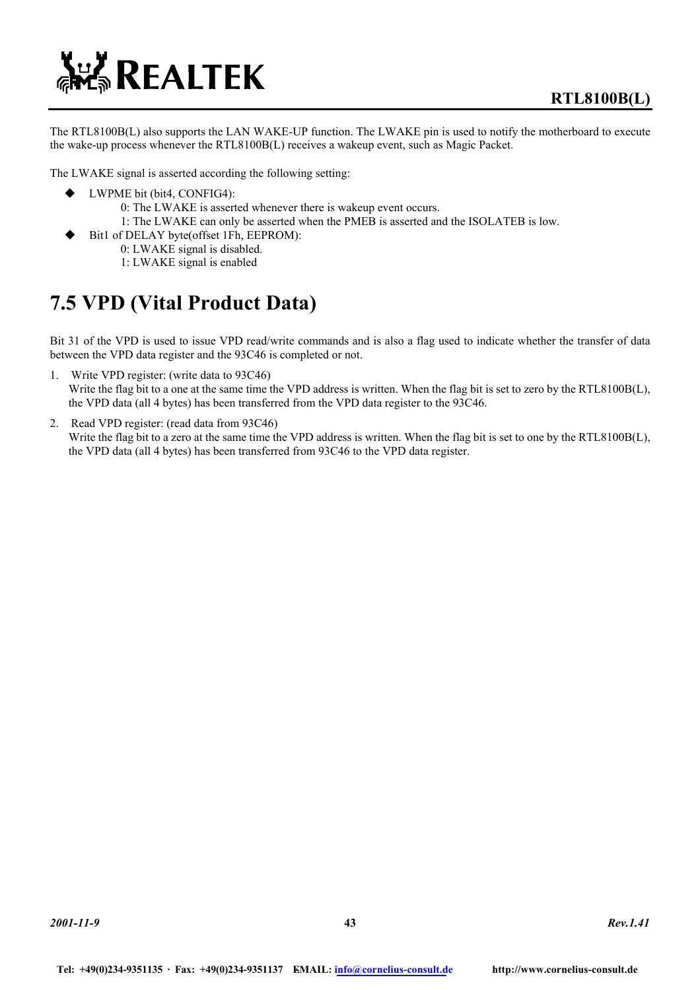

The RTL8100B(L) also supports the LAN WAKE-UP function. The LWAKE pin is used to notify the motherboard to execute the wake-up process whenever the RTL8100B(L) receives a wakeup event, such as Magic Packet.

The LWAKE signal is asserted according the following setting:

- ◆ LWPME bit (bit4, CONFIG4):
	- 0: The LWAKE is asserted whenever there is wakeup event occurs.
	- 1: The LWAKE can only be asserted when the PMEB is asserted and the ISOLATEB is low.
- Bit1 of DELAY byte(offset 1Fh, EEPROM):
	- 0: LWAKE signal is disabled.
	- 1: LWAKE signal is enabled

### **7.5 VPD (Vital Product Data)**

Bit 31 of the VPD is used to issue VPD read/write commands and is also a flag used to indicate whether the transfer of data between the VPD data register and the 93C46 is completed or not.

- 1. Write VPD register: (write data to 93C46) Write the flag bit to a one at the same time the VPD address is written. When the flag bit is set to zero by the RTL8100B(L), the VPD data (all 4 bytes) has been transferred from the VPD data register to the 93C46.
- 2. Read VPD register: (read data from 93C46) Write the flag bit to a zero at the same time the VPD address is written. When the flag bit is set to one by the RTL8100B(L), the VPD data (all 4 bytes) has been transferred from 93C46 to the VPD data register.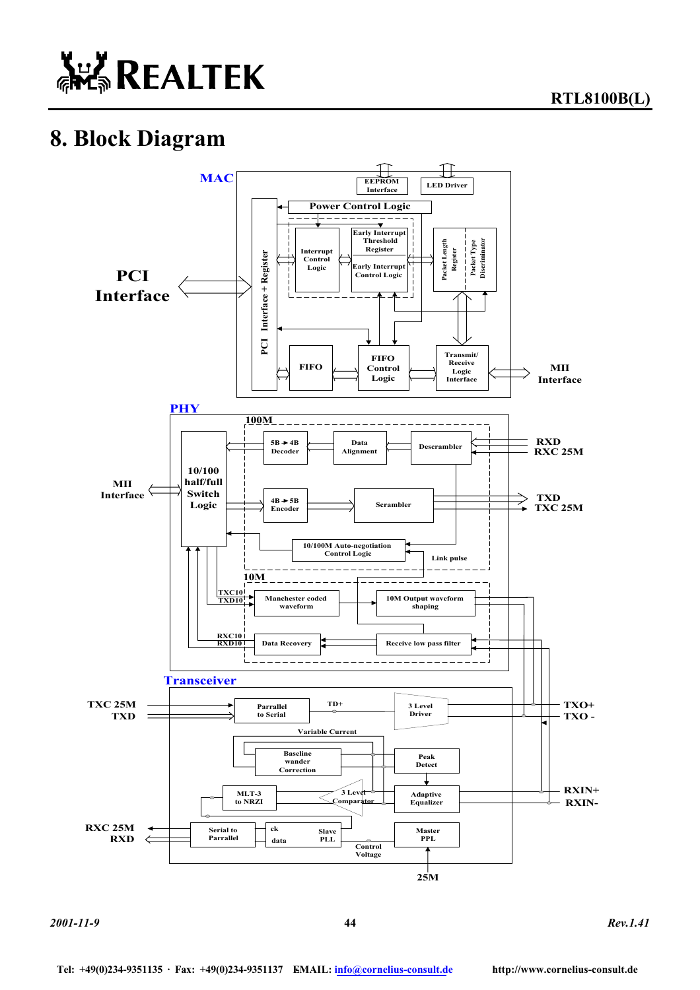

**RTL8100B(L)** 

# **8. Block Diagram**



*2001-11-9* **44** *Rev.1.41*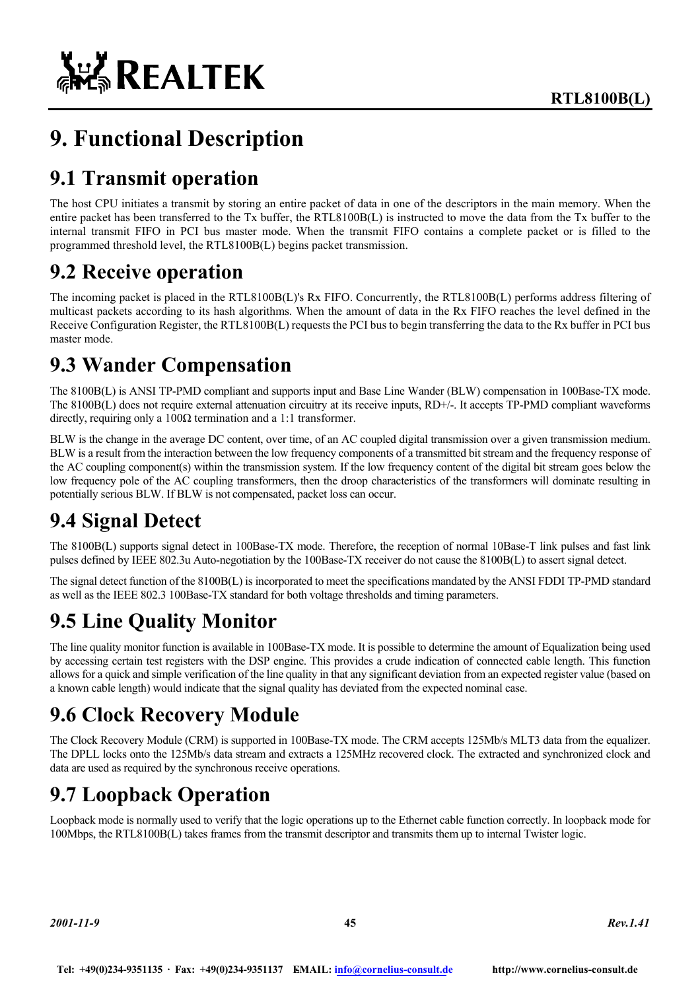

# **9. Functional Description**

### **9.1 Transmit operation**

The host CPU initiates a transmit by storing an entire packet of data in one of the descriptors in the main memory. When the entire packet has been transferred to the Tx buffer, the RTL8100B(L) is instructed to move the data from the Tx buffer to the internal transmit FIFO in PCI bus master mode. When the transmit FIFO contains a complete packet or is filled to the programmed threshold level, the RTL8100B(L) begins packet transmission.

### **9.2 Receive operation**

The incoming packet is placed in the RTL8100B(L)'s Rx FIFO. Concurrently, the RTL8100B(L) performs address filtering of multicast packets according to its hash algorithms. When the amount of data in the Rx FIFO reaches the level defined in the Receive Configuration Register, the RTL8100B(L) requests the PCI bus to begin transferring the data to the Rx buffer in PCI bus master mode.

### **9.3 Wander Compensation**

The 8100B(L) is ANSI TP-PMD compliant and supports input and Base Line Wander (BLW) compensation in 100Base-TX mode. The 8100B(L) does not require external attenuation circuitry at its receive inputs, RD+/-. It accepts TP-PMD compliant waveforms directly, requiring only a  $100\Omega$  termination and a 1:1 transformer.

BLW is the change in the average DC content, over time, of an AC coupled digital transmission over a given transmission medium. BLW is a result from the interaction between the low frequency components of a transmitted bit stream and the frequency response of the AC coupling component(s) within the transmission system. If the low frequency content of the digital bit stream goes below the low frequency pole of the AC coupling transformers, then the droop characteristics of the transformers will dominate resulting in potentially serious BLW. If BLW is not compensated, packet loss can occur.

### **9.4 Signal Detect**

The 8100B(L) supports signal detect in 100Base-TX mode. Therefore, the reception of normal 10Base-T link pulses and fast link pulses defined by IEEE 802.3u Auto-negotiation by the 100Base-TX receiver do not cause the 8100B(L) to assert signal detect.

The signal detect function of the 8100B(L) is incorporated to meet the specifications mandated by the ANSI FDDI TP-PMD standard as well as the IEEE 802.3 100Base-TX standard for both voltage thresholds and timing parameters.

### **9.5 Line Quality Monitor**

The line quality monitor function is available in 100Base-TX mode. It is possible to determine the amount of Equalization being used by accessing certain test registers with the DSP engine. This provides a crude indication of connected cable length. This function allows for a quick and simple verification of the line quality in that any significant deviation from an expected register value (based on a known cable length) would indicate that the signal quality has deviated from the expected nominal case.

### **9.6 Clock Recovery Module**

The Clock Recovery Module (CRM) is supported in 100Base-TX mode. The CRM accepts 125Mb/s MLT3 data from the equalizer. The DPLL locks onto the 125Mb/s data stream and extracts a 125MHz recovered clock. The extracted and synchronized clock and data are used as required by the synchronous receive operations.

### **9.7 Loopback Operation**

Loopback mode is normally used to verify that the logic operations up to the Ethernet cable function correctly. In loopback mode for 100Mbps, the RTL8100B(L) takes frames from the transmit descriptor and transmits them up to internal Twister logic.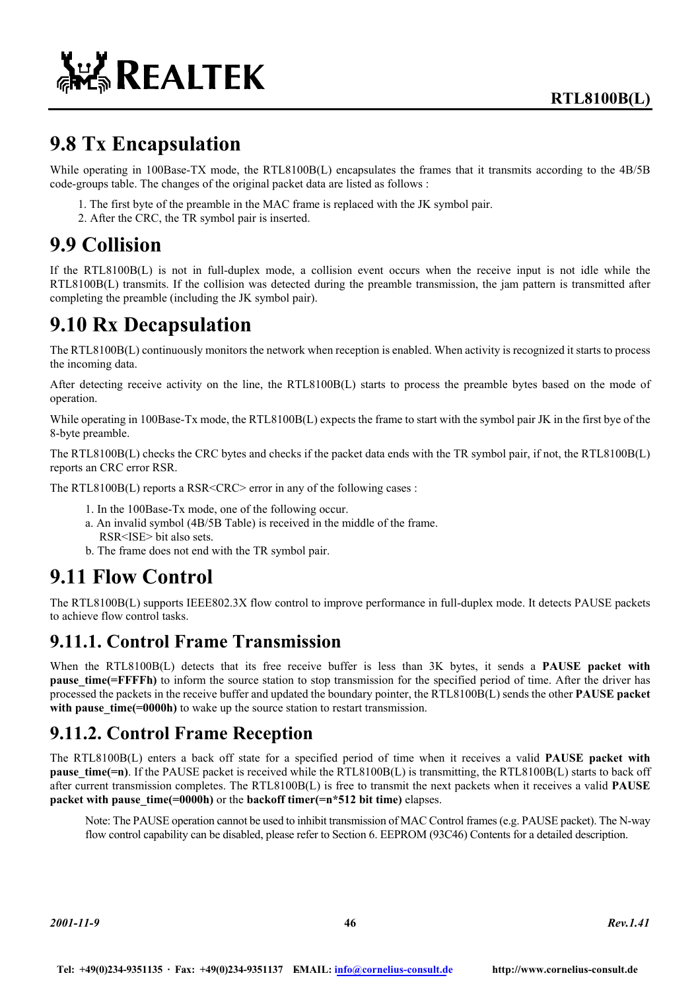

### **9.8 Tx Encapsulation**

While operating in 100Base-TX mode, the RTL8100B(L) encapsulates the frames that it transmits according to the 4B/5B code-groups table. The changes of the original packet data are listed as follows :

- 1. The first byte of the preamble in the MAC frame is replaced with the JK symbol pair.
- 2. After the CRC, the TR symbol pair is inserted.

### **9.9 Collision**

If the RTL8100B(L) is not in full-duplex mode, a collision event occurs when the receive input is not idle while the RTL8100B(L) transmits. If the collision was detected during the preamble transmission, the jam pattern is transmitted after completing the preamble (including the JK symbol pair).

### **9.10 Rx Decapsulation**

The RTL8100B(L) continuously monitors the network when reception is enabled. When activity is recognized it starts to process the incoming data.

After detecting receive activity on the line, the RTL8100B(L) starts to process the preamble bytes based on the mode of operation.

While operating in 100Base-Tx mode, the RTL8100B(L) expects the frame to start with the symbol pair JK in the first bye of the 8-byte preamble.

The RTL8100B(L) checks the CRC bytes and checks if the packet data ends with the TR symbol pair, if not, the RTL8100B(L) reports an CRC error RSR.

The RTL8100B(L) reports a RSR<CRC> error in any of the following cases :

- 1. In the 100Base-Tx mode, one of the following occur.
- a. An invalid symbol (4B/5B Table) is received in the middle of the frame. RSR<ISE> bit also sets.
- b. The frame does not end with the TR symbol pair.

### **9.11 Flow Control**

The RTL8100B(L) supports IEEE802.3X flow control to improve performance in full-duplex mode. It detects PAUSE packets to achieve flow control tasks.

### **9.11.1. Control Frame Transmission**

When the RTL8100B(L) detects that its free receive buffer is less than 3K bytes, it sends a **PAUSE** packet with **pause time(=FFFFh)** to inform the source station to stop transmission for the specified period of time. After the driver has processed the packets in the receive buffer and updated the boundary pointer, the RTL8100B(L) sends the other **PAUSE packet**  with pause time(=0000h) to wake up the source station to restart transmission.

### **9.11.2. Control Frame Reception**

The RTL8100B(L) enters a back off state for a specified period of time when it receives a valid **PAUSE packet with pause time(=n)**. If the PAUSE packet is received while the RTL8100B(L) is transmitting, the RTL8100B(L) starts to back off after current transmission completes. The RTL8100B(L) is free to transmit the next packets when it receives a valid **PAUSE packet with pause time(=0000h)** or the **backoff timer(=n\*512 bit time)** elapses.

Note: The PAUSE operation cannot be used to inhibit transmission of MAC Control frames (e.g. PAUSE packet). The N-way flow control capability can be disabled, please refer to Section 6. EEPROM (93C46) Contents for a detailed description.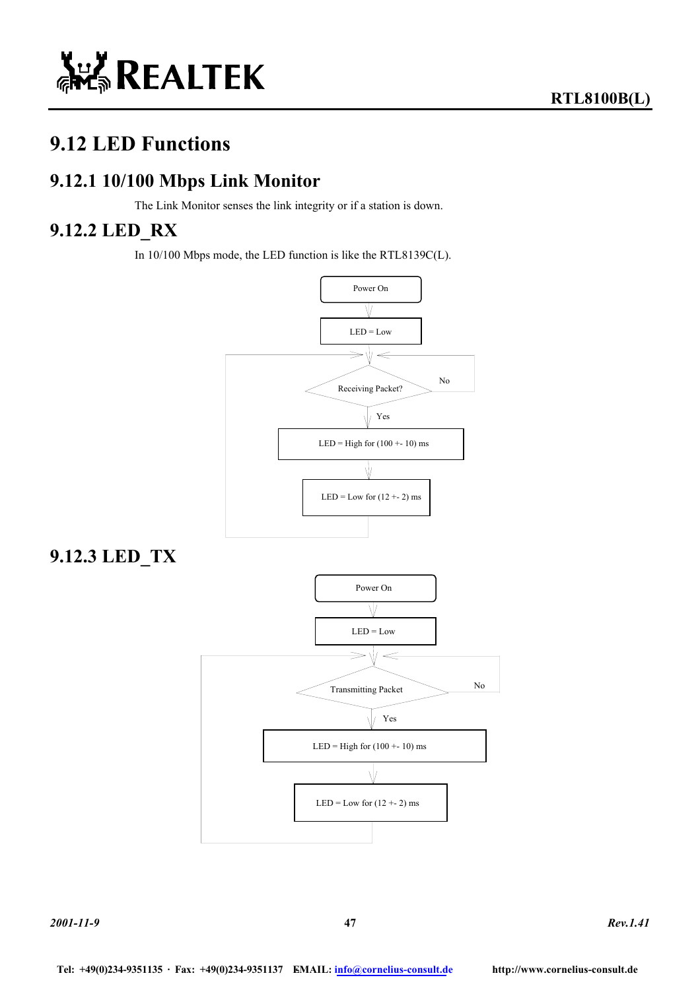

### **9.12 LED Functions**

### **9.12.1 10/100 Mbps Link Monitor**

The Link Monitor senses the link integrity or if a station is down.

### **9.12.2 LED\_RX**

In 10/100 Mbps mode, the LED function is like the RTL8139C(L).



**9.12.3 LED\_TX** 

*2001-11-9* **47** *Rev.1.41*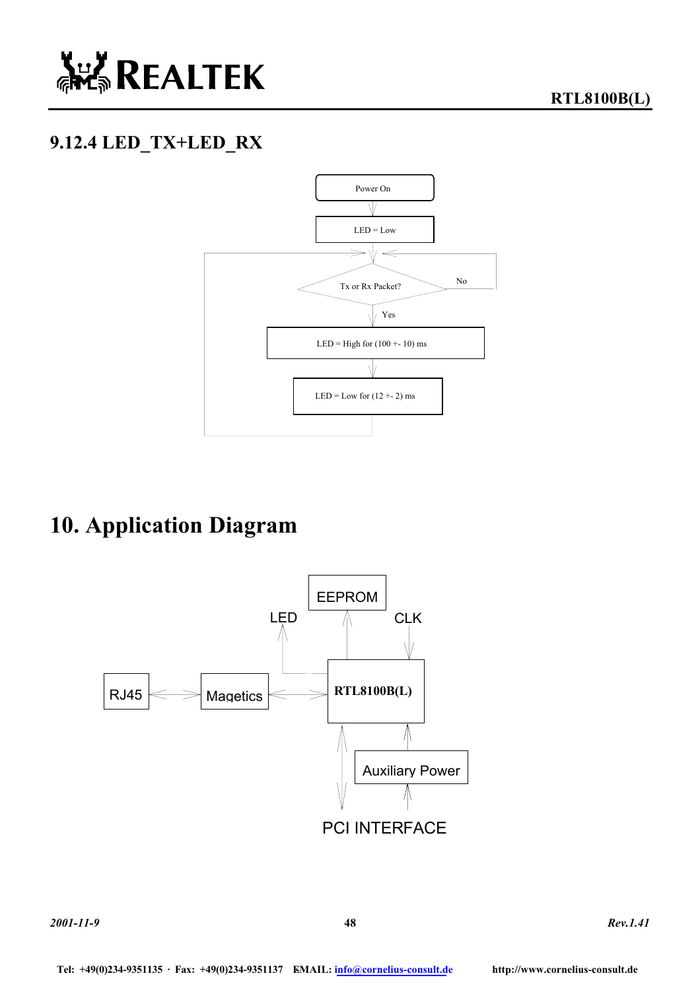

### **9.12.4 LED\_TX+LED\_RX**



# **10. Application Diagram**

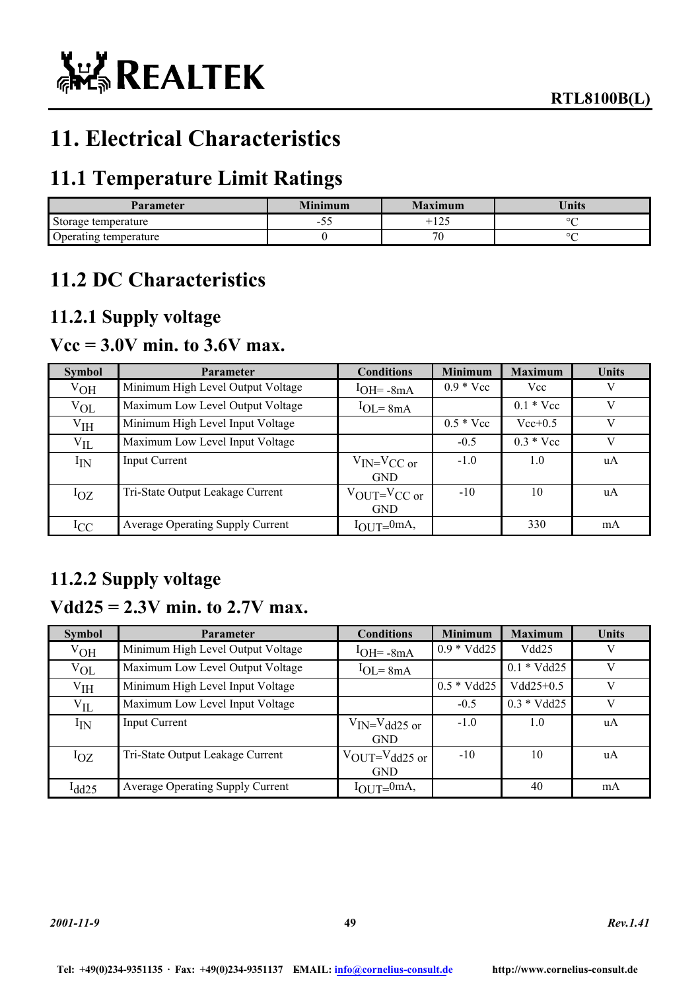

# **11. Electrical Characteristics**

### **11.1 Temperature Limit Ratings**

| Parameter             | Minimum     | Maximum       | <b>Units</b> |
|-----------------------|-------------|---------------|--------------|
| Storage temperature   | -<br>$\sim$ | $\sim$<br>1/2 | ٥r           |
| Operating temperature |             | 70<br>J.      | n.           |

### **11.2 DC Characteristics**

### **11.2.1 Supply voltage**

### **Vcc = 3.0V min. to 3.6V max.**

| <b>Symbol</b> | <b>Parameter</b>                        | <b>Conditions</b>                 | <b>Minimum</b>     | <b>Maximum</b>     | <b>Units</b> |
|---------------|-----------------------------------------|-----------------------------------|--------------------|--------------------|--------------|
| $V_{OH}$      | Minimum High Level Output Voltage       | $1$ OH = $-8$ mA                  | $0.9 * \text{Vcc}$ | Vcc                | V            |
| $V_{OL}$      | Maximum Low Level Output Voltage        | $1OL = 8mA$                       |                    | $0.1 * \text{Vcc}$ | V            |
| $V_{IH}$      | Minimum High Level Input Voltage        |                                   | $0.5 * \text{Vcc}$ | $Vec{+}0.5$        | V            |
| $V_{IL}$      | Maximum Low Level Input Voltage         |                                   | $-0.5$             | $0.3 * Vec$        | V            |
| $I_{IN}$      | Input Current                           | $V_{IN} = V_{CC}$ or              | $-1.0$             | 1.0                | uA           |
|               |                                         | <b>GND</b>                        |                    |                    |              |
| $I_{OZ}$      | Tri-State Output Leakage Current        | $V_{\text{OUT}}=V_{\text{CC or}}$ | $-10$              | 10                 | uA           |
|               |                                         | <b>GND</b>                        |                    |                    |              |
| $_{\rm{ICC}}$ | <b>Average Operating Supply Current</b> | $I_{\text{OUT}} = 0$ mA,          |                    | 330                | mA           |

### **11.2.2 Supply voltage**

### **Vdd25 = 2.3V min. to 2.7V max.**

| <b>Symbol</b> | <b>Parameter</b>                  | <b>Conditions</b>                                 | <b>Minimum</b> | <b>Maximum</b> | Units |
|---------------|-----------------------------------|---------------------------------------------------|----------------|----------------|-------|
| $V_{OH}$      | Minimum High Level Output Voltage | $1$ OH= $-8$ mA                                   | $0.9 * Vdd25$  | Vdd25          | V     |
| $V_{OL}$      | Maximum Low Level Output Voltage  | $1$ OL= $8$ mA                                    |                | $0.1 * Vdd25$  | V     |
| $V_{IH}$      | Minimum High Level Input Voltage  |                                                   | $0.5 * Vdd25$  | $Vdd25+0.5$    | V     |
| $V_{IL}$      | Maximum Low Level Input Voltage   |                                                   | $-0.5$         | $0.3 * Vdd25$  | V     |
| $I_{IN}$      | Input Current                     | $V_{IN} = V_{dd25}$ or<br><b>GND</b>              | $-1.0$         | 1.0            | uA    |
| $I_{OZ}$      | Tri-State Output Leakage Current  | $V_{\text{OUT}}=V_{\text{dd25}}$ or<br><b>GND</b> | $-10$          | 10             | uA    |
| $l_{dd25}$    | Average Operating Supply Current  | $I_{\text{OUT}} = 0$ mA,                          |                | 40             | mA    |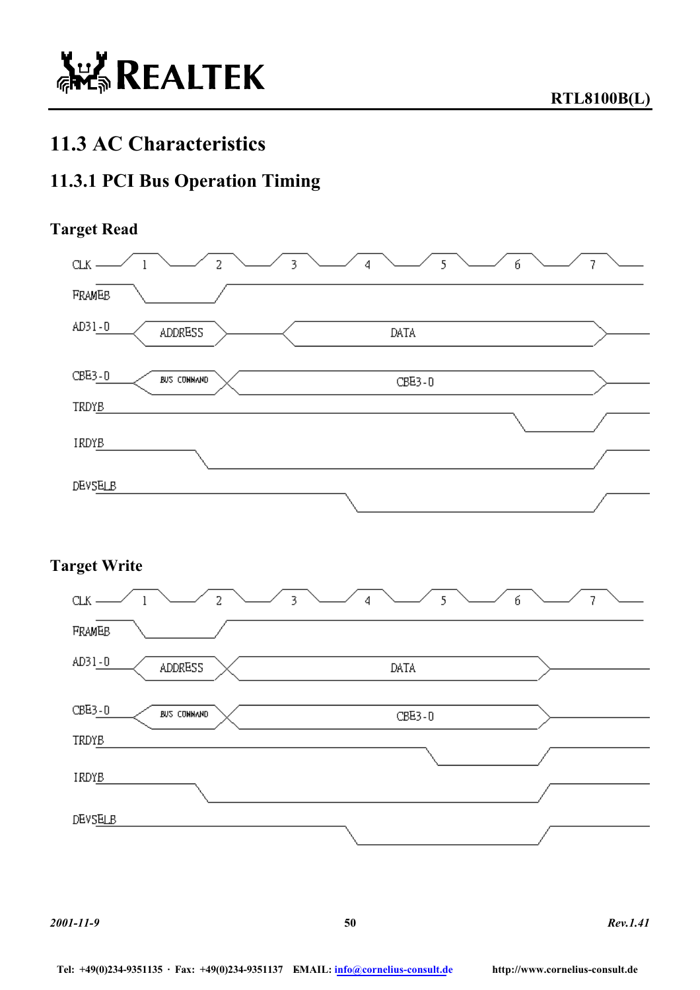# **11.3 AC Characteristics**

### **11.3.1 PCI Bus Operation Timing**

### **Target Read**



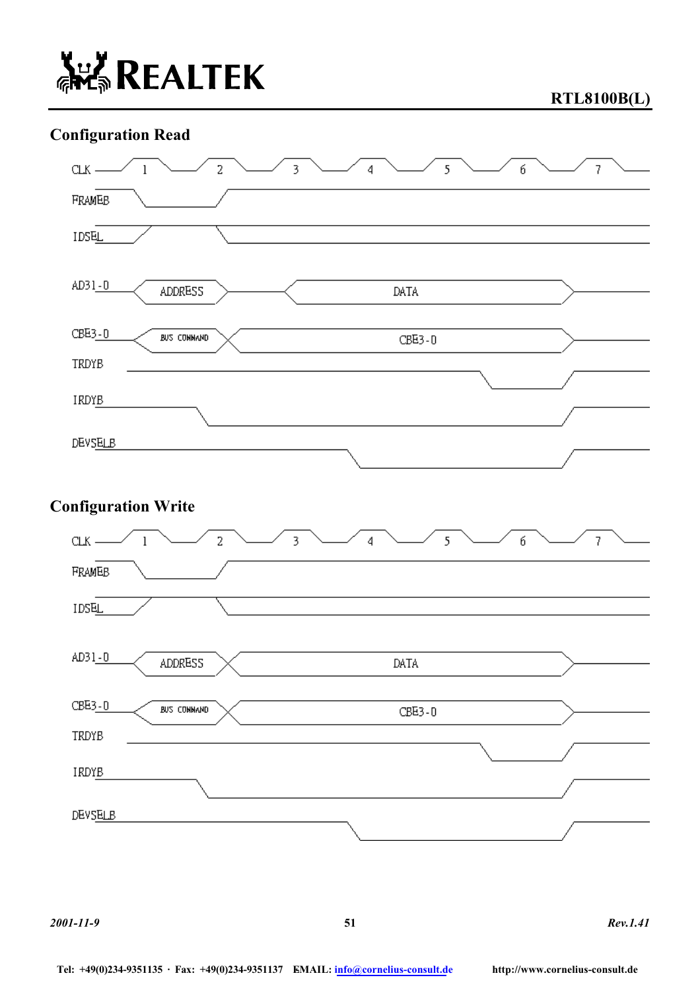

**RTL8100B(L)** 

### **Configuration Read**



*2001-11-9* **51** *Rev.1.41*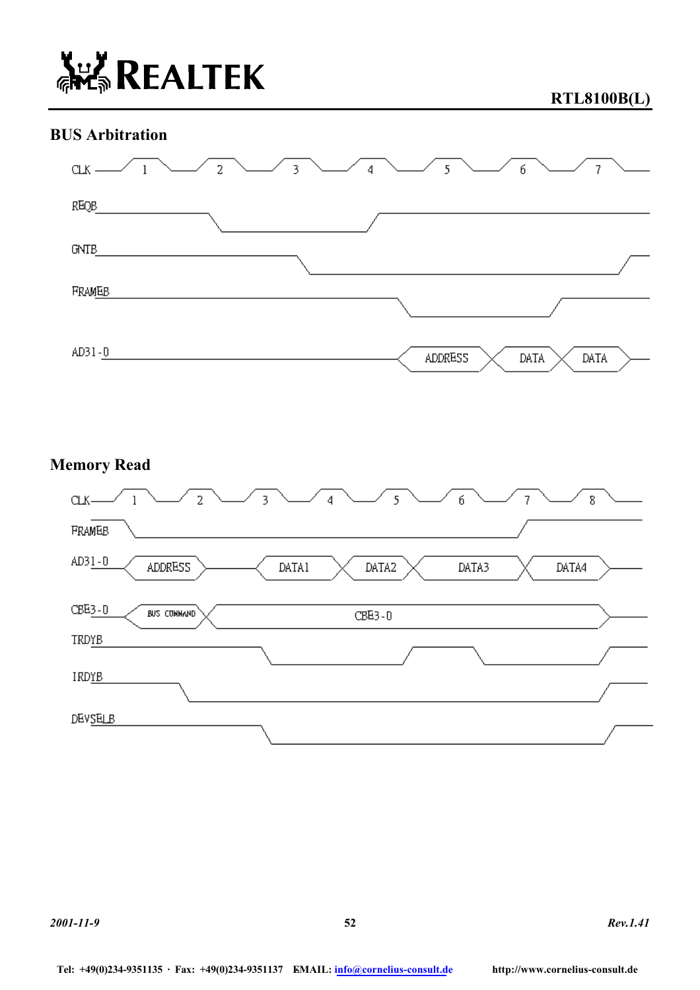

**RTL8100B(L)** 

### **BUS Arbitration**



### **Memory Read**

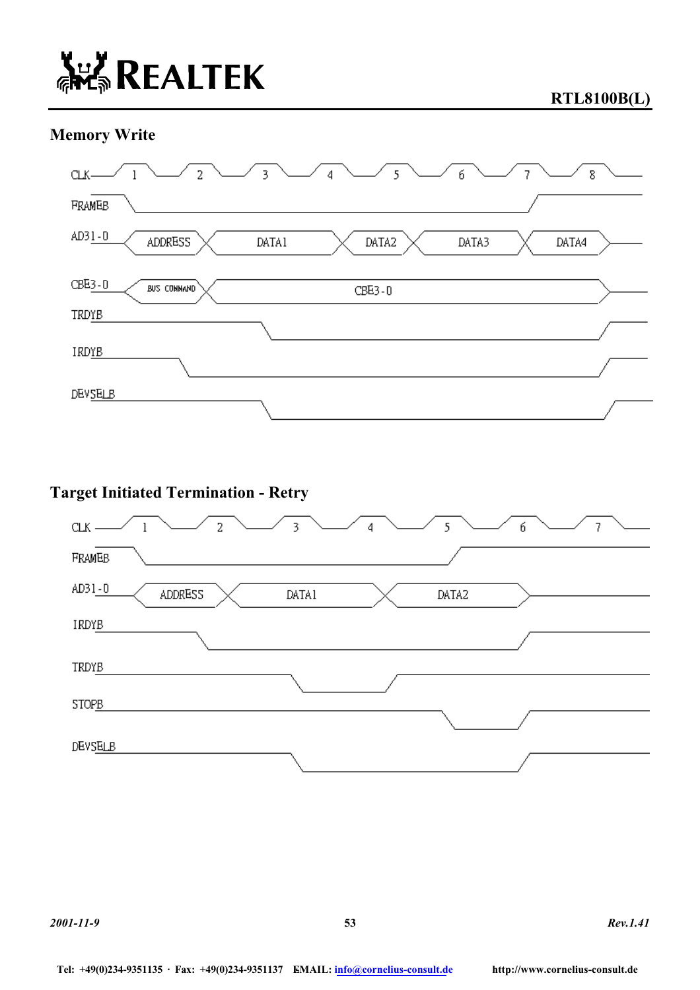### **Memory Write**



### **Target Initiated Termination - Retry**

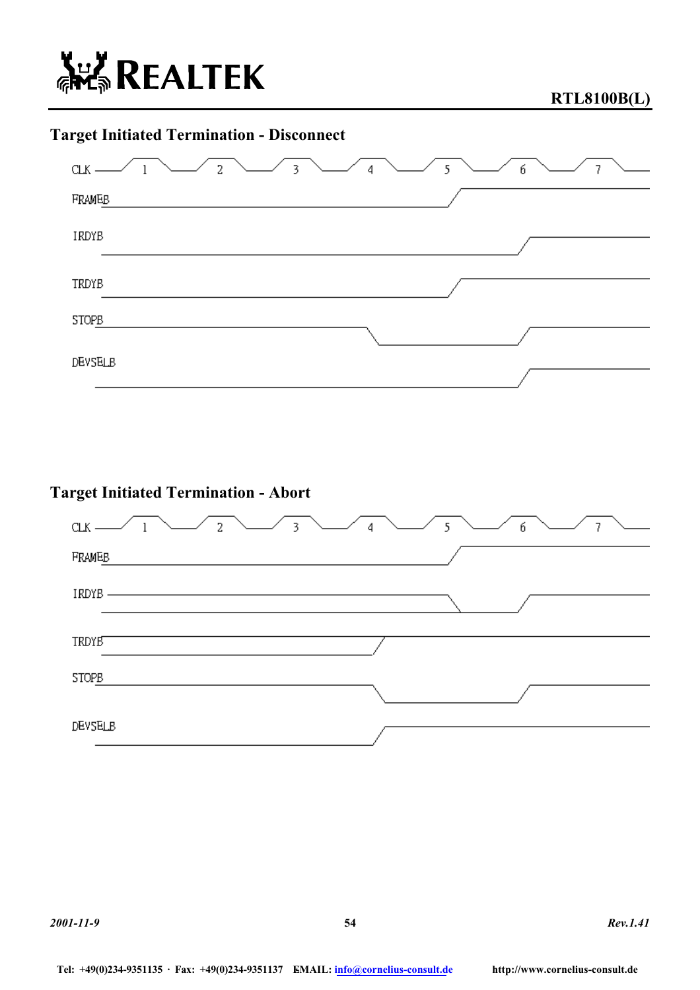

### **Target Initiated Termination - Disconnect**



### **Target Initiated Termination - Abort**

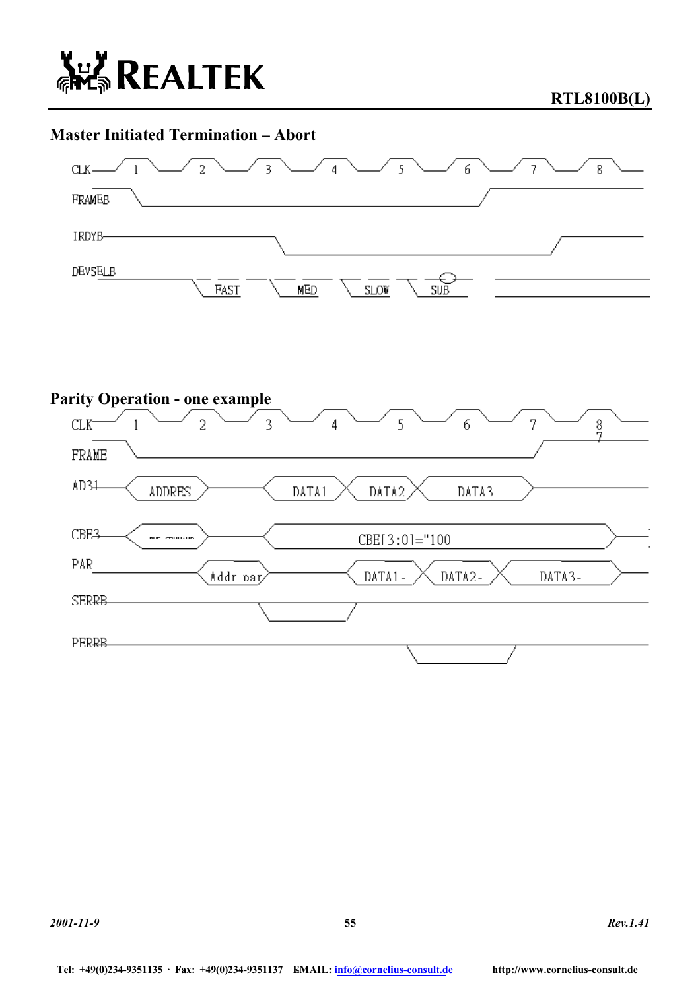

**RTL8100B(L)** 

### **Master Initiated Termination – Abort**



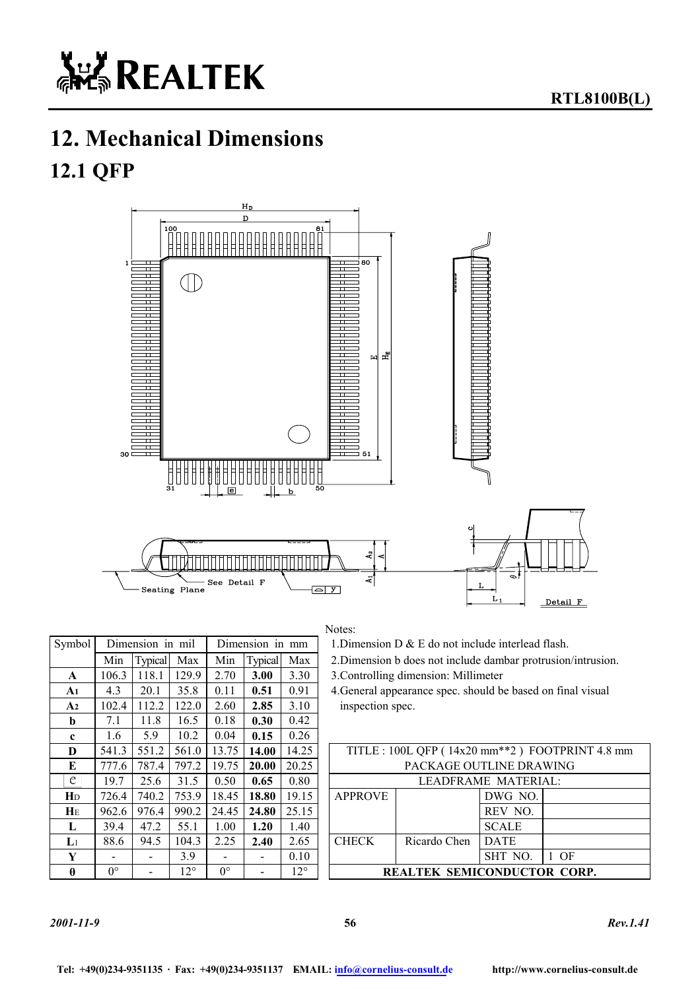

# **12. Mechanical Dimensions 12.1 QFP**



#### Notes:

1.Dimension D  $&$  E do not include interlead flash.

2.Dimension b does not include dambar protrusion/intrusion.

**A1** 4.3 20.1 35.8 0.11 **0.51** 0.91 4.General appearance spec. should be based on final visual inspection spec.

| D              | 541.3       | 551.2 |              | 561.0   13.75   | 14.00                    | 14.25        |                             | TITLE: 100L QFP (14x20 mm <sup>**</sup> 2) FOOTPRINT 4.8 mm |              |      |  |  |  |
|----------------|-------------|-------|--------------|-----------------|--------------------------|--------------|-----------------------------|-------------------------------------------------------------|--------------|------|--|--|--|
| E              | 777.6       | 787.4 | 797.2        | 19.75           | <b>20.00</b>             | 20.25        |                             | PACKAGE OUTLINE DRAWING                                     |              |      |  |  |  |
| e              | 19.7        | 25.6  | 31.5         | 0.50            | 0.65                     | 0.80         |                             | LEADFRAME MATERIAL:                                         |              |      |  |  |  |
| Ŧр             | 726.4       | 740.2 | 753.9        | 18.45           | 18.80                    | 19.15        | <b>APPROVE</b>              |                                                             | DWG NO.      |      |  |  |  |
| HЕ             | 962.6       | 976.4 |              | $990.2$   24.45 | 24.80                    | 25.15        |                             |                                                             | REV NO.      |      |  |  |  |
| L              | 39.4        | 47.2  | 55.1         | 1.00.           | 1.20                     | 1.40         |                             |                                                             | <b>SCALE</b> |      |  |  |  |
| $\mathsf{L}_1$ | 88.6        | 94.5  | 104.3        | 2.25            | 2.40                     | 2.65         | <b>CHECK</b>                | Ricardo Chen                                                | <b>DATE</b>  |      |  |  |  |
| Y              |             | -     | 3.9          |                 | $\overline{\phantom{0}}$ | 0.10         |                             |                                                             | SHT NO.      | - OF |  |  |  |
| $\theta$       | $0^{\circ}$ |       | $12^{\circ}$ | $0^{\circ}$     |                          | $12^{\circ}$ | REALTEK SEMICONDUCTOR CORP. |                                                             |              |      |  |  |  |
|                |             |       |              |                 |                          |              |                             |                                                             |              |      |  |  |  |

| Symbol         |             | Dimension in mil |              |             | Dimension in mm |              | 1. Dimension $D \& E$ do not include interlead |                                      |                                             |                         |  |
|----------------|-------------|------------------|--------------|-------------|-----------------|--------------|------------------------------------------------|--------------------------------------|---------------------------------------------|-------------------------|--|
|                | Min         | <b>Typical</b>   | Max          | Min         | <b>Typical</b>  | Max          | 2. Dimension b does not include dambar prot    |                                      |                                             |                         |  |
| A              | 106.3       | 118.1            | 129.9        | 2.70        | 3.00            | 3.30         |                                                | 3. Controlling dimension: Millimeter |                                             |                         |  |
| A1             | 4.3         | 20.1             | 35.8         | 0.11        | 0.51            | 0.91         |                                                |                                      | 4. General appearance spec. should be based |                         |  |
| A <sub>2</sub> | 102.4       | 112.2            | 122.0        | 2.60        | 2.85            | 3.10         |                                                | inspection spec.                     |                                             |                         |  |
| b              | 7.1         | 11.8             | 16.5         | 0.18        | 0.30            | 0.42         |                                                |                                      |                                             |                         |  |
| $\mathbf c$    | 1.6         | 5.9              | 10.2         | 0.04        | 0.15            | 0.26         |                                                |                                      |                                             |                         |  |
| D              | 541.3       | 551.2            | 561.0        | 13.75       | 14.00           | 14.25        | TITLE: 100L QFP (14x20 mm**2) FC               |                                      |                                             |                         |  |
| E              | 777.6       | 787.4            | 797.2        | 19.75       | 20.00           | 20.25        | PACKAGE OUTLINE DRA                            |                                      |                                             |                         |  |
| e              | 19.7        | 25.6             | 31.5         | 0.50        | 0.65            | 0.80         |                                                |                                      |                                             | <b>LEADFRAME MATERI</b> |  |
| H <sub>D</sub> | 726.4       | 740.2            | 753.9        | 18.45       | 18.80           | 19.15        |                                                | <b>APPROVE</b>                       |                                             | DWG NO.                 |  |
| $H_E$          | 962.6       | 976.4            | 990.2        | 24.45       | 24.80           | 25.15        |                                                |                                      |                                             | REV NO.                 |  |
| L              | 39.4        | 47.2             | 55.1         | 1.00        | 1.20            | 1.40         |                                                |                                      |                                             | <b>SCALE</b>            |  |
| $\mathbf{L}$   | 88.6        | 94.5             | 104.3        | 2.25        | 2.40            | 2.65         |                                                | <b>CHECK</b>                         | Ricardo Chen                                | <b>DATE</b>             |  |
| Y              |             |                  | 3.9          |             |                 | 0.10         |                                                |                                      |                                             | SHT NO.                 |  |
| $\theta$       | $0^{\circ}$ |                  | $12^{\circ}$ | $0^{\circ}$ |                 | $12^{\circ}$ | <b>REALTEK SEMICONDUCTO</b>                    |                                      |                                             |                         |  |

#### *2001-11-9* **56** *Rev.1.41*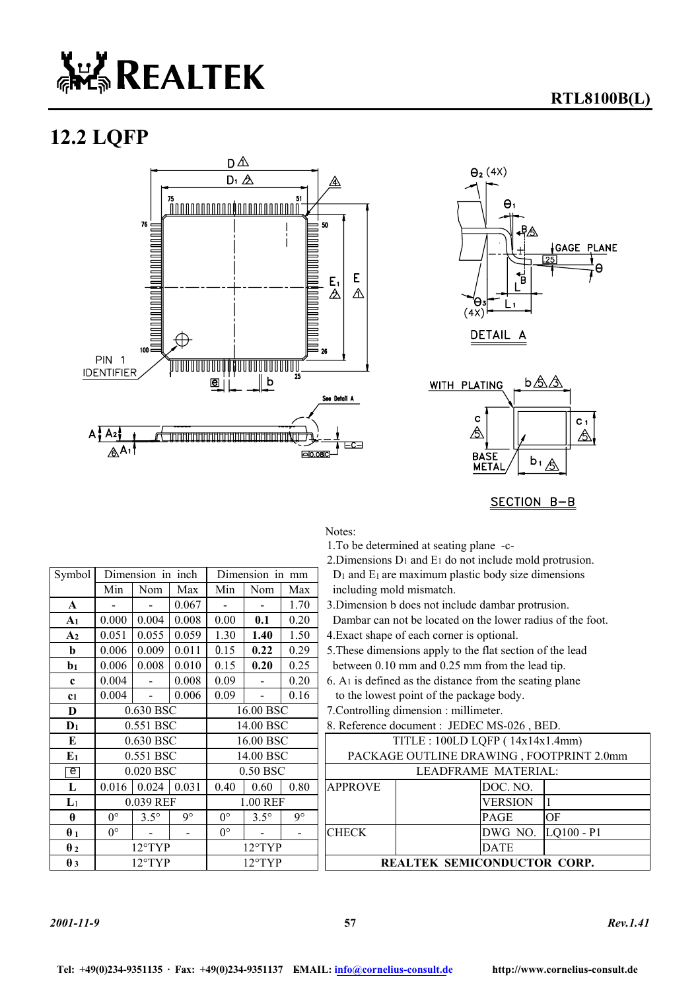# **ALL REALTEK**

### **12.2 LQFP**





**RTL8100B(L)** 



SECTION B-B

Notes:

1.To be determined at seating plane -c-

2.Dimensions D1 and E1 do not include mold protrusion.

Symbol Dimension in inch Dimension in mm D<sub>1</sub> and E<sub>1</sub> are maximum plastic body size dimensions including mold mismatch.

Dambar can not be located on the lower radius of the foot. **4.** Exact shape of each corner is optional.

**b** 0.006 0.009 0.011 0.15 **0.22** 0.29 5.These dimensions apply to the flat section of the lead between 0.10 mm and 0.25 mm from the lead tip.

- $6. A<sub>1</sub>$  is defined as the distance from the seating plane to the lowest point of the package body.
- 7. Controlling dimension : millimeter.

| 0.630 BSC                      |             |       | 16.00 BSC        |             |      | TITLE : $100LD LQFP (14x14x1.4mm)$       |  |  |                                                                     |
|--------------------------------|-------------|-------|------------------|-------------|------|------------------------------------------|--|--|---------------------------------------------------------------------|
| 0.551 BSC                      |             |       | 14.00 BSC        |             |      | PACKAGE OUTLINE DRAWING, FOOTPRINT 2.0mm |  |  |                                                                     |
| 0.020 BSC                      |             |       | 0.50 BSC         |             |      | LEADFRAME MATERIAL:                      |  |  |                                                                     |
|                                |             | 0.031 | 0.40             | 0.60        | 0.80 | <b>APPROVE</b>                           |  |  |                                                                     |
| 0.039 REF<br>$\mathbf{L}$      |             |       | 1.00 REF         |             |      |                                          |  |  |                                                                     |
| $0^{\circ}$                    | $3.5^\circ$ | q۰    | 0°               | $3.5^\circ$ | q۰   |                                          |  |  | OF                                                                  |
| $0^{\circ}$                    |             | -     | $0^{\circ}$      |             |      | <b>CHECK</b>                             |  |  | $LQ100 - P1$                                                        |
| $12^{\circ}$ TYP               |             |       | $12^{\circ}$ TYP |             |      |                                          |  |  |                                                                     |
| $12^{\circ}$ TYP<br>$\theta$ 3 |             |       | $12^{\circ}$ TYP |             |      | <b>REALTEK SEMICONDUCTOR CORP.</b>       |  |  |                                                                     |
|                                |             | 0.016 | 0.024            |             |      |                                          |  |  | DOC. NO.<br><b>VERSION</b><br><b>PAGE</b><br>DWG NO.<br><b>DATE</b> |

|                       | Min         | Nom              | Max              | Min         | Nom         | Max                                    | including mold mismatch.                               |  |  |
|-----------------------|-------------|------------------|------------------|-------------|-------------|----------------------------------------|--------------------------------------------------------|--|--|
| A                     |             |                  | 0.067            |             |             | 1.70                                   | 3. Dimension b does not include dambar protrusion      |  |  |
| A <sub>1</sub>        | 0.000       | 0.004            | 0.008            | 0.00        | 0.1         | 0.20                                   | Dambar can not be located on the lower radius of       |  |  |
| A <sub>2</sub>        | 0.051       | 0.055            | 0.059            | 1.30        | 1.40        | 1.50                                   | 4. Exact shape of each corner is optional.             |  |  |
| b                     | 0.006       | 0.009            | 0.011            | 0.15        | 0.22        | 0.29                                   | 5. These dimensions apply to the flat section of the   |  |  |
| $b1$                  | 0.006       | 0.008            | 0.010            | 0.15        | 0.20        | 0.25                                   | between 0.10 mm and 0.25 mm from the lead tip          |  |  |
| $\mathbf{c}$          | 0.004       |                  | 0.008            | 0.09        |             | 0.20                                   | $6. A1$ is defined as the distance from the seating pl |  |  |
| c <sub>1</sub>        | 0.004       |                  | 0.006            | 0.09        |             | 0.16                                   | to the lowest point of the package body.               |  |  |
| D                     | 0.630 BSC   |                  | 16.00 BSC        |             |             | 7. Controlling dimension : millimeter. |                                                        |  |  |
| $D_1$                 | 0.551 BSC   |                  |                  | 14.00 BSC   |             |                                        | 8. Reference document : JEDEC MS-026, BED.             |  |  |
| E                     | 0.630 BSC   |                  |                  | 16.00 BSC   |             |                                        | TITLE: 100LD LQFP (14x14x1.4r                          |  |  |
| E <sub>1</sub>        | 0.551 BSC   |                  | 14.00 BSC        |             |             | PACKAGE OUTLINE DRAWING, FOOTP         |                                                        |  |  |
| $\overline{e}$        | 0.020 BSC   |                  | 0.50 BSC         |             |             | LEADFRAME MATERIAL:                    |                                                        |  |  |
| L                     | 0.016       | 0.024            | 0.031            | 0.40        | 0.60        | 0.80                                   | <b>APPROVE</b><br>DOC. NO.                             |  |  |
| $\mathbf{L}$          | 0.039 REF   |                  | 1.00 REF         |             |             | $\mathbf{1}$<br>VERSION                |                                                        |  |  |
| $\theta$              | $0^{\circ}$ | $3.5^\circ$      | $9^{\circ}$      | $0^{\circ}$ | $3.5^\circ$ | $9^{\circ}$                            | OF<br>PAGE                                             |  |  |
| $\theta_1$            | $0^{\circ}$ |                  |                  | $0^{\circ}$ |             |                                        | <b>CHECK</b><br>DWG NO.<br>LQ:                         |  |  |
| $\theta$ <sub>2</sub> |             | $12^{\circ}$ TYP | $12^{\circ}$ TYP |             |             | DATE                                   |                                                        |  |  |
| $\theta$ 3            | 12°TYP      |                  |                  | 12°TYP      |             |                                        | <b>REALTEK SEMICONDUCTOR O</b>                         |  |  |

*2001-11-9* **57** *Rev.1.41*